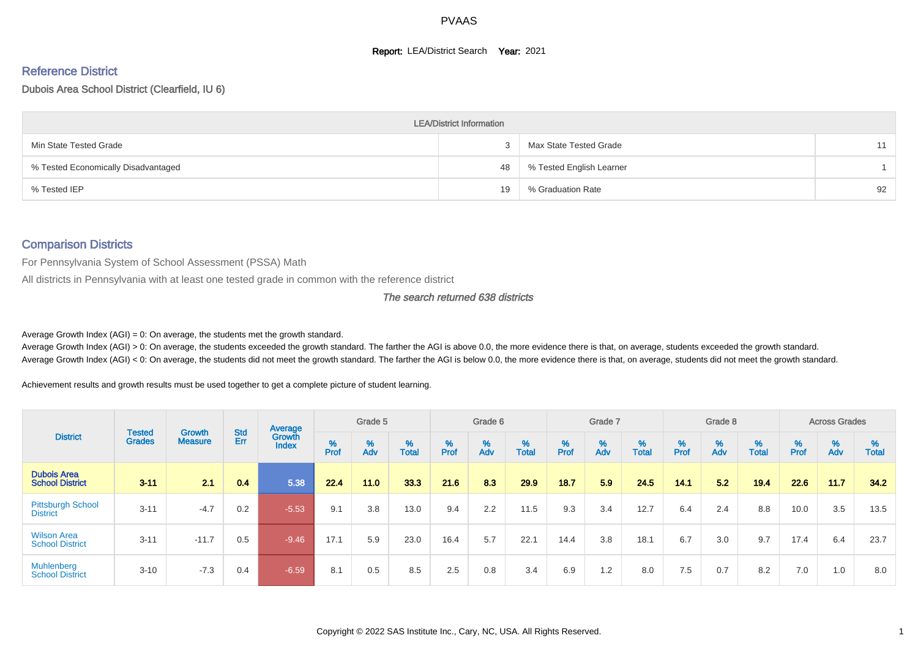#### **Report: LEA/District Search Year: 2021**

# Reference District

Dubois Area School District (Clearfield, IU 6)

|                                     | <b>LEA/District Information</b> |                          |    |
|-------------------------------------|---------------------------------|--------------------------|----|
| Min State Tested Grade              |                                 | Max State Tested Grade   | 11 |
| % Tested Economically Disadvantaged | 48                              | % Tested English Learner |    |
| % Tested IEP                        | 19                              | % Graduation Rate        | 92 |

#### Comparison Districts

For Pennsylvania System of School Assessment (PSSA) Math

All districts in Pennsylvania with at least one tested grade in common with the reference district

The search returned 638 districts

Average Growth Index  $(AGI) = 0$ : On average, the students met the growth standard.

Average Growth Index (AGI) > 0: On average, the students exceeded the growth standard. The farther the AGI is above 0.0, the more evidence there is that, on average, students exceeded the growth standard. Average Growth Index (AGI) < 0: On average, the students did not meet the growth standard. The farther the AGI is below 0.0, the more evidence there is that, on average, students did not meet the growth standard.

Achievement results and growth results must be used together to get a complete picture of student learning.

|                                              |                                |                                 |            | Average                |        | Grade 5  |                   |        | Grade 6  |            |           | Grade 7  |            |           | Grade 8  |                   |          | <b>Across Grades</b> |                   |
|----------------------------------------------|--------------------------------|---------------------------------|------------|------------------------|--------|----------|-------------------|--------|----------|------------|-----------|----------|------------|-----------|----------|-------------------|----------|----------------------|-------------------|
| <b>District</b>                              | <b>Tested</b><br><b>Grades</b> | <b>Growth</b><br><b>Measure</b> | Std<br>Err | Growth<br><b>Index</b> | % Pref | %<br>Adv | %<br><b>Total</b> | % Pref | %<br>Adv | %<br>Total | %<br>Prof | %<br>Adv | %<br>Total | %<br>Prof | %<br>Adv | %<br><b>Total</b> | $%$ Prof | %<br>Adv             | %<br><b>Total</b> |
| <b>Dubois Area</b><br><b>School District</b> | $3 - 11$                       | 2.1                             | 0.4        | 5.38                   | 22.4   | 11.0     | 33.3              | 21.6   | 8.3      | 29.9       | 18.7      | 5.9      | 24.5       | 14.1      | 5.2      | 19.4              | 22.6     | 11.7                 | 34.2              |
| <b>Pittsburgh School</b><br><b>District</b>  | $3 - 11$                       | $-4.7$                          | 0.2        | $-5.53$                | 9.1    | 3.8      | 13.0              | 9.4    | 2.2      | 11.5       | 9.3       | 3.4      | 12.7       | 6.4       | 2.4      | 8.8               | 10.0     | 3.5                  | 13.5              |
| <b>Wilson Area</b><br><b>School District</b> | $3 - 11$                       | $-11.7$                         | 0.5        | $-9.46$                | 17.1   | 5.9      | 23.0              | 16.4   | 5.7      | 22.1       | 14.4      | 3.8      | 18.1       | 6.7       | 3.0      | 9.7               | 17.4     | 6.4                  | 23.7              |
| Muhlenberg<br><b>School District</b>         | $3 - 10$                       | $-7.3$                          | 0.4        | $-6.59$                | 8.1    | 0.5      | 8.5               | 2.5    | 0.8      | 3.4        | 6.9       | 1.2      | 8.0        | 7.5       | 0.7      | 8.2               | 7.0      | 1.0                  | 8.0               |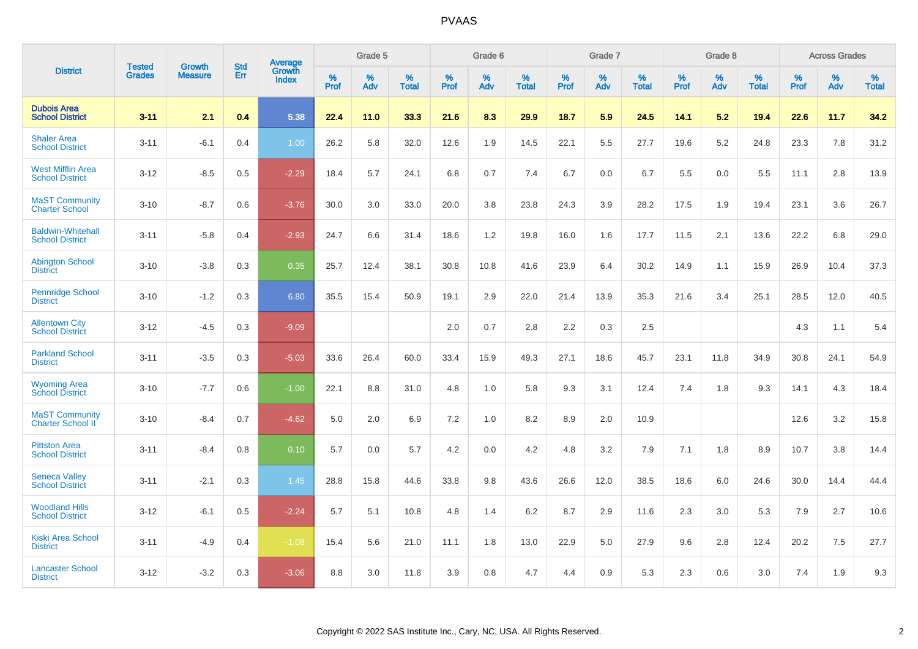|                                                    |                                |                                 | <b>Std</b> | <b>Average</b>         |           | Grade 5  |                   |           | Grade 6  |                   |              | Grade 7  |                   |           | Grade 8  |                   |           | <b>Across Grades</b> |            |
|----------------------------------------------------|--------------------------------|---------------------------------|------------|------------------------|-----------|----------|-------------------|-----------|----------|-------------------|--------------|----------|-------------------|-----------|----------|-------------------|-----------|----------------------|------------|
| <b>District</b>                                    | <b>Tested</b><br><b>Grades</b> | <b>Growth</b><br><b>Measure</b> | Err        | Growth<br><b>Index</b> | %<br>Prof | %<br>Adv | %<br><b>Total</b> | %<br>Prof | %<br>Adv | %<br><b>Total</b> | $\%$<br>Prof | %<br>Adv | %<br><b>Total</b> | %<br>Prof | %<br>Adv | %<br><b>Total</b> | %<br>Prof | %<br>Adv             | %<br>Total |
| <b>Dubois Area</b><br><b>School District</b>       | $3 - 11$                       | 2.1                             | 0.4        | 5.38                   | 22.4      | 11.0     | 33.3              | 21.6      | 8.3      | 29.9              | 18.7         | 5.9      | 24.5              | 14.1      | 5.2      | 19.4              | 22.6      | 11.7                 | 34.2       |
| <b>Shaler Area</b><br><b>School District</b>       | $3 - 11$                       | $-6.1$                          | 0.4        | 1.00                   | 26.2      | 5.8      | 32.0              | 12.6      | 1.9      | 14.5              | 22.1         | 5.5      | 27.7              | 19.6      | 5.2      | 24.8              | 23.3      | 7.8                  | 31.2       |
| <b>West Mifflin Area</b><br><b>School District</b> | $3 - 12$                       | $-8.5$                          | 0.5        | $-2.29$                | 18.4      | 5.7      | 24.1              | 6.8       | 0.7      | 7.4               | 6.7          | 0.0      | 6.7               | 5.5       | 0.0      | 5.5               | 11.1      | 2.8                  | 13.9       |
| <b>MaST Community</b><br><b>Charter School</b>     | $3 - 10$                       | $-8.7$                          | 0.6        | $-3.76$                | 30.0      | 3.0      | 33.0              | 20.0      | 3.8      | 23.8              | 24.3         | 3.9      | 28.2              | 17.5      | 1.9      | 19.4              | 23.1      | 3.6                  | 26.7       |
| <b>Baldwin-Whitehall</b><br><b>School District</b> | $3 - 11$                       | $-5.8$                          | 0.4        | $-2.93$                | 24.7      | 6.6      | 31.4              | 18.6      | 1.2      | 19.8              | 16.0         | 1.6      | 17.7              | 11.5      | 2.1      | 13.6              | 22.2      | 6.8                  | 29.0       |
| <b>Abington School</b><br><b>District</b>          | $3 - 10$                       | $-3.8$                          | 0.3        | 0.35                   | 25.7      | 12.4     | 38.1              | 30.8      | 10.8     | 41.6              | 23.9         | 6.4      | 30.2              | 14.9      | 1.1      | 15.9              | 26.9      | 10.4                 | 37.3       |
| <b>Pennridge School</b><br><b>District</b>         | $3 - 10$                       | $-1.2$                          | 0.3        | 6.80                   | 35.5      | 15.4     | 50.9              | 19.1      | 2.9      | 22.0              | 21.4         | 13.9     | 35.3              | 21.6      | 3.4      | 25.1              | 28.5      | 12.0                 | 40.5       |
| <b>Allentown City</b><br><b>School District</b>    | $3 - 12$                       | $-4.5$                          | 0.3        | $-9.09$                |           |          |                   | 2.0       | 0.7      | 2.8               | 2.2          | 0.3      | 2.5               |           |          |                   | 4.3       | 1.1                  | 5.4        |
| <b>Parkland School</b><br><b>District</b>          | $3 - 11$                       | $-3.5$                          | 0.3        | $-5.03$                | 33.6      | 26.4     | 60.0              | 33.4      | 15.9     | 49.3              | 27.1         | 18.6     | 45.7              | 23.1      | 11.8     | 34.9              | 30.8      | 24.1                 | 54.9       |
| <b>Wyoming Area</b><br><b>School District</b>      | $3 - 10$                       | $-7.7$                          | 0.6        | $-1.00$                | 22.1      | 8.8      | 31.0              | 4.8       | 1.0      | 5.8               | 9.3          | 3.1      | 12.4              | 7.4       | 1.8      | 9.3               | 14.1      | 4.3                  | 18.4       |
| <b>MaST Community</b><br><b>Charter School II</b>  | $3 - 10$                       | $-8.4$                          | 0.7        | $-4.62$                | 5.0       | 2.0      | 6.9               | 7.2       | 1.0      | 8.2               | 8.9          | 2.0      | 10.9              |           |          |                   | 12.6      | 3.2                  | 15.8       |
| <b>Pittston Area</b><br><b>School District</b>     | $3 - 11$                       | $-8.4$                          | 0.8        | 0.10                   | 5.7       | 0.0      | 5.7               | 4.2       | 0.0      | 4.2               | 4.8          | 3.2      | 7.9               | 7.1       | 1.8      | 8.9               | 10.7      | 3.8                  | 14.4       |
| <b>Seneca Valley</b><br><b>School District</b>     | $3 - 11$                       | $-2.1$                          | 0.3        | 1.45                   | 28.8      | 15.8     | 44.6              | 33.8      | 9.8      | 43.6              | 26.6         | 12.0     | 38.5              | 18.6      | 6.0      | 24.6              | 30.0      | 14.4                 | 44.4       |
| <b>Woodland Hills</b><br><b>School District</b>    | $3 - 12$                       | $-6.1$                          | 0.5        | $-2.24$                | 5.7       | 5.1      | 10.8              | 4.8       | 1.4      | 6.2               | 8.7          | 2.9      | 11.6              | 2.3       | 3.0      | 5.3               | 7.9       | 2.7                  | 10.6       |
| <b>Kiski Area School</b><br><b>District</b>        | $3 - 11$                       | $-4.9$                          | 0.4        | $-1.08$                | 15.4      | 5.6      | 21.0              | 11.1      | 1.8      | 13.0              | 22.9         | 5.0      | 27.9              | 9.6       | 2.8      | 12.4              | 20.2      | 7.5                  | 27.7       |
| <b>Lancaster School</b><br><b>District</b>         | $3 - 12$                       | $-3.2$                          | 0.3        | $-3.06$                | 8.8       | 3.0      | 11.8              | 3.9       | 0.8      | 4.7               | 4.4          | 0.9      | 5.3               | 2.3       | 0.6      | 3.0               | 7.4       | 1.9                  | 9.3        |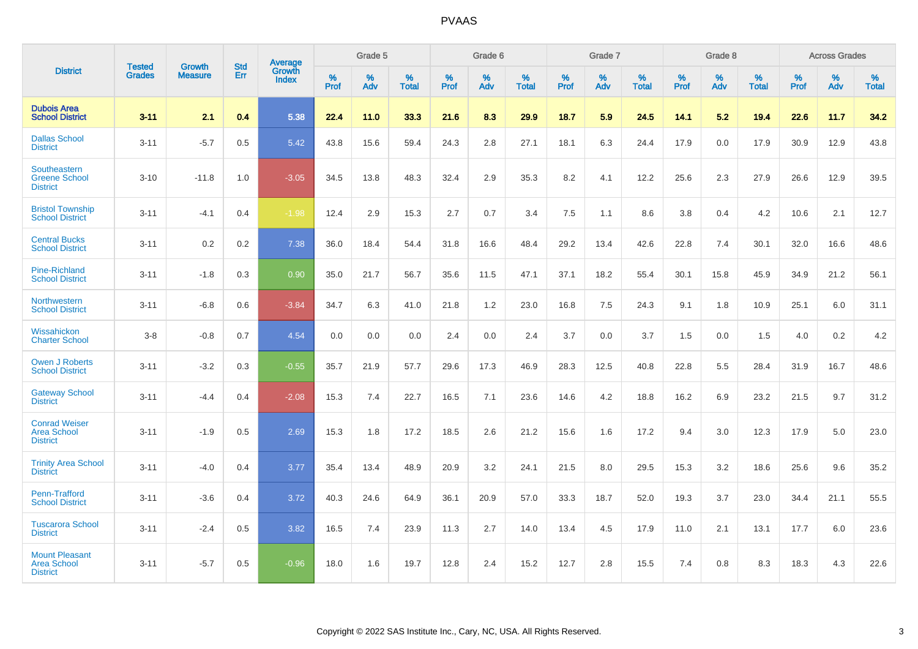|                                                                | <b>Tested</b> | <b>Growth</b>  | <b>Std</b> | Average                |           | Grade 5  |                   |           | Grade 6  |                   |           | Grade 7  |                   |           | Grade 8  |                   |           | <b>Across Grades</b> |                   |
|----------------------------------------------------------------|---------------|----------------|------------|------------------------|-----------|----------|-------------------|-----------|----------|-------------------|-----------|----------|-------------------|-----------|----------|-------------------|-----------|----------------------|-------------------|
| <b>District</b>                                                | <b>Grades</b> | <b>Measure</b> | <b>Err</b> | Growth<br><b>Index</b> | %<br>Prof | %<br>Adv | %<br><b>Total</b> | %<br>Prof | %<br>Adv | %<br><b>Total</b> | %<br>Prof | %<br>Adv | %<br><b>Total</b> | %<br>Prof | %<br>Adv | %<br><b>Total</b> | %<br>Prof | %<br>Adv             | %<br><b>Total</b> |
| <b>Dubois Area</b><br><b>School District</b>                   | $3 - 11$      | 2.1            | 0.4        | 5.38                   | 22.4      | 11.0     | 33.3              | 21.6      | 8.3      | 29.9              | 18.7      | 5.9      | 24.5              | 14.1      | 5.2      | 19.4              | 22.6      | 11.7                 | 34.2              |
| <b>Dallas School</b><br><b>District</b>                        | $3 - 11$      | $-5.7$         | 0.5        | 5.42                   | 43.8      | 15.6     | 59.4              | 24.3      | 2.8      | 27.1              | 18.1      | 6.3      | 24.4              | 17.9      | 0.0      | 17.9              | 30.9      | 12.9                 | 43.8              |
| <b>Southeastern</b><br><b>Greene School</b><br><b>District</b> | $3 - 10$      | $-11.8$        | 1.0        | $-3.05$                | 34.5      | 13.8     | 48.3              | 32.4      | 2.9      | 35.3              | 8.2       | 4.1      | 12.2              | 25.6      | 2.3      | 27.9              | 26.6      | 12.9                 | 39.5              |
| <b>Bristol Township</b><br><b>School District</b>              | $3 - 11$      | $-4.1$         | 0.4        | $-1.98$                | 12.4      | 2.9      | 15.3              | 2.7       | 0.7      | 3.4               | 7.5       | 1.1      | 8.6               | 3.8       | 0.4      | 4.2               | 10.6      | 2.1                  | 12.7              |
| <b>Central Bucks</b><br><b>School District</b>                 | $3 - 11$      | 0.2            | 0.2        | 7.38                   | 36.0      | 18.4     | 54.4              | 31.8      | 16.6     | 48.4              | 29.2      | 13.4     | 42.6              | 22.8      | 7.4      | 30.1              | 32.0      | 16.6                 | 48.6              |
| <b>Pine-Richland</b><br><b>School District</b>                 | $3 - 11$      | $-1.8$         | 0.3        | 0.90                   | 35.0      | 21.7     | 56.7              | 35.6      | 11.5     | 47.1              | 37.1      | 18.2     | 55.4              | 30.1      | 15.8     | 45.9              | 34.9      | 21.2                 | 56.1              |
| <b>Northwestern</b><br><b>School District</b>                  | $3 - 11$      | $-6.8$         | 0.6        | $-3.84$                | 34.7      | 6.3      | 41.0              | 21.8      | 1.2      | 23.0              | 16.8      | 7.5      | 24.3              | 9.1       | 1.8      | 10.9              | 25.1      | 6.0                  | 31.1              |
| Wissahickon<br><b>Charter School</b>                           | $3-8$         | $-0.8$         | 0.7        | 4.54                   | 0.0       | 0.0      | 0.0               | 2.4       | 0.0      | 2.4               | 3.7       | 0.0      | 3.7               | 1.5       | 0.0      | 1.5               | 4.0       | $0.2\,$              | 4.2               |
| <b>Owen J Roberts</b><br><b>School District</b>                | $3 - 11$      | $-3.2$         | 0.3        | $-0.55$                | 35.7      | 21.9     | 57.7              | 29.6      | 17.3     | 46.9              | 28.3      | 12.5     | 40.8              | 22.8      | 5.5      | 28.4              | 31.9      | 16.7                 | 48.6              |
| <b>Gateway School</b><br><b>District</b>                       | $3 - 11$      | $-4.4$         | 0.4        | $-2.08$                | 15.3      | 7.4      | 22.7              | 16.5      | 7.1      | 23.6              | 14.6      | 4.2      | 18.8              | 16.2      | 6.9      | 23.2              | 21.5      | 9.7                  | 31.2              |
| <b>Conrad Weiser</b><br><b>Area School</b><br><b>District</b>  | $3 - 11$      | $-1.9$         | 0.5        | 2.69                   | 15.3      | 1.8      | 17.2              | 18.5      | 2.6      | 21.2              | 15.6      | 1.6      | 17.2              | 9.4       | 3.0      | 12.3              | 17.9      | 5.0                  | 23.0              |
| <b>Trinity Area School</b><br><b>District</b>                  | $3 - 11$      | $-4.0$         | 0.4        | 3.77                   | 35.4      | 13.4     | 48.9              | 20.9      | 3.2      | 24.1              | 21.5      | 8.0      | 29.5              | 15.3      | 3.2      | 18.6              | 25.6      | 9.6                  | 35.2              |
| Penn-Trafford<br><b>School District</b>                        | $3 - 11$      | $-3.6$         | 0.4        | 3.72                   | 40.3      | 24.6     | 64.9              | 36.1      | 20.9     | 57.0              | 33.3      | 18.7     | 52.0              | 19.3      | 3.7      | 23.0              | 34.4      | 21.1                 | 55.5              |
| <b>Tuscarora School</b><br><b>District</b>                     | $3 - 11$      | $-2.4$         | 0.5        | 3.82                   | 16.5      | 7.4      | 23.9              | 11.3      | 2.7      | 14.0              | 13.4      | 4.5      | 17.9              | 11.0      | 2.1      | 13.1              | 17.7      | 6.0                  | 23.6              |
| <b>Mount Pleasant</b><br><b>Area School</b><br><b>District</b> | $3 - 11$      | $-5.7$         | 0.5        | $-0.96$                | 18.0      | 1.6      | 19.7              | 12.8      | 2.4      | 15.2              | 12.7      | 2.8      | 15.5              | 7.4       | 0.8      | 8.3               | 18.3      | 4.3                  | 22.6              |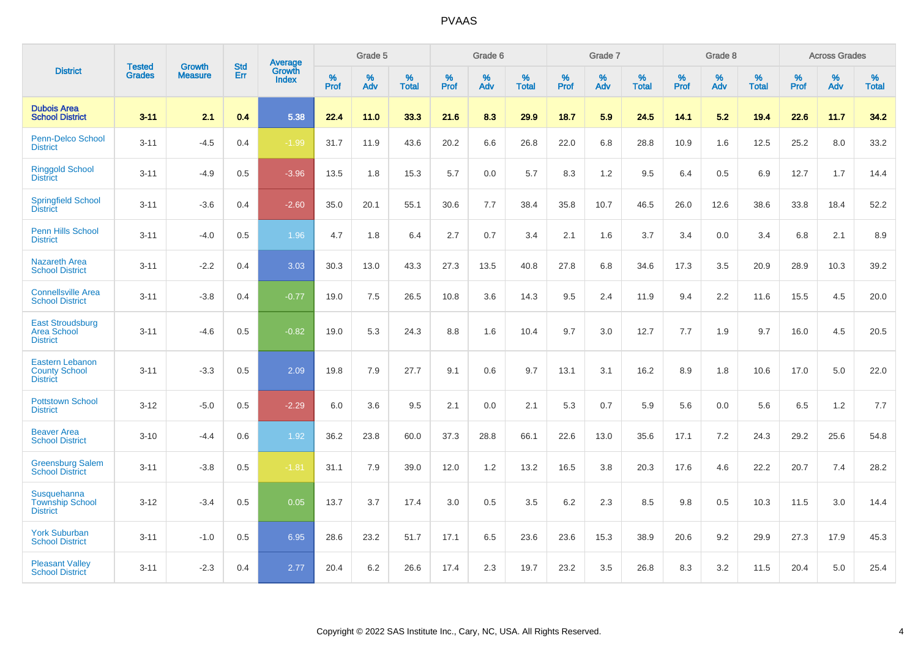|                                                                   |                                |                                 | <b>Std</b> | Average                       |           | Grade 5  |                   |           | Grade 6  |                   |           | Grade 7  |                   |           | Grade 8  |                   |           | <b>Across Grades</b> |                   |
|-------------------------------------------------------------------|--------------------------------|---------------------------------|------------|-------------------------------|-----------|----------|-------------------|-----------|----------|-------------------|-----------|----------|-------------------|-----------|----------|-------------------|-----------|----------------------|-------------------|
| <b>District</b>                                                   | <b>Tested</b><br><b>Grades</b> | <b>Growth</b><br><b>Measure</b> | Err        | <b>Growth</b><br><b>Index</b> | %<br>Prof | %<br>Adv | %<br><b>Total</b> | %<br>Prof | %<br>Adv | %<br><b>Total</b> | %<br>Prof | %<br>Adv | %<br><b>Total</b> | %<br>Prof | %<br>Adv | %<br><b>Total</b> | %<br>Prof | %<br>Adv             | %<br><b>Total</b> |
| <b>Dubois Area</b><br><b>School District</b>                      | $3 - 11$                       | 2.1                             | 0.4        | 5.38                          | 22.4      | 11.0     | 33.3              | 21.6      | 8.3      | 29.9              | 18.7      | 5.9      | 24.5              | 14.1      | 5.2      | 19.4              | 22.6      | 11.7                 | 34.2              |
| Penn-Delco School<br><b>District</b>                              | $3 - 11$                       | $-4.5$                          | 0.4        | $-1.99$                       | 31.7      | 11.9     | 43.6              | 20.2      | 6.6      | 26.8              | 22.0      | 6.8      | 28.8              | 10.9      | 1.6      | 12.5              | 25.2      | 8.0                  | 33.2              |
| <b>Ringgold School</b><br><b>District</b>                         | $3 - 11$                       | $-4.9$                          | 0.5        | $-3.96$                       | 13.5      | 1.8      | 15.3              | 5.7       | 0.0      | 5.7               | 8.3       | 1.2      | 9.5               | 6.4       | 0.5      | 6.9               | 12.7      | 1.7                  | 14.4              |
| <b>Springfield School</b><br><b>District</b>                      | $3 - 11$                       | $-3.6$                          | 0.4        | $-2.60$                       | 35.0      | 20.1     | 55.1              | 30.6      | 7.7      | 38.4              | 35.8      | 10.7     | 46.5              | 26.0      | 12.6     | 38.6              | 33.8      | 18.4                 | 52.2              |
| Penn Hills School<br><b>District</b>                              | $3 - 11$                       | $-4.0$                          | 0.5        | 1.96                          | 4.7       | 1.8      | 6.4               | 2.7       | 0.7      | 3.4               | 2.1       | 1.6      | 3.7               | 3.4       | 0.0      | 3.4               | 6.8       | 2.1                  | 8.9               |
| <b>Nazareth Area</b><br><b>School District</b>                    | $3 - 11$                       | $-2.2$                          | 0.4        | 3.03                          | 30.3      | 13.0     | 43.3              | 27.3      | 13.5     | 40.8              | 27.8      | 6.8      | 34.6              | 17.3      | 3.5      | 20.9              | 28.9      | 10.3                 | 39.2              |
| <b>Connellsville Area</b><br><b>School District</b>               | $3 - 11$                       | $-3.8$                          | 0.4        | $-0.77$                       | 19.0      | 7.5      | 26.5              | 10.8      | 3.6      | 14.3              | 9.5       | 2.4      | 11.9              | 9.4       | 2.2      | 11.6              | 15.5      | 4.5                  | 20.0              |
| <b>East Stroudsburg</b><br><b>Area School</b><br><b>District</b>  | $3 - 11$                       | $-4.6$                          | 0.5        | $-0.82$                       | 19.0      | 5.3      | 24.3              | 8.8       | 1.6      | 10.4              | 9.7       | 3.0      | 12.7              | 7.7       | 1.9      | 9.7               | 16.0      | 4.5                  | 20.5              |
| <b>Eastern Lebanon</b><br><b>County School</b><br><b>District</b> | $3 - 11$                       | $-3.3$                          | 0.5        | 2.09                          | 19.8      | 7.9      | 27.7              | 9.1       | 0.6      | 9.7               | 13.1      | 3.1      | 16.2              | 8.9       | 1.8      | 10.6              | 17.0      | 5.0                  | 22.0              |
| <b>Pottstown School</b><br><b>District</b>                        | $3 - 12$                       | $-5.0$                          | 0.5        | $-2.29$                       | 6.0       | 3.6      | 9.5               | 2.1       | 0.0      | 2.1               | 5.3       | 0.7      | 5.9               | 5.6       | 0.0      | 5.6               | 6.5       | 1.2                  | 7.7               |
| <b>Beaver Area</b><br><b>School District</b>                      | $3 - 10$                       | $-4.4$                          | 0.6        | 1.92                          | 36.2      | 23.8     | 60.0              | 37.3      | 28.8     | 66.1              | 22.6      | 13.0     | 35.6              | 17.1      | 7.2      | 24.3              | 29.2      | 25.6                 | 54.8              |
| <b>Greensburg Salem</b><br><b>School District</b>                 | $3 - 11$                       | $-3.8$                          | 0.5        | $-1.81$                       | 31.1      | 7.9      | 39.0              | 12.0      | 1.2      | 13.2              | 16.5      | 3.8      | 20.3              | 17.6      | 4.6      | 22.2              | 20.7      | 7.4                  | 28.2              |
| Susquehanna<br><b>Township School</b><br><b>District</b>          | $3 - 12$                       | $-3.4$                          | 0.5        | 0.05                          | 13.7      | 3.7      | 17.4              | 3.0       | 0.5      | 3.5               | 6.2       | 2.3      | 8.5               | 9.8       | 0.5      | 10.3              | 11.5      | 3.0                  | 14.4              |
| <b>York Suburban</b><br><b>School District</b>                    | $3 - 11$                       | $-1.0$                          | 0.5        | 6.95                          | 28.6      | 23.2     | 51.7              | 17.1      | 6.5      | 23.6              | 23.6      | 15.3     | 38.9              | 20.6      | 9.2      | 29.9              | 27.3      | 17.9                 | 45.3              |
| <b>Pleasant Valley</b><br><b>School District</b>                  | $3 - 11$                       | $-2.3$                          | 0.4        | 2.77                          | 20.4      | 6.2      | 26.6              | 17.4      | 2.3      | 19.7              | 23.2      | 3.5      | 26.8              | 8.3       | 3.2      | 11.5              | 20.4      | 5.0                  | 25.4              |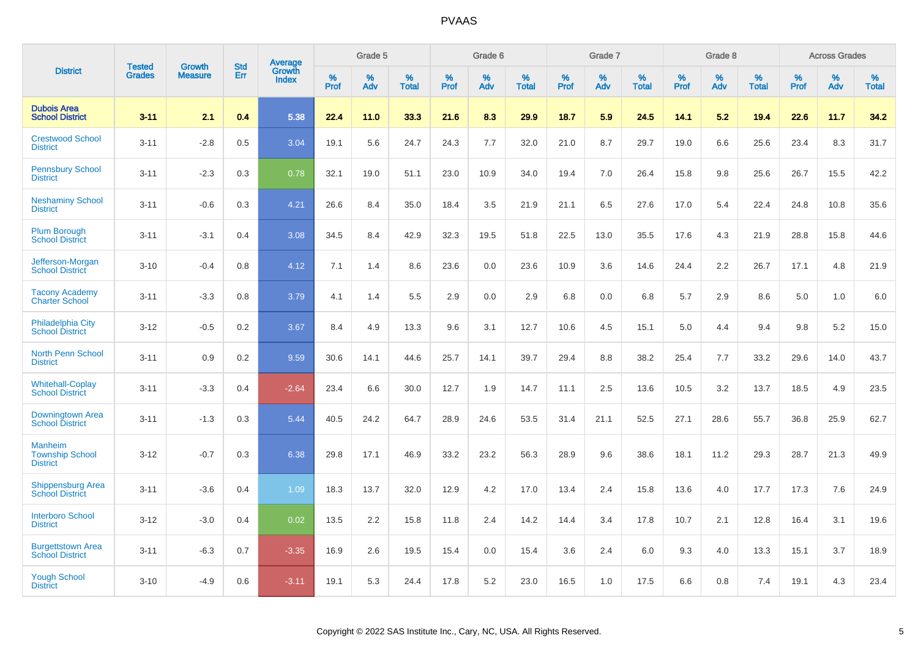|                                                             |                                | <b>Growth</b>  | <b>Std</b> | Average                |              | Grade 5  |                      |              | Grade 6     |                      |              | Grade 7  |                      |              | Grade 8     |                      |              | <b>Across Grades</b> |                      |
|-------------------------------------------------------------|--------------------------------|----------------|------------|------------------------|--------------|----------|----------------------|--------------|-------------|----------------------|--------------|----------|----------------------|--------------|-------------|----------------------|--------------|----------------------|----------------------|
| <b>District</b>                                             | <b>Tested</b><br><b>Grades</b> | <b>Measure</b> | Err        | Growth<br><b>Index</b> | $\%$<br>Prof | %<br>Adv | $\%$<br><b>Total</b> | $\%$<br>Prof | $\%$<br>Adv | $\%$<br><b>Total</b> | $\%$<br>Prof | %<br>Adv | $\%$<br><b>Total</b> | $\%$<br>Prof | $\%$<br>Adv | $\%$<br><b>Total</b> | $\%$<br>Prof | $\%$<br>Adv          | $\%$<br><b>Total</b> |
| <b>Dubois Area</b><br><b>School District</b>                | $3 - 11$                       | 2.1            | 0.4        | 5.38                   | 22.4         | 11.0     | 33.3                 | 21.6         | 8.3         | 29.9                 | 18.7         | 5.9      | 24.5                 | 14.1         | 5.2         | 19.4                 | 22.6         | 11.7                 | 34.2                 |
| <b>Crestwood School</b><br><b>District</b>                  | $3 - 11$                       | $-2.8$         | 0.5        | 3.04                   | 19.1         | 5.6      | 24.7                 | 24.3         | 7.7         | 32.0                 | 21.0         | 8.7      | 29.7                 | 19.0         | 6.6         | 25.6                 | 23.4         | 8.3                  | 31.7                 |
| <b>Pennsbury School</b><br><b>District</b>                  | $3 - 11$                       | $-2.3$         | 0.3        | 0.78                   | 32.1         | 19.0     | 51.1                 | 23.0         | 10.9        | 34.0                 | 19.4         | 7.0      | 26.4                 | 15.8         | 9.8         | 25.6                 | 26.7         | 15.5                 | 42.2                 |
| <b>Neshaminy School</b><br><b>District</b>                  | $3 - 11$                       | $-0.6$         | 0.3        | 4.21                   | 26.6         | 8.4      | 35.0                 | 18.4         | 3.5         | 21.9                 | 21.1         | 6.5      | 27.6                 | 17.0         | 5.4         | 22.4                 | 24.8         | 10.8                 | 35.6                 |
| <b>Plum Borough</b><br><b>School District</b>               | $3 - 11$                       | $-3.1$         | 0.4        | 3.08                   | 34.5         | 8.4      | 42.9                 | 32.3         | 19.5        | 51.8                 | 22.5         | 13.0     | 35.5                 | 17.6         | 4.3         | 21.9                 | 28.8         | 15.8                 | 44.6                 |
| Jefferson-Morgan<br><b>School District</b>                  | $3 - 10$                       | $-0.4$         | 0.8        | 4.12                   | 7.1          | 1.4      | 8.6                  | 23.6         | 0.0         | 23.6                 | 10.9         | 3.6      | 14.6                 | 24.4         | 2.2         | 26.7                 | 17.1         | 4.8                  | 21.9                 |
| <b>Tacony Academy</b><br><b>Charter School</b>              | $3 - 11$                       | $-3.3$         | 0.8        | 3.79                   | 4.1          | 1.4      | 5.5                  | 2.9          | 0.0         | 2.9                  | 6.8          | 0.0      | 6.8                  | 5.7          | 2.9         | 8.6                  | 5.0          | 1.0                  | 6.0                  |
| <b>Philadelphia City</b><br><b>School District</b>          | $3 - 12$                       | $-0.5$         | 0.2        | 3.67                   | 8.4          | 4.9      | 13.3                 | 9.6          | 3.1         | 12.7                 | 10.6         | 4.5      | 15.1                 | 5.0          | 4.4         | 9.4                  | 9.8          | 5.2                  | 15.0                 |
| <b>North Penn School</b><br><b>District</b>                 | $3 - 11$                       | 0.9            | 0.2        | 9.59                   | 30.6         | 14.1     | 44.6                 | 25.7         | 14.1        | 39.7                 | 29.4         | 8.8      | 38.2                 | 25.4         | 7.7         | 33.2                 | 29.6         | 14.0                 | 43.7                 |
| <b>Whitehall-Coplay</b><br><b>School District</b>           | $3 - 11$                       | $-3.3$         | 0.4        | $-2.64$                | 23.4         | 6.6      | 30.0                 | 12.7         | 1.9         | 14.7                 | 11.1         | 2.5      | 13.6                 | 10.5         | 3.2         | 13.7                 | 18.5         | 4.9                  | 23.5                 |
| Downingtown Area<br><b>School District</b>                  | $3 - 11$                       | $-1.3$         | 0.3        | 5.44                   | 40.5         | 24.2     | 64.7                 | 28.9         | 24.6        | 53.5                 | 31.4         | 21.1     | 52.5                 | 27.1         | 28.6        | 55.7                 | 36.8         | 25.9                 | 62.7                 |
| <b>Manheim</b><br><b>Township School</b><br><b>District</b> | $3 - 12$                       | $-0.7$         | 0.3        | 6.38                   | 29.8         | 17.1     | 46.9                 | 33.2         | 23.2        | 56.3                 | 28.9         | 9.6      | 38.6                 | 18.1         | 11.2        | 29.3                 | 28.7         | 21.3                 | 49.9                 |
| <b>Shippensburg Area</b><br><b>School District</b>          | $3 - 11$                       | $-3.6$         | 0.4        | 1.09                   | 18.3         | 13.7     | 32.0                 | 12.9         | 4.2         | 17.0                 | 13.4         | 2.4      | 15.8                 | 13.6         | 4.0         | 17.7                 | 17.3         | 7.6                  | 24.9                 |
| <b>Interboro School</b><br><b>District</b>                  | $3 - 12$                       | $-3.0$         | 0.4        | 0.02                   | 13.5         | 2.2      | 15.8                 | 11.8         | 2.4         | 14.2                 | 14.4         | 3.4      | 17.8                 | 10.7         | 2.1         | 12.8                 | 16.4         | 3.1                  | 19.6                 |
| <b>Burgettstown Area</b><br><b>School District</b>          | $3 - 11$                       | $-6.3$         | 0.7        | $-3.35$                | 16.9         | 2.6      | 19.5                 | 15.4         | 0.0         | 15.4                 | 3.6          | 2.4      | 6.0                  | 9.3          | 4.0         | 13.3                 | 15.1         | 3.7                  | 18.9                 |
| <b>Yough School</b><br><b>District</b>                      | $3 - 10$                       | $-4.9$         | 0.6        | $-3.11$                | 19.1         | 5.3      | 24.4                 | 17.8         | 5.2         | 23.0                 | 16.5         | 1.0      | 17.5                 | 6.6          | 0.8         | 7.4                  | 19.1         | 4.3                  | 23.4                 |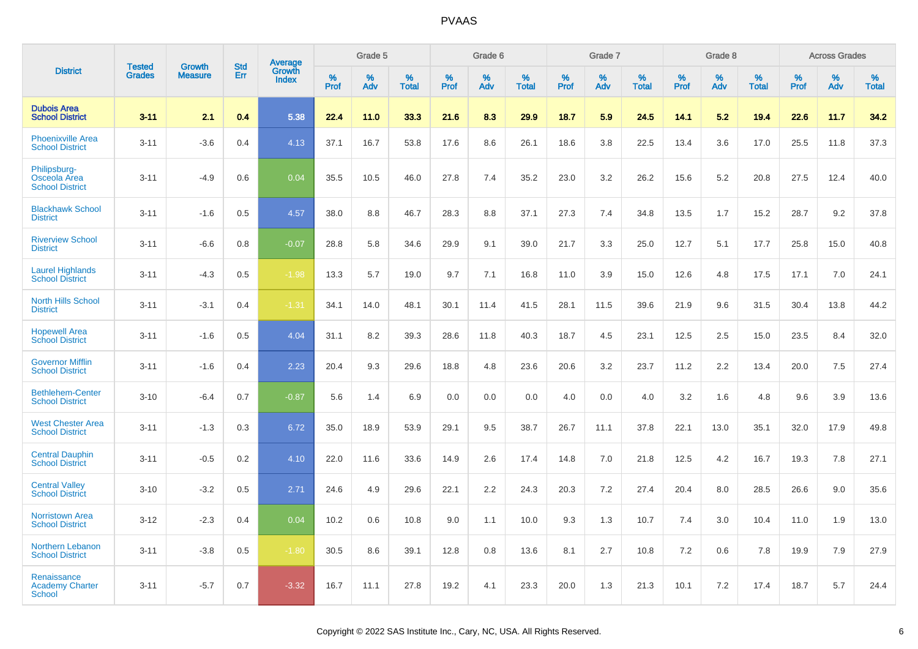|                                                        |                                |                                 | <b>Std</b> | Average                |                     | Grade 5  |                      |                     | Grade 6  |                      |              | Grade 7  |                      |                     | Grade 8  |                      |                     | <b>Across Grades</b> |                      |
|--------------------------------------------------------|--------------------------------|---------------------------------|------------|------------------------|---------------------|----------|----------------------|---------------------|----------|----------------------|--------------|----------|----------------------|---------------------|----------|----------------------|---------------------|----------------------|----------------------|
| <b>District</b>                                        | <b>Tested</b><br><b>Grades</b> | <b>Growth</b><br><b>Measure</b> | <b>Err</b> | Growth<br><b>Index</b> | $\%$<br><b>Prof</b> | %<br>Adv | $\%$<br><b>Total</b> | $\%$<br><b>Prof</b> | %<br>Adv | $\%$<br><b>Total</b> | $\%$<br>Prof | %<br>Adv | $\%$<br><b>Total</b> | $\%$<br><b>Prof</b> | %<br>Adv | $\%$<br><b>Total</b> | $\%$<br><b>Prof</b> | $\%$<br>Adv          | $\%$<br><b>Total</b> |
| <b>Dubois Area</b><br><b>School District</b>           | $3 - 11$                       | 2.1                             | 0.4        | 5.38                   | 22.4                | 11.0     | 33.3                 | 21.6                | 8.3      | 29.9                 | 18.7         | 5.9      | 24.5                 | 14.1                | 5.2      | 19.4                 | 22.6                | 11.7                 | 34.2                 |
| <b>Phoenixville Area</b><br><b>School District</b>     | $3 - 11$                       | $-3.6$                          | 0.4        | 4.13                   | 37.1                | 16.7     | 53.8                 | 17.6                | 8.6      | 26.1                 | 18.6         | 3.8      | 22.5                 | 13.4                | 3.6      | 17.0                 | 25.5                | 11.8                 | 37.3                 |
| Philipsburg-<br>Osceola Area<br><b>School District</b> | $3 - 11$                       | $-4.9$                          | 0.6        | 0.04                   | 35.5                | 10.5     | 46.0                 | 27.8                | 7.4      | 35.2                 | 23.0         | 3.2      | 26.2                 | 15.6                | 5.2      | 20.8                 | 27.5                | 12.4                 | 40.0                 |
| <b>Blackhawk School</b><br><b>District</b>             | $3 - 11$                       | $-1.6$                          | 0.5        | 4.57                   | 38.0                | 8.8      | 46.7                 | 28.3                | 8.8      | 37.1                 | 27.3         | 7.4      | 34.8                 | 13.5                | 1.7      | 15.2                 | 28.7                | 9.2                  | 37.8                 |
| <b>Riverview School</b><br><b>District</b>             | $3 - 11$                       | $-6.6$                          | 0.8        | $-0.07$                | 28.8                | 5.8      | 34.6                 | 29.9                | 9.1      | 39.0                 | 21.7         | 3.3      | 25.0                 | 12.7                | 5.1      | 17.7                 | 25.8                | 15.0                 | 40.8                 |
| <b>Laurel Highlands</b><br><b>School District</b>      | $3 - 11$                       | $-4.3$                          | 0.5        | $-1.98$                | 13.3                | 5.7      | 19.0                 | 9.7                 | 7.1      | 16.8                 | 11.0         | 3.9      | 15.0                 | 12.6                | 4.8      | 17.5                 | 17.1                | 7.0                  | 24.1                 |
| <b>North Hills School</b><br><b>District</b>           | $3 - 11$                       | $-3.1$                          | 0.4        | $-1.31$                | 34.1                | 14.0     | 48.1                 | 30.1                | 11.4     | 41.5                 | 28.1         | 11.5     | 39.6                 | 21.9                | 9.6      | 31.5                 | 30.4                | 13.8                 | 44.2                 |
| <b>Hopewell Area</b><br><b>School District</b>         | $3 - 11$                       | $-1.6$                          | 0.5        | 4.04                   | 31.1                | 8.2      | 39.3                 | 28.6                | 11.8     | 40.3                 | 18.7         | 4.5      | 23.1                 | 12.5                | 2.5      | 15.0                 | 23.5                | 8.4                  | 32.0                 |
| <b>Governor Mifflin</b><br><b>School District</b>      | $3 - 11$                       | $-1.6$                          | 0.4        | 2.23                   | 20.4                | 9.3      | 29.6                 | 18.8                | 4.8      | 23.6                 | 20.6         | 3.2      | 23.7                 | 11.2                | 2.2      | 13.4                 | 20.0                | 7.5                  | 27.4                 |
| <b>Bethlehem-Center</b><br><b>School District</b>      | $3 - 10$                       | $-6.4$                          | 0.7        | $-0.87$                | 5.6                 | 1.4      | 6.9                  | 0.0                 | 0.0      | 0.0                  | 4.0          | 0.0      | 4.0                  | 3.2                 | 1.6      | 4.8                  | 9.6                 | 3.9                  | 13.6                 |
| <b>West Chester Area</b><br><b>School District</b>     | $3 - 11$                       | $-1.3$                          | 0.3        | 6.72                   | 35.0                | 18.9     | 53.9                 | 29.1                | 9.5      | 38.7                 | 26.7         | 11.1     | 37.8                 | 22.1                | 13.0     | 35.1                 | 32.0                | 17.9                 | 49.8                 |
| <b>Central Dauphin</b><br><b>School District</b>       | $3 - 11$                       | $-0.5$                          | 0.2        | 4.10                   | 22.0                | 11.6     | 33.6                 | 14.9                | 2.6      | 17.4                 | 14.8         | 7.0      | 21.8                 | 12.5                | 4.2      | 16.7                 | 19.3                | 7.8                  | 27.1                 |
| <b>Central Valley</b><br><b>School District</b>        | $3 - 10$                       | $-3.2$                          | 0.5        | 2.71                   | 24.6                | 4.9      | 29.6                 | 22.1                | 2.2      | 24.3                 | 20.3         | 7.2      | 27.4                 | 20.4                | 8.0      | 28.5                 | 26.6                | 9.0                  | 35.6                 |
| <b>Norristown Area</b><br><b>School District</b>       | $3 - 12$                       | $-2.3$                          | 0.4        | 0.04                   | 10.2                | 0.6      | 10.8                 | 9.0                 | 1.1      | 10.0                 | 9.3          | 1.3      | 10.7                 | 7.4                 | 3.0      | 10.4                 | 11.0                | 1.9                  | 13.0                 |
| Northern Lebanon<br><b>School District</b>             | $3 - 11$                       | $-3.8$                          | 0.5        | $-1.80$                | 30.5                | 8.6      | 39.1                 | 12.8                | 0.8      | 13.6                 | 8.1          | 2.7      | 10.8                 | 7.2                 | 0.6      | 7.8                  | 19.9                | 7.9                  | 27.9                 |
| Renaissance<br><b>Academy Charter</b><br>School        | $3 - 11$                       | $-5.7$                          | 0.7        | $-3.32$                | 16.7                | 11.1     | 27.8                 | 19.2                | 4.1      | 23.3                 | 20.0         | 1.3      | 21.3                 | 10.1                | 7.2      | 17.4                 | 18.7                | 5.7                  | 24.4                 |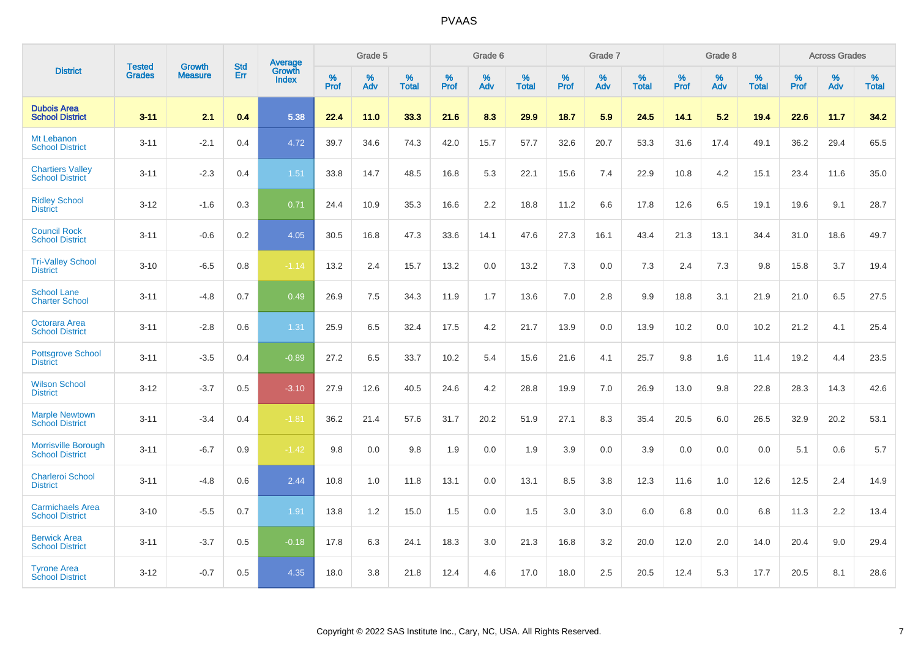|                                                      |                                |                                 | <b>Std</b> | <b>Average</b>         |           | Grade 5  |                   |           | Grade 6  |                   |           | Grade 7  |                   |           | Grade 8  |                   |           | <b>Across Grades</b> |                   |
|------------------------------------------------------|--------------------------------|---------------------------------|------------|------------------------|-----------|----------|-------------------|-----------|----------|-------------------|-----------|----------|-------------------|-----------|----------|-------------------|-----------|----------------------|-------------------|
| <b>District</b>                                      | <b>Tested</b><br><b>Grades</b> | <b>Growth</b><br><b>Measure</b> | Err        | Growth<br><b>Index</b> | %<br>Prof | %<br>Adv | %<br><b>Total</b> | %<br>Prof | %<br>Adv | %<br><b>Total</b> | %<br>Prof | %<br>Adv | %<br><b>Total</b> | %<br>Prof | %<br>Adv | %<br><b>Total</b> | %<br>Prof | %<br>Adv             | %<br><b>Total</b> |
| <b>Dubois Area</b><br><b>School District</b>         | $3 - 11$                       | 2.1                             | 0.4        | 5.38                   | 22.4      | 11.0     | 33.3              | 21.6      | 8.3      | 29.9              | 18.7      | 5.9      | 24.5              | 14.1      | 5.2      | 19.4              | 22.6      | 11.7                 | 34.2              |
| Mt Lebanon<br><b>School District</b>                 | $3 - 11$                       | $-2.1$                          | 0.4        | 4.72                   | 39.7      | 34.6     | 74.3              | 42.0      | 15.7     | 57.7              | 32.6      | 20.7     | 53.3              | 31.6      | 17.4     | 49.1              | 36.2      | 29.4                 | 65.5              |
| <b>Chartiers Valley</b><br><b>School District</b>    | $3 - 11$                       | $-2.3$                          | 0.4        | 1.51                   | 33.8      | 14.7     | 48.5              | 16.8      | 5.3      | 22.1              | 15.6      | 7.4      | 22.9              | 10.8      | 4.2      | 15.1              | 23.4      | 11.6                 | 35.0              |
| <b>Ridley School</b><br><b>District</b>              | $3 - 12$                       | $-1.6$                          | 0.3        | 0.71                   | 24.4      | 10.9     | 35.3              | 16.6      | 2.2      | 18.8              | 11.2      | 6.6      | 17.8              | 12.6      | 6.5      | 19.1              | 19.6      | 9.1                  | 28.7              |
| <b>Council Rock</b><br><b>School District</b>        | $3 - 11$                       | $-0.6$                          | 0.2        | 4.05                   | 30.5      | 16.8     | 47.3              | 33.6      | 14.1     | 47.6              | 27.3      | 16.1     | 43.4              | 21.3      | 13.1     | 34.4              | 31.0      | 18.6                 | 49.7              |
| <b>Tri-Valley School</b><br><b>District</b>          | $3 - 10$                       | $-6.5$                          | 0.8        | $-1.14$                | 13.2      | 2.4      | 15.7              | 13.2      | 0.0      | 13.2              | 7.3       | 0.0      | 7.3               | 2.4       | 7.3      | 9.8               | 15.8      | 3.7                  | 19.4              |
| <b>School Lane</b><br><b>Charter School</b>          | $3 - 11$                       | $-4.8$                          | 0.7        | 0.49                   | 26.9      | 7.5      | 34.3              | 11.9      | 1.7      | 13.6              | 7.0       | 2.8      | 9.9               | 18.8      | 3.1      | 21.9              | 21.0      | 6.5                  | 27.5              |
| Octorara Area<br><b>School District</b>              | $3 - 11$                       | $-2.8$                          | 0.6        | 1.31                   | 25.9      | 6.5      | 32.4              | 17.5      | 4.2      | 21.7              | 13.9      | 0.0      | 13.9              | 10.2      | 0.0      | 10.2              | 21.2      | 4.1                  | 25.4              |
| <b>Pottsgrove School</b><br><b>District</b>          | $3 - 11$                       | $-3.5$                          | 0.4        | $-0.89$                | 27.2      | 6.5      | 33.7              | 10.2      | 5.4      | 15.6              | 21.6      | 4.1      | 25.7              | 9.8       | 1.6      | 11.4              | 19.2      | 4.4                  | 23.5              |
| <b>Wilson School</b><br><b>District</b>              | $3 - 12$                       | $-3.7$                          | 0.5        | $-3.10$                | 27.9      | 12.6     | 40.5              | 24.6      | 4.2      | 28.8              | 19.9      | 7.0      | 26.9              | 13.0      | 9.8      | 22.8              | 28.3      | 14.3                 | 42.6              |
| <b>Marple Newtown</b><br><b>School District</b>      | $3 - 11$                       | $-3.4$                          | 0.4        | $-1.81$                | 36.2      | 21.4     | 57.6              | 31.7      | 20.2     | 51.9              | 27.1      | 8.3      | 35.4              | 20.5      | 6.0      | 26.5              | 32.9      | 20.2                 | 53.1              |
| <b>Morrisville Borough</b><br><b>School District</b> | $3 - 11$                       | $-6.7$                          | 0.9        | $-1.42$                | 9.8       | 0.0      | 9.8               | 1.9       | 0.0      | 1.9               | 3.9       | 0.0      | 3.9               | 0.0       | 0.0      | 0.0               | 5.1       | 0.6                  | 5.7               |
| <b>Charleroi School</b><br><b>District</b>           | $3 - 11$                       | $-4.8$                          | 0.6        | 2.44                   | 10.8      | 1.0      | 11.8              | 13.1      | 0.0      | 13.1              | 8.5       | 3.8      | 12.3              | 11.6      | 1.0      | 12.6              | 12.5      | 2.4                  | 14.9              |
| <b>Carmichaels Area</b><br><b>School District</b>    | $3 - 10$                       | $-5.5$                          | 0.7        | 1.91                   | 13.8      | 1.2      | 15.0              | 1.5       | 0.0      | 1.5               | 3.0       | 3.0      | 6.0               | 6.8       | 0.0      | 6.8               | 11.3      | 2.2                  | 13.4              |
| <b>Berwick Area</b><br><b>School District</b>        | $3 - 11$                       | $-3.7$                          | 0.5        | $-0.18$                | 17.8      | 6.3      | 24.1              | 18.3      | 3.0      | 21.3              | 16.8      | 3.2      | 20.0              | 12.0      | 2.0      | 14.0              | 20.4      | 9.0                  | 29.4              |
| <b>Tyrone Area</b><br><b>School District</b>         | $3 - 12$                       | $-0.7$                          | 0.5        | 4.35                   | 18.0      | 3.8      | 21.8              | 12.4      | 4.6      | 17.0              | 18.0      | 2.5      | 20.5              | 12.4      | 5.3      | 17.7              | 20.5      | 8.1                  | 28.6              |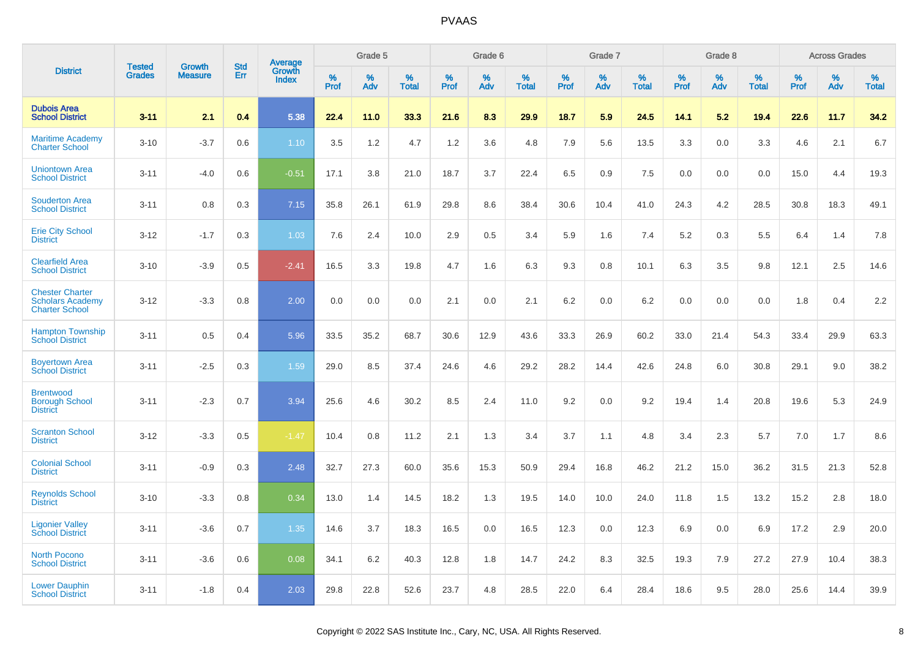|                                                                            | <b>Tested</b> | <b>Growth</b>  | <b>Std</b> | Average                |              | Grade 5  |                   |              | Grade 6  |                   |              | Grade 7  |                   |              | Grade 8  |                   |              | <b>Across Grades</b> |                   |
|----------------------------------------------------------------------------|---------------|----------------|------------|------------------------|--------------|----------|-------------------|--------------|----------|-------------------|--------------|----------|-------------------|--------------|----------|-------------------|--------------|----------------------|-------------------|
| <b>District</b>                                                            | <b>Grades</b> | <b>Measure</b> | Err        | Growth<br><b>Index</b> | $\%$<br>Prof | %<br>Adv | %<br><b>Total</b> | $\%$<br>Prof | %<br>Adv | %<br><b>Total</b> | $\%$<br>Prof | %<br>Adv | %<br><b>Total</b> | $\%$<br>Prof | %<br>Adv | %<br><b>Total</b> | $\%$<br>Prof | %<br>Adv             | %<br><b>Total</b> |
| <b>Dubois Area</b><br><b>School District</b>                               | $3 - 11$      | 2.1            | 0.4        | 5.38                   | 22.4         | 11.0     | 33.3              | 21.6         | 8.3      | 29.9              | 18.7         | 5.9      | 24.5              | 14.1         | 5.2      | 19.4              | 22.6         | 11.7                 | 34.2              |
| <b>Maritime Academy</b><br><b>Charter School</b>                           | $3 - 10$      | $-3.7$         | 0.6        | 1.10                   | 3.5          | 1.2      | 4.7               | 1.2          | 3.6      | 4.8               | 7.9          | 5.6      | 13.5              | 3.3          | 0.0      | 3.3               | 4.6          | 2.1                  | 6.7               |
| <b>Uniontown Area</b><br><b>School District</b>                            | $3 - 11$      | $-4.0$         | 0.6        | $-0.51$                | 17.1         | 3.8      | 21.0              | 18.7         | 3.7      | 22.4              | 6.5          | 0.9      | 7.5               | 0.0          | 0.0      | 0.0               | 15.0         | 4.4                  | 19.3              |
| <b>Souderton Area</b><br><b>School District</b>                            | $3 - 11$      | 0.8            | 0.3        | 7.15                   | 35.8         | 26.1     | 61.9              | 29.8         | 8.6      | 38.4              | 30.6         | 10.4     | 41.0              | 24.3         | 4.2      | 28.5              | 30.8         | 18.3                 | 49.1              |
| <b>Erie City School</b><br><b>District</b>                                 | $3 - 12$      | $-1.7$         | 0.3        | 1.03                   | 7.6          | 2.4      | 10.0              | 2.9          | 0.5      | 3.4               | 5.9          | 1.6      | 7.4               | 5.2          | 0.3      | 5.5               | 6.4          | 1.4                  | 7.8               |
| <b>Clearfield Area</b><br><b>School District</b>                           | $3 - 10$      | $-3.9$         | 0.5        | $-2.41$                | 16.5         | 3.3      | 19.8              | 4.7          | 1.6      | 6.3               | 9.3          | 0.8      | 10.1              | 6.3          | 3.5      | 9.8               | 12.1         | 2.5                  | 14.6              |
| <b>Chester Charter</b><br><b>Scholars Academy</b><br><b>Charter School</b> | $3 - 12$      | $-3.3$         | 0.8        | 2.00                   | 0.0          | 0.0      | 0.0               | 2.1          | 0.0      | 2.1               | 6.2          | 0.0      | 6.2               | 0.0          | 0.0      | 0.0               | 1.8          | 0.4                  | 2.2               |
| <b>Hampton Township</b><br><b>School District</b>                          | $3 - 11$      | 0.5            | 0.4        | 5.96                   | 33.5         | 35.2     | 68.7              | 30.6         | 12.9     | 43.6              | 33.3         | 26.9     | 60.2              | 33.0         | 21.4     | 54.3              | 33.4         | 29.9                 | 63.3              |
| <b>Boyertown Area</b><br><b>School District</b>                            | $3 - 11$      | $-2.5$         | 0.3        | 1.59                   | 29.0         | 8.5      | 37.4              | 24.6         | 4.6      | 29.2              | 28.2         | 14.4     | 42.6              | 24.8         | 6.0      | 30.8              | 29.1         | 9.0                  | 38.2              |
| <b>Brentwood</b><br><b>Borough School</b><br><b>District</b>               | $3 - 11$      | $-2.3$         | 0.7        | 3.94                   | 25.6         | 4.6      | 30.2              | 8.5          | 2.4      | 11.0              | 9.2          | 0.0      | 9.2               | 19.4         | 1.4      | 20.8              | 19.6         | 5.3                  | 24.9              |
| <b>Scranton School</b><br><b>District</b>                                  | $3 - 12$      | $-3.3$         | 0.5        | $-1.47$                | 10.4         | 0.8      | 11.2              | 2.1          | 1.3      | 3.4               | 3.7          | 1.1      | 4.8               | 3.4          | 2.3      | 5.7               | 7.0          | 1.7                  | 8.6               |
| <b>Colonial School</b><br><b>District</b>                                  | $3 - 11$      | $-0.9$         | 0.3        | 2.48                   | 32.7         | 27.3     | 60.0              | 35.6         | 15.3     | 50.9              | 29.4         | 16.8     | 46.2              | 21.2         | 15.0     | 36.2              | 31.5         | 21.3                 | 52.8              |
| <b>Reynolds School</b><br><b>District</b>                                  | $3 - 10$      | $-3.3$         | 0.8        | 0.34                   | 13.0         | 1.4      | 14.5              | 18.2         | 1.3      | 19.5              | 14.0         | 10.0     | 24.0              | 11.8         | 1.5      | 13.2              | 15.2         | 2.8                  | 18.0              |
| <b>Ligonier Valley</b><br><b>School District</b>                           | $3 - 11$      | $-3.6$         | 0.7        | 1.35                   | 14.6         | 3.7      | 18.3              | 16.5         | 0.0      | 16.5              | 12.3         | 0.0      | 12.3              | 6.9          | 0.0      | 6.9               | 17.2         | 2.9                  | 20.0              |
| <b>North Pocono</b><br><b>School District</b>                              | $3 - 11$      | $-3.6$         | 0.6        | 0.08                   | 34.1         | 6.2      | 40.3              | 12.8         | 1.8      | 14.7              | 24.2         | 8.3      | 32.5              | 19.3         | 7.9      | 27.2              | 27.9         | 10.4                 | 38.3              |
| <b>Lower Dauphin</b><br><b>School District</b>                             | $3 - 11$      | $-1.8$         | 0.4        | 2.03                   | 29.8         | 22.8     | 52.6              | 23.7         | 4.8      | 28.5              | 22.0         | 6.4      | 28.4              | 18.6         | 9.5      | 28.0              | 25.6         | 14.4                 | 39.9              |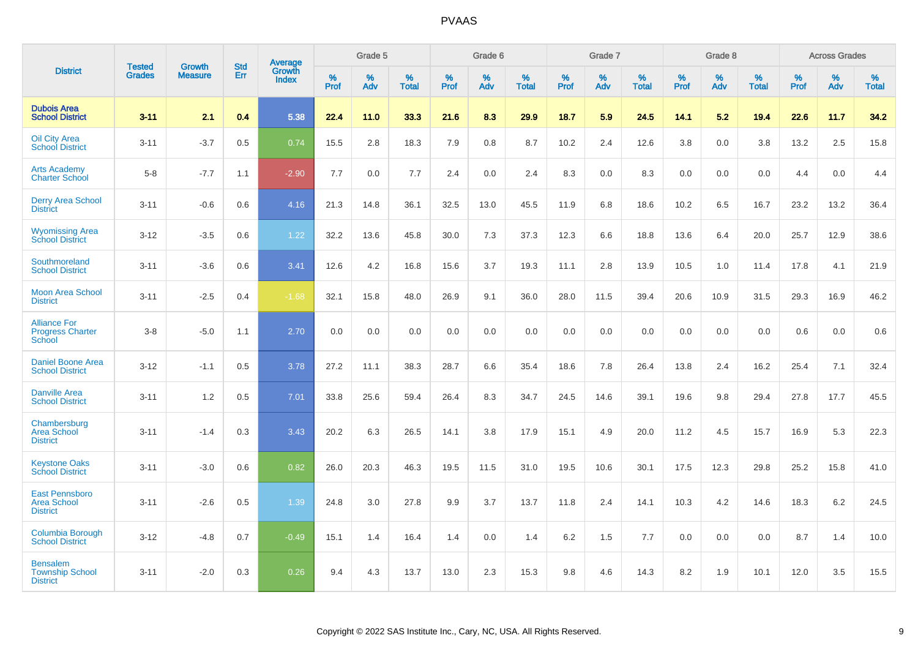|                                                                |                                |                                 | <b>Std</b> | Average                |           | Grade 5  |                   |           | Grade 6  |                   |           | Grade 7  |                      |           | Grade 8  |                   |           | <b>Across Grades</b> |                   |
|----------------------------------------------------------------|--------------------------------|---------------------------------|------------|------------------------|-----------|----------|-------------------|-----------|----------|-------------------|-----------|----------|----------------------|-----------|----------|-------------------|-----------|----------------------|-------------------|
| <b>District</b>                                                | <b>Tested</b><br><b>Grades</b> | <b>Growth</b><br><b>Measure</b> | Err        | Growth<br><b>Index</b> | %<br>Prof | %<br>Adv | %<br><b>Total</b> | %<br>Prof | %<br>Adv | %<br><b>Total</b> | %<br>Prof | %<br>Adv | $\%$<br><b>Total</b> | %<br>Prof | %<br>Adv | %<br><b>Total</b> | %<br>Prof | %<br>Adv             | %<br><b>Total</b> |
| <b>Dubois Area</b><br><b>School District</b>                   | $3 - 11$                       | 2.1                             | 0.4        | 5.38                   | 22.4      | 11.0     | 33.3              | 21.6      | 8.3      | 29.9              | 18.7      | 5.9      | 24.5                 | 14.1      | 5.2      | 19.4              | 22.6      | 11.7                 | 34.2              |
| <b>Oil City Area</b><br><b>School District</b>                 | $3 - 11$                       | $-3.7$                          | 0.5        | 0.74                   | 15.5      | 2.8      | 18.3              | 7.9       | 0.8      | 8.7               | 10.2      | 2.4      | 12.6                 | 3.8       | 0.0      | 3.8               | 13.2      | 2.5                  | 15.8              |
| <b>Arts Academy</b><br><b>Charter School</b>                   | $5 - 8$                        | $-7.7$                          | 1.1        | $-2.90$                | 7.7       | 0.0      | 7.7               | 2.4       | 0.0      | 2.4               | 8.3       | 0.0      | 8.3                  | 0.0       | 0.0      | 0.0               | 4.4       | 0.0                  | 4.4               |
| <b>Derry Area School</b><br><b>District</b>                    | $3 - 11$                       | $-0.6$                          | 0.6        | 4.16                   | 21.3      | 14.8     | 36.1              | 32.5      | 13.0     | 45.5              | 11.9      | 6.8      | 18.6                 | 10.2      | 6.5      | 16.7              | 23.2      | 13.2                 | 36.4              |
| <b>Wyomissing Area</b><br><b>School District</b>               | $3 - 12$                       | $-3.5$                          | 0.6        | 1.22                   | 32.2      | 13.6     | 45.8              | 30.0      | 7.3      | 37.3              | 12.3      | 6.6      | 18.8                 | 13.6      | 6.4      | 20.0              | 25.7      | 12.9                 | 38.6              |
| Southmoreland<br><b>School District</b>                        | $3 - 11$                       | $-3.6$                          | 0.6        | 3.41                   | 12.6      | 4.2      | 16.8              | 15.6      | 3.7      | 19.3              | 11.1      | 2.8      | 13.9                 | 10.5      | 1.0      | 11.4              | 17.8      | 4.1                  | 21.9              |
| <b>Moon Area School</b><br><b>District</b>                     | $3 - 11$                       | $-2.5$                          | 0.4        | $-1.68$                | 32.1      | 15.8     | 48.0              | 26.9      | 9.1      | 36.0              | 28.0      | 11.5     | 39.4                 | 20.6      | 10.9     | 31.5              | 29.3      | 16.9                 | 46.2              |
| <b>Alliance For</b><br><b>Progress Charter</b><br>School       | $3 - 8$                        | $-5.0$                          | 1.1        | 2.70                   | 0.0       | 0.0      | 0.0               | 0.0       | 0.0      | 0.0               | 0.0       | 0.0      | 0.0                  | 0.0       | 0.0      | 0.0               | 0.6       | 0.0                  | 0.6               |
| <b>Daniel Boone Area</b><br><b>School District</b>             | $3 - 12$                       | $-1.1$                          | 0.5        | 3.78                   | 27.2      | 11.1     | 38.3              | 28.7      | 6.6      | 35.4              | 18.6      | 7.8      | 26.4                 | 13.8      | 2.4      | 16.2              | 25.4      | 7.1                  | 32.4              |
| <b>Danville Area</b><br><b>School District</b>                 | $3 - 11$                       | 1.2                             | 0.5        | 7.01                   | 33.8      | 25.6     | 59.4              | 26.4      | 8.3      | 34.7              | 24.5      | 14.6     | 39.1                 | 19.6      | 9.8      | 29.4              | 27.8      | 17.7                 | 45.5              |
| Chambersburg<br><b>Area School</b><br><b>District</b>          | $3 - 11$                       | $-1.4$                          | 0.3        | 3.43                   | 20.2      | 6.3      | 26.5              | 14.1      | 3.8      | 17.9              | 15.1      | 4.9      | 20.0                 | 11.2      | 4.5      | 15.7              | 16.9      | 5.3                  | 22.3              |
| <b>Keystone Oaks</b><br><b>School District</b>                 | $3 - 11$                       | $-3.0$                          | 0.6        | 0.82                   | 26.0      | 20.3     | 46.3              | 19.5      | 11.5     | 31.0              | 19.5      | 10.6     | 30.1                 | 17.5      | 12.3     | 29.8              | 25.2      | 15.8                 | 41.0              |
| <b>East Pennsboro</b><br><b>Area School</b><br><b>District</b> | $3 - 11$                       | $-2.6$                          | 0.5        | 1.39                   | 24.8      | 3.0      | 27.8              | 9.9       | 3.7      | 13.7              | 11.8      | 2.4      | 14.1                 | 10.3      | 4.2      | 14.6              | 18.3      | $6.2\,$              | 24.5              |
| Columbia Borough<br><b>School District</b>                     | $3 - 12$                       | $-4.8$                          | 0.7        | $-0.49$                | 15.1      | 1.4      | 16.4              | 1.4       | 0.0      | 1.4               | 6.2       | 1.5      | 7.7                  | 0.0       | 0.0      | 0.0               | 8.7       | 1.4                  | 10.0              |
| <b>Bensalem</b><br><b>Township School</b><br><b>District</b>   | $3 - 11$                       | $-2.0$                          | 0.3        | 0.26                   | 9.4       | 4.3      | 13.7              | 13.0      | 2.3      | 15.3              | 9.8       | 4.6      | 14.3                 | 8.2       | 1.9      | 10.1              | 12.0      | 3.5                  | 15.5              |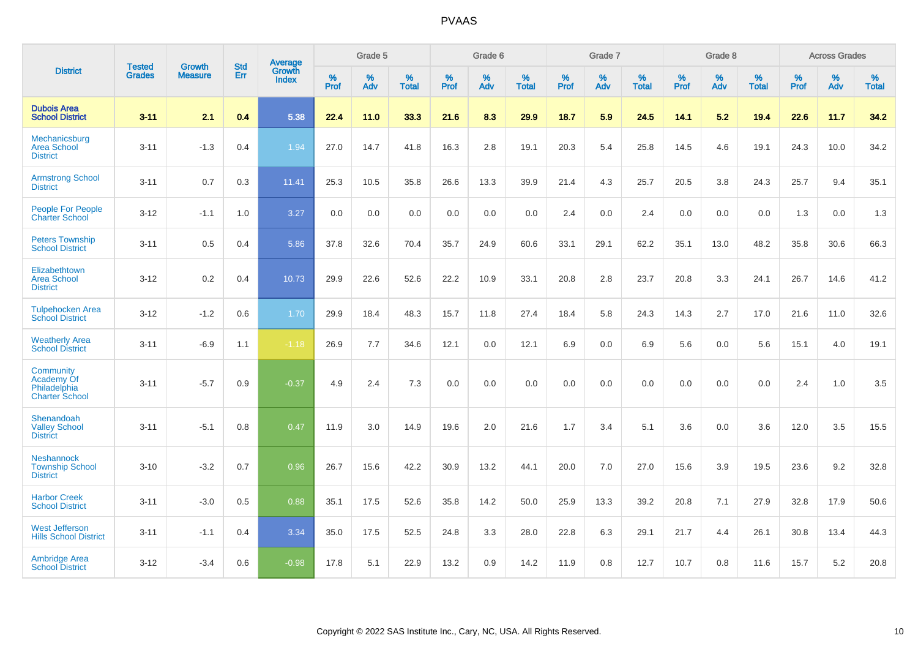|                                                                         | <b>Tested</b> |                                 | <b>Std</b> | Average                |           | Grade 5  |                   |           | Grade 6  |                   |           | Grade 7  |                   |           | Grade 8  |                   |           | <b>Across Grades</b> |                   |
|-------------------------------------------------------------------------|---------------|---------------------------------|------------|------------------------|-----------|----------|-------------------|-----------|----------|-------------------|-----------|----------|-------------------|-----------|----------|-------------------|-----------|----------------------|-------------------|
| <b>District</b>                                                         | <b>Grades</b> | <b>Growth</b><br><b>Measure</b> | Err        | Growth<br><b>Index</b> | %<br>Prof | %<br>Adv | %<br><b>Total</b> | %<br>Prof | %<br>Adv | %<br><b>Total</b> | %<br>Prof | %<br>Adv | %<br><b>Total</b> | %<br>Prof | %<br>Adv | %<br><b>Total</b> | %<br>Prof | %<br>Adv             | %<br><b>Total</b> |
| <b>Dubois Area</b><br><b>School District</b>                            | $3 - 11$      | 2.1                             | 0.4        | 5.38                   | 22.4      | 11.0     | 33.3              | 21.6      | 8.3      | 29.9              | 18.7      | 5.9      | 24.5              | 14.1      | 5.2      | 19.4              | 22.6      | 11.7                 | 34.2              |
| Mechanicsburg<br>Area School<br><b>District</b>                         | $3 - 11$      | $-1.3$                          | 0.4        | 1.94                   | 27.0      | 14.7     | 41.8              | 16.3      | 2.8      | 19.1              | 20.3      | 5.4      | 25.8              | 14.5      | 4.6      | 19.1              | 24.3      | 10.0                 | 34.2              |
| <b>Armstrong School</b><br><b>District</b>                              | $3 - 11$      | 0.7                             | 0.3        | 11.41                  | 25.3      | 10.5     | 35.8              | 26.6      | 13.3     | 39.9              | 21.4      | 4.3      | 25.7              | 20.5      | 3.8      | 24.3              | 25.7      | 9.4                  | 35.1              |
| <b>People For People</b><br><b>Charter School</b>                       | $3 - 12$      | $-1.1$                          | 1.0        | 3.27                   | 0.0       | 0.0      | 0.0               | 0.0       | 0.0      | 0.0               | 2.4       | 0.0      | 2.4               | 0.0       | 0.0      | 0.0               | 1.3       | 0.0                  | 1.3               |
| <b>Peters Township</b><br><b>School District</b>                        | $3 - 11$      | 0.5                             | 0.4        | 5.86                   | 37.8      | 32.6     | 70.4              | 35.7      | 24.9     | 60.6              | 33.1      | 29.1     | 62.2              | 35.1      | 13.0     | 48.2              | 35.8      | 30.6                 | 66.3              |
| Elizabethtown<br><b>Area School</b><br><b>District</b>                  | $3 - 12$      | 0.2                             | 0.4        | 10.73                  | 29.9      | 22.6     | 52.6              | 22.2      | 10.9     | 33.1              | 20.8      | 2.8      | 23.7              | 20.8      | 3.3      | 24.1              | 26.7      | 14.6                 | 41.2              |
| <b>Tulpehocken Area</b><br><b>School District</b>                       | $3 - 12$      | $-1.2$                          | 0.6        | 1.70                   | 29.9      | 18.4     | 48.3              | 15.7      | 11.8     | 27.4              | 18.4      | 5.8      | 24.3              | 14.3      | 2.7      | 17.0              | 21.6      | 11.0                 | 32.6              |
| <b>Weatherly Area</b><br><b>School District</b>                         | $3 - 11$      | $-6.9$                          | 1.1        | $-1.18$                | 26.9      | 7.7      | 34.6              | 12.1      | 0.0      | 12.1              | 6.9       | 0.0      | 6.9               | 5.6       | 0.0      | 5.6               | 15.1      | 4.0                  | 19.1              |
| <b>Community</b><br>Academy Of<br>Philadelphia<br><b>Charter School</b> | $3 - 11$      | $-5.7$                          | 0.9        | $-0.37$                | 4.9       | 2.4      | 7.3               | 0.0       | 0.0      | 0.0               | 0.0       | 0.0      | 0.0               | 0.0       | 0.0      | 0.0               | 2.4       | 1.0                  | 3.5               |
| Shenandoah<br><b>Valley School</b><br><b>District</b>                   | $3 - 11$      | $-5.1$                          | 0.8        | 0.47                   | 11.9      | 3.0      | 14.9              | 19.6      | 2.0      | 21.6              | 1.7       | 3.4      | 5.1               | 3.6       | 0.0      | 3.6               | 12.0      | 3.5                  | 15.5              |
| <b>Neshannock</b><br><b>Township School</b><br><b>District</b>          | $3 - 10$      | $-3.2$                          | 0.7        | 0.96                   | 26.7      | 15.6     | 42.2              | 30.9      | 13.2     | 44.1              | 20.0      | 7.0      | 27.0              | 15.6      | 3.9      | 19.5              | 23.6      | 9.2                  | 32.8              |
| <b>Harbor Creek</b><br><b>School District</b>                           | $3 - 11$      | $-3.0$                          | 0.5        | 0.88                   | 35.1      | 17.5     | 52.6              | 35.8      | 14.2     | 50.0              | 25.9      | 13.3     | 39.2              | 20.8      | 7.1      | 27.9              | 32.8      | 17.9                 | 50.6              |
| <b>West Jefferson</b><br><b>Hills School District</b>                   | $3 - 11$      | $-1.1$                          | 0.4        | 3.34                   | 35.0      | 17.5     | 52.5              | 24.8      | 3.3      | 28.0              | 22.8      | 6.3      | 29.1              | 21.7      | 4.4      | 26.1              | 30.8      | 13.4                 | 44.3              |
| <b>Ambridge Area</b><br><b>School District</b>                          | $3 - 12$      | $-3.4$                          | 0.6        | $-0.98$                | 17.8      | 5.1      | 22.9              | 13.2      | 0.9      | 14.2              | 11.9      | 0.8      | 12.7              | 10.7      | 0.8      | 11.6              | 15.7      | 5.2                  | 20.8              |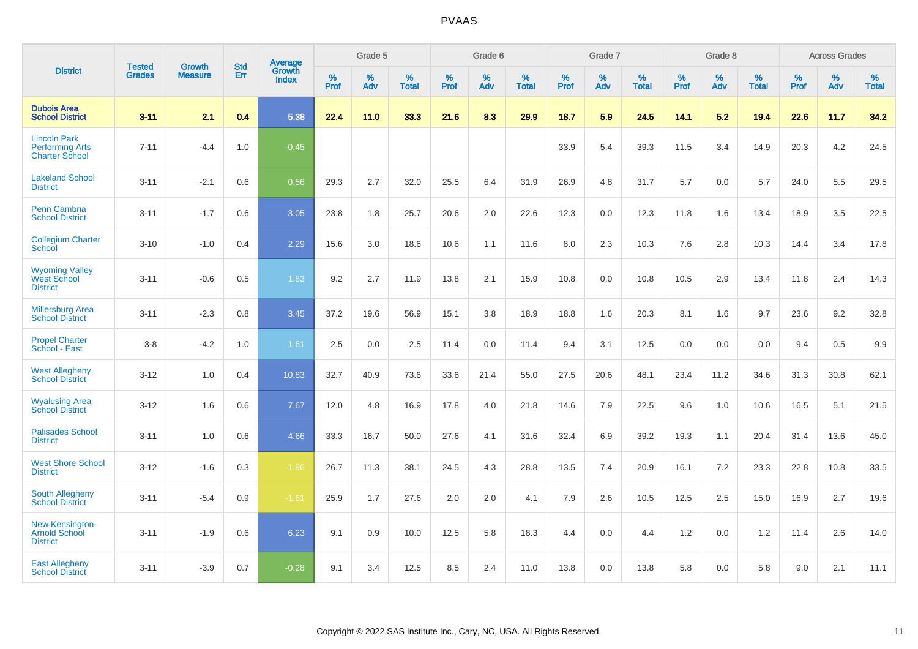|                                                                        | <b>Tested</b> | <b>Growth</b>  | <b>Std</b> | Average                       |           | Grade 5  |                   |           | Grade 6  |                   |           | Grade 7  |                   |           | Grade 8  |                   |           | <b>Across Grades</b> |                   |
|------------------------------------------------------------------------|---------------|----------------|------------|-------------------------------|-----------|----------|-------------------|-----------|----------|-------------------|-----------|----------|-------------------|-----------|----------|-------------------|-----------|----------------------|-------------------|
| <b>District</b>                                                        | <b>Grades</b> | <b>Measure</b> | Err        | <b>Growth</b><br><b>Index</b> | %<br>Prof | %<br>Adv | %<br><b>Total</b> | %<br>Prof | %<br>Adv | %<br><b>Total</b> | %<br>Prof | %<br>Adv | %<br><b>Total</b> | %<br>Prof | %<br>Adv | %<br><b>Total</b> | %<br>Prof | %<br>Adv             | %<br><b>Total</b> |
| <b>Dubois Area</b><br><b>School District</b>                           | $3 - 11$      | 2.1            | 0.4        | 5.38                          | 22.4      | 11.0     | 33.3              | 21.6      | 8.3      | 29.9              | 18.7      | 5.9      | 24.5              | 14.1      | 5.2      | 19.4              | 22.6      | 11.7                 | 34.2              |
| <b>Lincoln Park</b><br><b>Performing Arts</b><br><b>Charter School</b> | $7 - 11$      | $-4.4$         | 1.0        | $-0.45$                       |           |          |                   |           |          |                   | 33.9      | 5.4      | 39.3              | 11.5      | 3.4      | 14.9              | 20.3      | 4.2                  | 24.5              |
| <b>Lakeland School</b><br><b>District</b>                              | $3 - 11$      | $-2.1$         | 0.6        | 0.56                          | 29.3      | 2.7      | 32.0              | 25.5      | 6.4      | 31.9              | 26.9      | 4.8      | 31.7              | 5.7       | 0.0      | 5.7               | 24.0      | 5.5                  | 29.5              |
| <b>Penn Cambria</b><br><b>School District</b>                          | $3 - 11$      | $-1.7$         | 0.6        | 3.05                          | 23.8      | 1.8      | 25.7              | 20.6      | 2.0      | 22.6              | 12.3      | 0.0      | 12.3              | 11.8      | 1.6      | 13.4              | 18.9      | 3.5                  | 22.5              |
| <b>Collegium Charter</b><br>School                                     | $3 - 10$      | $-1.0$         | 0.4        | 2.29                          | 15.6      | 3.0      | 18.6              | 10.6      | 1.1      | 11.6              | 8.0       | 2.3      | 10.3              | 7.6       | 2.8      | 10.3              | 14.4      | 3.4                  | 17.8              |
| <b>Wyoming Valley</b><br>West School<br><b>District</b>                | $3 - 11$      | $-0.6$         | 0.5        | 1.83                          | 9.2       | 2.7      | 11.9              | 13.8      | 2.1      | 15.9              | 10.8      | 0.0      | 10.8              | 10.5      | 2.9      | 13.4              | 11.8      | 2.4                  | 14.3              |
| <b>Millersburg Area</b><br><b>School District</b>                      | $3 - 11$      | $-2.3$         | 0.8        | 3.45                          | 37.2      | 19.6     | 56.9              | 15.1      | 3.8      | 18.9              | 18.8      | 1.6      | 20.3              | 8.1       | 1.6      | 9.7               | 23.6      | 9.2                  | 32.8              |
| <b>Propel Charter</b><br>School - East                                 | $3 - 8$       | $-4.2$         | 1.0        | 1.61                          | 2.5       | 0.0      | 2.5               | 11.4      | 0.0      | 11.4              | 9.4       | 3.1      | 12.5              | 0.0       | 0.0      | 0.0               | 9.4       | 0.5                  | 9.9               |
| <b>West Allegheny</b><br><b>School District</b>                        | $3 - 12$      | 1.0            | 0.4        | 10.83                         | 32.7      | 40.9     | 73.6              | 33.6      | 21.4     | 55.0              | 27.5      | 20.6     | 48.1              | 23.4      | 11.2     | 34.6              | 31.3      | 30.8                 | 62.1              |
| <b>Wyalusing Area</b><br><b>School District</b>                        | $3 - 12$      | 1.6            | 0.6        | 7.67                          | 12.0      | 4.8      | 16.9              | 17.8      | 4.0      | 21.8              | 14.6      | 7.9      | 22.5              | 9.6       | 1.0      | 10.6              | 16.5      | 5.1                  | 21.5              |
| <b>Palisades School</b><br><b>District</b>                             | $3 - 11$      | 1.0            | 0.6        | 4.66                          | 33.3      | 16.7     | 50.0              | 27.6      | 4.1      | 31.6              | 32.4      | 6.9      | 39.2              | 19.3      | 1.1      | 20.4              | 31.4      | 13.6                 | 45.0              |
| <b>West Shore School</b><br><b>District</b>                            | $3 - 12$      | $-1.6$         | 0.3        | $-1.96$                       | 26.7      | 11.3     | 38.1              | 24.5      | 4.3      | 28.8              | 13.5      | 7.4      | 20.9              | 16.1      | 7.2      | 23.3              | 22.8      | 10.8                 | 33.5              |
| <b>South Allegheny</b><br><b>School District</b>                       | $3 - 11$      | $-5.4$         | 0.9        | $-1.61$                       | 25.9      | 1.7      | 27.6              | 2.0       | 2.0      | 4.1               | 7.9       | 2.6      | 10.5              | 12.5      | 2.5      | 15.0              | 16.9      | 2.7                  | 19.6              |
| <b>New Kensington-</b><br><b>Arnold School</b><br><b>District</b>      | $3 - 11$      | $-1.9$         | 0.6        | 6.23                          | 9.1       | 0.9      | 10.0              | 12.5      | 5.8      | 18.3              | 4.4       | 0.0      | 4.4               | 1.2       | 0.0      | 1.2               | 11.4      | 2.6                  | 14.0              |
| <b>East Allegheny</b><br><b>School District</b>                        | $3 - 11$      | $-3.9$         | 0.7        | $-0.28$                       | 9.1       | 3.4      | 12.5              | 8.5       | 2.4      | 11.0              | 13.8      | 0.0      | 13.8              | 5.8       | 0.0      | 5.8               | 9.0       | 2.1                  | 11.1              |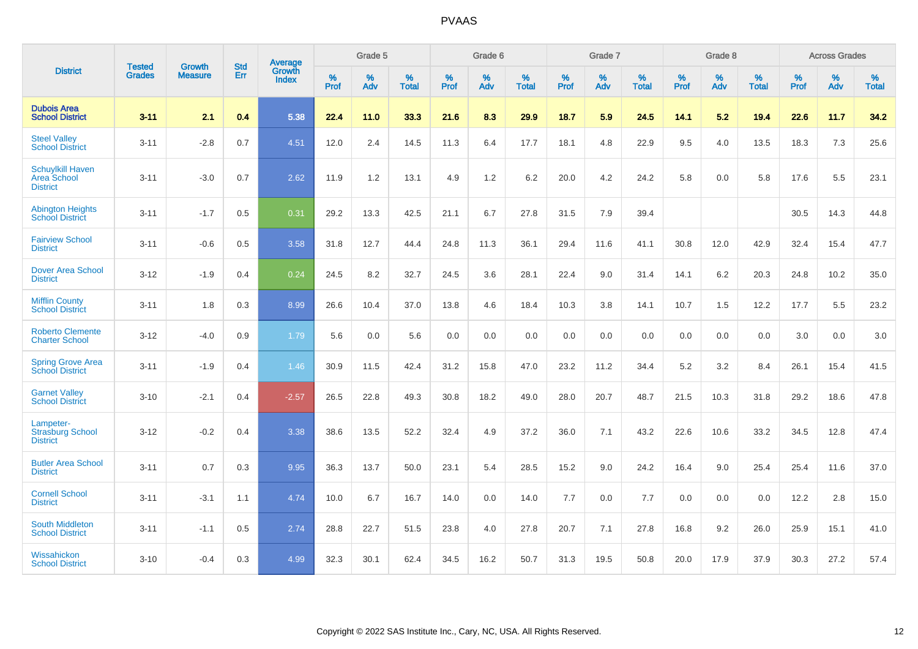|                                                           | <b>Tested</b> | <b>Growth</b>  | <b>Std</b> | Average                |                     | Grade 5  |                   |                     | Grade 6  |                   |              | Grade 7  |                   |                     | Grade 8  |                   |                     | <b>Across Grades</b> |                   |
|-----------------------------------------------------------|---------------|----------------|------------|------------------------|---------------------|----------|-------------------|---------------------|----------|-------------------|--------------|----------|-------------------|---------------------|----------|-------------------|---------------------|----------------------|-------------------|
| <b>District</b>                                           | <b>Grades</b> | <b>Measure</b> | Err        | Growth<br><b>Index</b> | $\%$<br><b>Prof</b> | %<br>Adv | %<br><b>Total</b> | $\%$<br><b>Prof</b> | %<br>Adv | %<br><b>Total</b> | $\%$<br>Prof | %<br>Adv | %<br><b>Total</b> | $\%$<br><b>Prof</b> | %<br>Adv | %<br><b>Total</b> | $\%$<br><b>Prof</b> | %<br>Adv             | %<br><b>Total</b> |
| <b>Dubois Area</b><br><b>School District</b>              | $3 - 11$      | 2.1            | 0.4        | 5.38                   | 22.4                | 11.0     | 33.3              | 21.6                | 8.3      | 29.9              | 18.7         | 5.9      | 24.5              | 14.1                | 5.2      | 19.4              | 22.6                | 11.7                 | 34.2              |
| <b>Steel Valley</b><br><b>School District</b>             | $3 - 11$      | $-2.8$         | 0.7        | 4.51                   | 12.0                | 2.4      | 14.5              | 11.3                | 6.4      | 17.7              | 18.1         | 4.8      | 22.9              | 9.5                 | 4.0      | 13.5              | 18.3                | $7.3$                | 25.6              |
| <b>Schuylkill Haven</b><br>Area School<br><b>District</b> | $3 - 11$      | $-3.0$         | 0.7        | 2.62                   | 11.9                | 1.2      | 13.1              | 4.9                 | 1.2      | 6.2               | 20.0         | 4.2      | 24.2              | 5.8                 | 0.0      | 5.8               | 17.6                | 5.5                  | 23.1              |
| <b>Abington Heights</b><br><b>School District</b>         | $3 - 11$      | $-1.7$         | 0.5        | 0.31                   | 29.2                | 13.3     | 42.5              | 21.1                | 6.7      | 27.8              | 31.5         | 7.9      | 39.4              |                     |          |                   | 30.5                | 14.3                 | 44.8              |
| <b>Fairview School</b><br><b>District</b>                 | $3 - 11$      | $-0.6$         | 0.5        | 3.58                   | 31.8                | 12.7     | 44.4              | 24.8                | 11.3     | 36.1              | 29.4         | 11.6     | 41.1              | 30.8                | 12.0     | 42.9              | 32.4                | 15.4                 | 47.7              |
| Dover Area School<br><b>District</b>                      | $3 - 12$      | $-1.9$         | 0.4        | 0.24                   | 24.5                | 8.2      | 32.7              | 24.5                | 3.6      | 28.1              | 22.4         | 9.0      | 31.4              | 14.1                | 6.2      | 20.3              | 24.8                | 10.2                 | 35.0              |
| <b>Mifflin County</b><br><b>School District</b>           | $3 - 11$      | 1.8            | 0.3        | 8.99                   | 26.6                | 10.4     | 37.0              | 13.8                | 4.6      | 18.4              | 10.3         | 3.8      | 14.1              | 10.7                | 1.5      | 12.2              | 17.7                | 5.5                  | 23.2              |
| <b>Roberto Clemente</b><br><b>Charter School</b>          | $3 - 12$      | $-4.0$         | 0.9        | 1.79                   | 5.6                 | 0.0      | 5.6               | 0.0                 | 0.0      | 0.0               | 0.0          | 0.0      | 0.0               | 0.0                 | 0.0      | 0.0               | 3.0                 | 0.0                  | 3.0               |
| <b>Spring Grove Area</b><br><b>School District</b>        | $3 - 11$      | $-1.9$         | 0.4        | 1.46                   | 30.9                | 11.5     | 42.4              | 31.2                | 15.8     | 47.0              | 23.2         | 11.2     | 34.4              | 5.2                 | 3.2      | 8.4               | 26.1                | 15.4                 | 41.5              |
| <b>Garnet Valley</b><br><b>School District</b>            | $3 - 10$      | $-2.1$         | 0.4        | $-2.57$                | 26.5                | 22.8     | 49.3              | 30.8                | 18.2     | 49.0              | 28.0         | 20.7     | 48.7              | 21.5                | 10.3     | 31.8              | 29.2                | 18.6                 | 47.8              |
| Lampeter-<br><b>Strasburg School</b><br><b>District</b>   | $3 - 12$      | $-0.2$         | 0.4        | 3.38                   | 38.6                | 13.5     | 52.2              | 32.4                | 4.9      | 37.2              | 36.0         | 7.1      | 43.2              | 22.6                | 10.6     | 33.2              | 34.5                | 12.8                 | 47.4              |
| <b>Butler Area School</b><br><b>District</b>              | $3 - 11$      | 0.7            | 0.3        | 9.95                   | 36.3                | 13.7     | 50.0              | 23.1                | 5.4      | 28.5              | 15.2         | 9.0      | 24.2              | 16.4                | 9.0      | 25.4              | 25.4                | 11.6                 | 37.0              |
| <b>Cornell School</b><br><b>District</b>                  | $3 - 11$      | $-3.1$         | 1.1        | 4.74                   | 10.0                | 6.7      | 16.7              | 14.0                | 0.0      | 14.0              | $7.7$        | 0.0      | 7.7               | 0.0                 | 0.0      | 0.0               | 12.2                | 2.8                  | 15.0              |
| <b>South Middleton</b><br><b>School District</b>          | $3 - 11$      | $-1.1$         | 0.5        | 2.74                   | 28.8                | 22.7     | 51.5              | 23.8                | 4.0      | 27.8              | 20.7         | 7.1      | 27.8              | 16.8                | 9.2      | 26.0              | 25.9                | 15.1                 | 41.0              |
| Wissahickon<br><b>School District</b>                     | $3 - 10$      | $-0.4$         | 0.3        | 4.99                   | 32.3                | 30.1     | 62.4              | 34.5                | 16.2     | 50.7              | 31.3         | 19.5     | 50.8              | 20.0                | 17.9     | 37.9              | 30.3                | 27.2                 | 57.4              |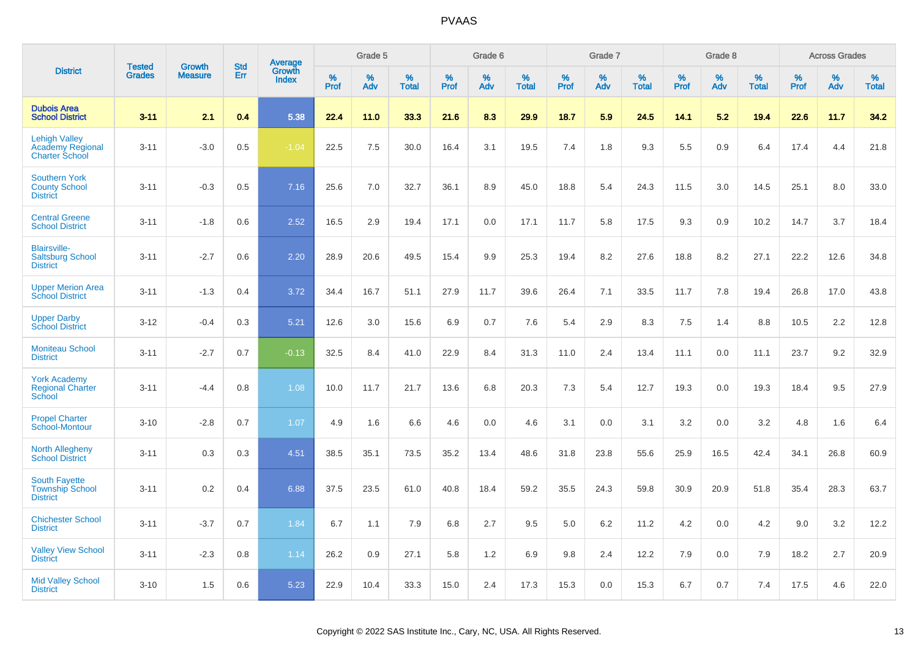|                                                                   | <b>Tested</b> | <b>Growth</b>  | <b>Std</b> | <b>Average</b><br>Growth |           | Grade 5  |                   |           | Grade 6  |                   |           | Grade 7  |                   |           | Grade 8  |                   |              | <b>Across Grades</b> |                   |
|-------------------------------------------------------------------|---------------|----------------|------------|--------------------------|-----------|----------|-------------------|-----------|----------|-------------------|-----------|----------|-------------------|-----------|----------|-------------------|--------------|----------------------|-------------------|
| <b>District</b>                                                   | <b>Grades</b> | <b>Measure</b> | <b>Err</b> | <b>Index</b>             | %<br>Prof | %<br>Adv | %<br><b>Total</b> | %<br>Prof | %<br>Adv | %<br><b>Total</b> | %<br>Prof | %<br>Adv | %<br><b>Total</b> | %<br>Prof | %<br>Adv | %<br><b>Total</b> | $\%$<br>Prof | %<br>Adv             | %<br><b>Total</b> |
| <b>Dubois Area</b><br><b>School District</b>                      | $3 - 11$      | 2.1            | 0.4        | 5.38                     | 22.4      | 11.0     | 33.3              | 21.6      | 8.3      | 29.9              | 18.7      | 5.9      | 24.5              | 14.1      | 5.2      | 19.4              | 22.6         | 11.7                 | 34.2              |
| <b>Lehigh Valley</b><br>Academy Regional<br><b>Charter School</b> | $3 - 11$      | $-3.0$         | 0.5        | $-1.04$                  | 22.5      | 7.5      | 30.0              | 16.4      | 3.1      | 19.5              | 7.4       | 1.8      | 9.3               | 5.5       | 0.9      | 6.4               | 17.4         | 4.4                  | 21.8              |
| <b>Southern York</b><br><b>County School</b><br><b>District</b>   | $3 - 11$      | $-0.3$         | 0.5        | 7.16                     | 25.6      | 7.0      | 32.7              | 36.1      | 8.9      | 45.0              | 18.8      | 5.4      | 24.3              | 11.5      | 3.0      | 14.5              | 25.1         | 8.0                  | 33.0              |
| <b>Central Greene</b><br><b>School District</b>                   | $3 - 11$      | $-1.8$         | 0.6        | 2.52                     | 16.5      | 2.9      | 19.4              | 17.1      | 0.0      | 17.1              | 11.7      | 5.8      | 17.5              | 9.3       | 0.9      | 10.2              | 14.7         | 3.7                  | 18.4              |
| <b>Blairsville-</b><br><b>Saltsburg School</b><br><b>District</b> | $3 - 11$      | $-2.7$         | 0.6        | 2.20                     | 28.9      | 20.6     | 49.5              | 15.4      | 9.9      | 25.3              | 19.4      | 8.2      | 27.6              | 18.8      | 8.2      | 27.1              | 22.2         | 12.6                 | 34.8              |
| <b>Upper Merion Area</b><br><b>School District</b>                | $3 - 11$      | $-1.3$         | 0.4        | 3.72                     | 34.4      | 16.7     | 51.1              | 27.9      | 11.7     | 39.6              | 26.4      | 7.1      | 33.5              | 11.7      | 7.8      | 19.4              | 26.8         | 17.0                 | 43.8              |
| <b>Upper Darby</b><br><b>School District</b>                      | $3 - 12$      | $-0.4$         | 0.3        | 5.21                     | 12.6      | 3.0      | 15.6              | 6.9       | 0.7      | 7.6               | 5.4       | 2.9      | 8.3               | 7.5       | 1.4      | 8.8               | 10.5         | 2.2                  | 12.8              |
| <b>Moniteau School</b><br><b>District</b>                         | $3 - 11$      | $-2.7$         | 0.7        | $-0.13$                  | 32.5      | 8.4      | 41.0              | 22.9      | 8.4      | 31.3              | 11.0      | 2.4      | 13.4              | 11.1      | 0.0      | 11.1              | 23.7         | 9.2                  | 32.9              |
| <b>York Academy</b><br><b>Regional Charter</b><br>School          | $3 - 11$      | $-4.4$         | 0.8        | 1.08                     | 10.0      | 11.7     | 21.7              | 13.6      | 6.8      | 20.3              | 7.3       | 5.4      | 12.7              | 19.3      | 0.0      | 19.3              | 18.4         | 9.5                  | 27.9              |
| <b>Propel Charter</b><br>School-Montour                           | $3 - 10$      | $-2.8$         | 0.7        | 1.07                     | 4.9       | 1.6      | 6.6               | 4.6       | 0.0      | 4.6               | 3.1       | 0.0      | 3.1               | 3.2       | 0.0      | 3.2               | 4.8          | 1.6                  | 6.4               |
| <b>North Allegheny</b><br><b>School District</b>                  | $3 - 11$      | 0.3            | 0.3        | 4.51                     | 38.5      | 35.1     | 73.5              | 35.2      | 13.4     | 48.6              | 31.8      | 23.8     | 55.6              | 25.9      | 16.5     | 42.4              | 34.1         | 26.8                 | 60.9              |
| <b>South Fayette</b><br><b>Township School</b><br><b>District</b> | $3 - 11$      | 0.2            | 0.4        | 6.88                     | 37.5      | 23.5     | 61.0              | 40.8      | 18.4     | 59.2              | 35.5      | 24.3     | 59.8              | 30.9      | 20.9     | 51.8              | 35.4         | 28.3                 | 63.7              |
| <b>Chichester School</b><br><b>District</b>                       | $3 - 11$      | $-3.7$         | 0.7        | 1.84                     | 6.7       | 1.1      | 7.9               | 6.8       | 2.7      | 9.5               | 5.0       | 6.2      | 11.2              | 4.2       | 0.0      | 4.2               | 9.0          | 3.2                  | 12.2              |
| <b>Valley View School</b><br><b>District</b>                      | $3 - 11$      | $-2.3$         | 0.8        | 1.14                     | 26.2      | 0.9      | 27.1              | 5.8       | 1.2      | 6.9               | 9.8       | 2.4      | 12.2              | 7.9       | 0.0      | 7.9               | 18.2         | 2.7                  | 20.9              |
| <b>Mid Valley School</b><br><b>District</b>                       | $3 - 10$      | 1.5            | 0.6        | 5.23                     | 22.9      | 10.4     | 33.3              | 15.0      | 2.4      | 17.3              | 15.3      | 0.0      | 15.3              | 6.7       | 0.7      | 7.4               | 17.5         | 4.6                  | 22.0              |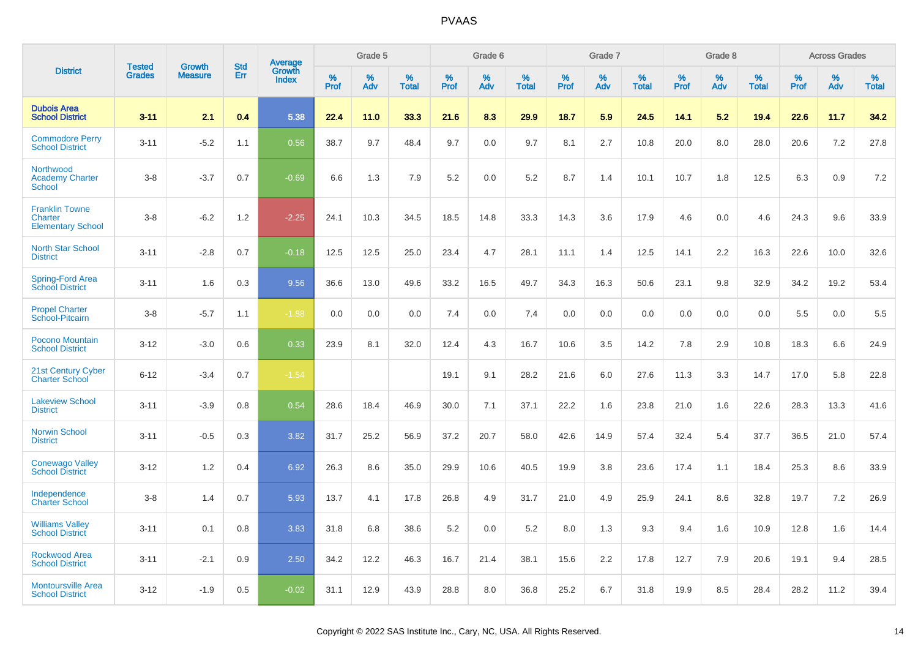|                                                              |                                |                                 | <b>Std</b> |                                   |                     | Grade 5  |                      |              | Grade 6  |                      |              | Grade 7  |                      |              | Grade 8  |                      |              | <b>Across Grades</b> |                      |
|--------------------------------------------------------------|--------------------------------|---------------------------------|------------|-----------------------------------|---------------------|----------|----------------------|--------------|----------|----------------------|--------------|----------|----------------------|--------------|----------|----------------------|--------------|----------------------|----------------------|
| <b>District</b>                                              | <b>Tested</b><br><b>Grades</b> | <b>Growth</b><br><b>Measure</b> | Err        | Average<br>Growth<br><b>Index</b> | $\%$<br><b>Prof</b> | %<br>Adv | $\%$<br><b>Total</b> | $\%$<br>Prof | %<br>Adv | $\%$<br><b>Total</b> | $\%$<br>Prof | %<br>Adv | $\%$<br><b>Total</b> | $\%$<br>Prof | %<br>Adv | $\%$<br><b>Total</b> | $\%$<br>Prof | $\%$<br>Adv          | $\%$<br><b>Total</b> |
| <b>Dubois Area</b><br><b>School District</b>                 | $3 - 11$                       | 2.1                             | 0.4        | 5.38                              | 22.4                | 11.0     | 33.3                 | 21.6         | 8.3      | 29.9                 | 18.7         | 5.9      | 24.5                 | 14.1         | 5.2      | 19.4                 | 22.6         | 11.7                 | 34.2                 |
| <b>Commodore Perry</b><br><b>School District</b>             | $3 - 11$                       | $-5.2$                          | 1.1        | 0.56                              | 38.7                | 9.7      | 48.4                 | 9.7          | 0.0      | 9.7                  | 8.1          | 2.7      | 10.8                 | 20.0         | 8.0      | 28.0                 | 20.6         | 7.2                  | 27.8                 |
| Northwood<br><b>Academy Charter</b><br>School                | $3 - 8$                        | $-3.7$                          | 0.7        | $-0.69$                           | 6.6                 | 1.3      | 7.9                  | 5.2          | 0.0      | 5.2                  | 8.7          | 1.4      | 10.1                 | 10.7         | 1.8      | 12.5                 | 6.3          | 0.9                  | 7.2                  |
| <b>Franklin Towne</b><br>Charter<br><b>Elementary School</b> | $3 - 8$                        | $-6.2$                          | 1.2        | $-2.25$                           | 24.1                | 10.3     | 34.5                 | 18.5         | 14.8     | 33.3                 | 14.3         | 3.6      | 17.9                 | 4.6          | 0.0      | 4.6                  | 24.3         | 9.6                  | 33.9                 |
| <b>North Star School</b><br><b>District</b>                  | $3 - 11$                       | $-2.8$                          | 0.7        | $-0.18$                           | 12.5                | 12.5     | 25.0                 | 23.4         | 4.7      | 28.1                 | 11.1         | 1.4      | 12.5                 | 14.1         | 2.2      | 16.3                 | 22.6         | 10.0                 | 32.6                 |
| Spring-Ford Area<br><b>School District</b>                   | $3 - 11$                       | 1.6                             | 0.3        | 9.56                              | 36.6                | 13.0     | 49.6                 | 33.2         | 16.5     | 49.7                 | 34.3         | 16.3     | 50.6                 | 23.1         | 9.8      | 32.9                 | 34.2         | 19.2                 | 53.4                 |
| <b>Propel Charter</b><br>School-Pitcairn                     | $3 - 8$                        | $-5.7$                          | 1.1        | $-1.88$                           | 0.0                 | 0.0      | 0.0                  | 7.4          | 0.0      | 7.4                  | 0.0          | 0.0      | 0.0                  | 0.0          | 0.0      | 0.0                  | 5.5          | 0.0                  | 5.5                  |
| Pocono Mountain<br><b>School District</b>                    | $3 - 12$                       | $-3.0$                          | 0.6        | 0.33                              | 23.9                | 8.1      | 32.0                 | 12.4         | 4.3      | 16.7                 | 10.6         | 3.5      | 14.2                 | 7.8          | 2.9      | 10.8                 | 18.3         | 6.6                  | 24.9                 |
| 21st Century Cyber<br><b>Charter School</b>                  | $6 - 12$                       | $-3.4$                          | 0.7        | $-1.54$                           |                     |          |                      | 19.1         | 9.1      | 28.2                 | 21.6         | 6.0      | 27.6                 | 11.3         | 3.3      | 14.7                 | 17.0         | 5.8                  | 22.8                 |
| <b>Lakeview School</b><br><b>District</b>                    | $3 - 11$                       | $-3.9$                          | 0.8        | 0.54                              | 28.6                | 18.4     | 46.9                 | 30.0         | 7.1      | 37.1                 | 22.2         | 1.6      | 23.8                 | 21.0         | 1.6      | 22.6                 | 28.3         | 13.3                 | 41.6                 |
| <b>Norwin School</b><br><b>District</b>                      | $3 - 11$                       | $-0.5$                          | 0.3        | 3.82                              | 31.7                | 25.2     | 56.9                 | 37.2         | 20.7     | 58.0                 | 42.6         | 14.9     | 57.4                 | 32.4         | 5.4      | 37.7                 | 36.5         | 21.0                 | 57.4                 |
| <b>Conewago Valley</b><br><b>School District</b>             | $3 - 12$                       | 1.2                             | 0.4        | 6.92                              | 26.3                | 8.6      | 35.0                 | 29.9         | 10.6     | 40.5                 | 19.9         | 3.8      | 23.6                 | 17.4         | 1.1      | 18.4                 | 25.3         | 8.6                  | 33.9                 |
| Independence<br><b>Charter School</b>                        | $3 - 8$                        | 1.4                             | 0.7        | 5.93                              | 13.7                | 4.1      | 17.8                 | 26.8         | 4.9      | 31.7                 | 21.0         | 4.9      | 25.9                 | 24.1         | 8.6      | 32.8                 | 19.7         | 7.2                  | 26.9                 |
| <b>Williams Valley</b><br><b>School District</b>             | $3 - 11$                       | 0.1                             | 0.8        | 3.83                              | 31.8                | 6.8      | 38.6                 | 5.2          | 0.0      | 5.2                  | 8.0          | 1.3      | 9.3                  | 9.4          | 1.6      | 10.9                 | 12.8         | 1.6                  | 14.4                 |
| Rockwood Area<br><b>School District</b>                      | $3 - 11$                       | $-2.1$                          | 0.9        | 2.50                              | 34.2                | 12.2     | 46.3                 | 16.7         | 21.4     | 38.1                 | 15.6         | 2.2      | 17.8                 | 12.7         | 7.9      | 20.6                 | 19.1         | 9.4                  | 28.5                 |
| <b>Montoursville Area</b><br><b>School District</b>          | $3 - 12$                       | $-1.9$                          | 0.5        | $-0.02$                           | 31.1                | 12.9     | 43.9                 | 28.8         | 8.0      | 36.8                 | 25.2         | 6.7      | 31.8                 | 19.9         | 8.5      | 28.4                 | 28.2         | 11.2                 | 39.4                 |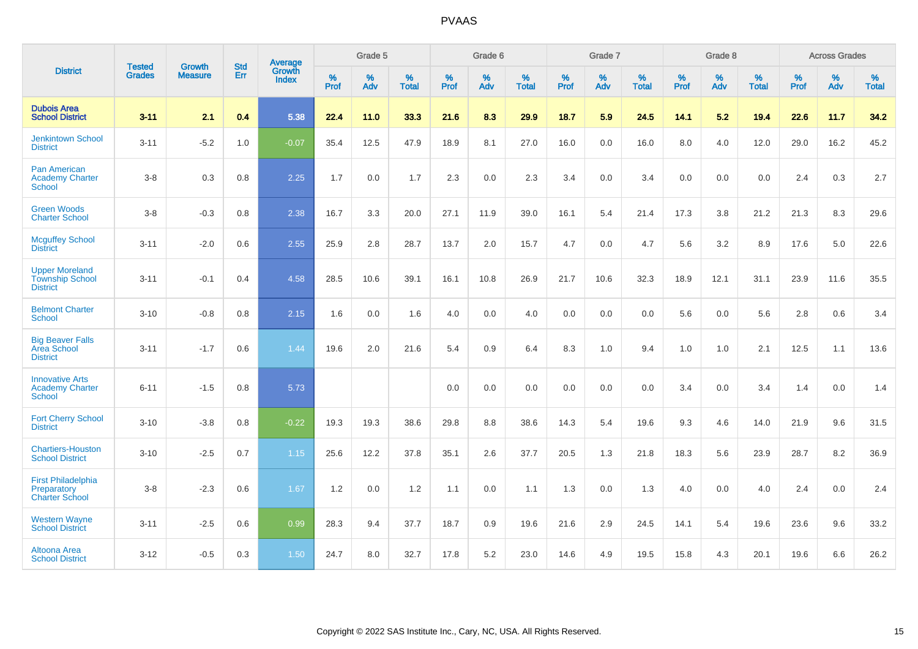|                                                                    | <b>Tested</b> | <b>Growth</b>  | <b>Std</b> | Average                |              | Grade 5  |                      |              | Grade 6  |                   |              | Grade 7  |                   |              | Grade 8     |                      |              | <b>Across Grades</b> |                   |
|--------------------------------------------------------------------|---------------|----------------|------------|------------------------|--------------|----------|----------------------|--------------|----------|-------------------|--------------|----------|-------------------|--------------|-------------|----------------------|--------------|----------------------|-------------------|
| <b>District</b>                                                    | <b>Grades</b> | <b>Measure</b> | <b>Err</b> | Growth<br><b>Index</b> | $\%$<br>Prof | %<br>Adv | $\%$<br><b>Total</b> | $\%$<br>Prof | %<br>Adv | %<br><b>Total</b> | $\%$<br>Prof | %<br>Adv | %<br><b>Total</b> | $\%$<br>Prof | $\%$<br>Adv | $\%$<br><b>Total</b> | $\%$<br>Prof | %<br>Adv             | %<br><b>Total</b> |
| <b>Dubois Area</b><br><b>School District</b>                       | $3 - 11$      | 2.1            | 0.4        | 5.38                   | 22.4         | 11.0     | 33.3                 | 21.6         | 8.3      | 29.9              | 18.7         | 5.9      | 24.5              | 14.1         | 5.2         | 19.4                 | 22.6         | 11.7                 | 34.2              |
| <b>Jenkintown School</b><br><b>District</b>                        | $3 - 11$      | $-5.2$         | 1.0        | $-0.07$                | 35.4         | 12.5     | 47.9                 | 18.9         | 8.1      | 27.0              | 16.0         | 0.0      | 16.0              | 8.0          | 4.0         | 12.0                 | 29.0         | 16.2                 | 45.2              |
| <b>Pan American</b><br><b>Academy Charter</b><br><b>School</b>     | $3-8$         | 0.3            | 0.8        | 2.25                   | 1.7          | 0.0      | 1.7                  | 2.3          | 0.0      | 2.3               | 3.4          | 0.0      | 3.4               | 0.0          | 0.0         | 0.0                  | 2.4          | 0.3                  | 2.7               |
| <b>Green Woods</b><br><b>Charter School</b>                        | $3-8$         | $-0.3$         | 0.8        | 2.38                   | 16.7         | 3.3      | 20.0                 | 27.1         | 11.9     | 39.0              | 16.1         | 5.4      | 21.4              | 17.3         | 3.8         | 21.2                 | 21.3         | 8.3                  | 29.6              |
| <b>Mcguffey School</b><br><b>District</b>                          | $3 - 11$      | $-2.0$         | 0.6        | 2.55                   | 25.9         | 2.8      | 28.7                 | 13.7         | 2.0      | 15.7              | 4.7          | 0.0      | 4.7               | 5.6          | 3.2         | 8.9                  | 17.6         | 5.0                  | 22.6              |
| <b>Upper Moreland</b><br><b>Township School</b><br><b>District</b> | $3 - 11$      | $-0.1$         | 0.4        | 4.58                   | 28.5         | 10.6     | 39.1                 | 16.1         | 10.8     | 26.9              | 21.7         | 10.6     | 32.3              | 18.9         | 12.1        | 31.1                 | 23.9         | 11.6                 | 35.5              |
| <b>Belmont Charter</b><br><b>School</b>                            | $3 - 10$      | $-0.8$         | 0.8        | 2.15                   | 1.6          | 0.0      | 1.6                  | 4.0          | 0.0      | 4.0               | 0.0          | 0.0      | 0.0               | 5.6          | 0.0         | 5.6                  | 2.8          | 0.6                  | 3.4               |
| <b>Big Beaver Falls</b><br>Area School<br><b>District</b>          | $3 - 11$      | $-1.7$         | 0.6        | 1.44                   | 19.6         | 2.0      | 21.6                 | 5.4          | $0.9\,$  | 6.4               | 8.3          | 1.0      | 9.4               | 1.0          | 1.0         | 2.1                  | 12.5         | 1.1                  | 13.6              |
| <b>Innovative Arts</b><br><b>Academy Charter</b><br><b>School</b>  | $6 - 11$      | $-1.5$         | 0.8        | 5.73                   |              |          |                      | 0.0          | 0.0      | 0.0               | 0.0          | 0.0      | 0.0               | 3.4          | 0.0         | 3.4                  | 1.4          | 0.0                  | 1.4               |
| <b>Fort Cherry School</b><br><b>District</b>                       | $3 - 10$      | $-3.8$         | 0.8        | $-0.22$                | 19.3         | 19.3     | 38.6                 | 29.8         | 8.8      | 38.6              | 14.3         | 5.4      | 19.6              | 9.3          | 4.6         | 14.0                 | 21.9         | 9.6                  | 31.5              |
| <b>Chartiers-Houston</b><br><b>School District</b>                 | $3 - 10$      | $-2.5$         | 0.7        | 1.15                   | 25.6         | 12.2     | 37.8                 | 35.1         | 2.6      | 37.7              | 20.5         | 1.3      | 21.8              | 18.3         | 5.6         | 23.9                 | 28.7         | 8.2                  | 36.9              |
| <b>First Philadelphia</b><br>Preparatory<br><b>Charter School</b>  | $3 - 8$       | $-2.3$         | 0.6        | 1.67                   | 1.2          | 0.0      | 1.2                  | 1.1          | 0.0      | 1.1               | 1.3          | 0.0      | 1.3               | 4.0          | 0.0         | 4.0                  | 2.4          | 0.0                  | 2.4               |
| <b>Western Wayne</b><br><b>School District</b>                     | $3 - 11$      | $-2.5$         | 0.6        | 0.99                   | 28.3         | 9.4      | 37.7                 | 18.7         | 0.9      | 19.6              | 21.6         | 2.9      | 24.5              | 14.1         | 5.4         | 19.6                 | 23.6         | 9.6                  | 33.2              |
| Altoona Area<br><b>School District</b>                             | $3 - 12$      | $-0.5$         | 0.3        | 1.50                   | 24.7         | 8.0      | 32.7                 | 17.8         | 5.2      | 23.0              | 14.6         | 4.9      | 19.5              | 15.8         | 4.3         | 20.1                 | 19.6         | 6.6                  | 26.2              |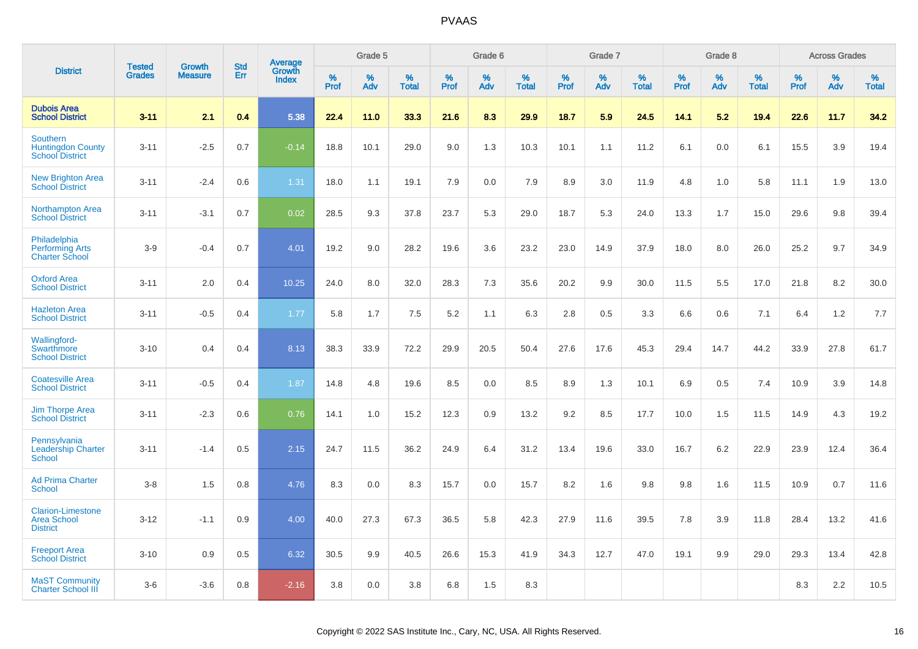|                                                                       | <b>Tested</b> | <b>Growth</b>  | <b>Std</b> | Average                |              | Grade 5  |                   |           | Grade 6  |                   |           | Grade 7  |                   |           | Grade 8  |                   |              | <b>Across Grades</b> |                   |
|-----------------------------------------------------------------------|---------------|----------------|------------|------------------------|--------------|----------|-------------------|-----------|----------|-------------------|-----------|----------|-------------------|-----------|----------|-------------------|--------------|----------------------|-------------------|
| <b>District</b>                                                       | <b>Grades</b> | <b>Measure</b> | Err        | Growth<br><b>Index</b> | $\%$<br>Prof | %<br>Adv | %<br><b>Total</b> | %<br>Prof | %<br>Adv | %<br><b>Total</b> | %<br>Prof | %<br>Adv | %<br><b>Total</b> | %<br>Prof | %<br>Adv | %<br><b>Total</b> | $\%$<br>Prof | %<br>Adv             | %<br><b>Total</b> |
| <b>Dubois Area</b><br><b>School District</b>                          | $3 - 11$      | 2.1            | 0.4        | 5.38                   | 22.4         | 11.0     | 33.3              | 21.6      | 8.3      | 29.9              | 18.7      | 5.9      | 24.5              | 14.1      | 5.2      | 19.4              | 22.6         | 11.7                 | 34.2              |
| <b>Southern</b><br><b>Huntingdon County</b><br><b>School District</b> | $3 - 11$      | $-2.5$         | 0.7        | $-0.14$                | 18.8         | 10.1     | 29.0              | 9.0       | 1.3      | 10.3              | 10.1      | 1.1      | 11.2              | 6.1       | 0.0      | 6.1               | 15.5         | 3.9                  | 19.4              |
| <b>New Brighton Area</b><br><b>School District</b>                    | $3 - 11$      | $-2.4$         | 0.6        | 1.31                   | 18.0         | 1.1      | 19.1              | 7.9       | 0.0      | 7.9               | 8.9       | 3.0      | 11.9              | 4.8       | 1.0      | 5.8               | 11.1         | 1.9                  | 13.0              |
| <b>Northampton Area</b><br><b>School District</b>                     | $3 - 11$      | $-3.1$         | 0.7        | 0.02                   | 28.5         | 9.3      | 37.8              | 23.7      | 5.3      | 29.0              | 18.7      | 5.3      | 24.0              | 13.3      | 1.7      | 15.0              | 29.6         | 9.8                  | 39.4              |
| Philadelphia<br><b>Performing Arts</b><br><b>Charter School</b>       | $3-9$         | $-0.4$         | 0.7        | 4.01                   | 19.2         | 9.0      | 28.2              | 19.6      | 3.6      | 23.2              | 23.0      | 14.9     | 37.9              | 18.0      | 8.0      | 26.0              | 25.2         | 9.7                  | 34.9              |
| <b>Oxford Area</b><br><b>School District</b>                          | $3 - 11$      | 2.0            | 0.4        | 10.25                  | 24.0         | 8.0      | 32.0              | 28.3      | 7.3      | 35.6              | 20.2      | 9.9      | 30.0              | 11.5      | 5.5      | 17.0              | 21.8         | 8.2                  | 30.0              |
| <b>Hazleton Area</b><br><b>School District</b>                        | $3 - 11$      | $-0.5$         | 0.4        | 1.77                   | 5.8          | 1.7      | 7.5               | 5.2       | 1.1      | 6.3               | 2.8       | 0.5      | 3.3               | 6.6       | 0.6      | 7.1               | 6.4          | 1.2                  | 7.7               |
| Wallingford-<br>Swarthmore<br><b>School District</b>                  | $3 - 10$      | 0.4            | 0.4        | 8.13                   | 38.3         | 33.9     | 72.2              | 29.9      | 20.5     | 50.4              | 27.6      | 17.6     | 45.3              | 29.4      | 14.7     | 44.2              | 33.9         | 27.8                 | 61.7              |
| <b>Coatesville Area</b><br><b>School District</b>                     | $3 - 11$      | $-0.5$         | 0.4        | 1.87                   | 14.8         | 4.8      | 19.6              | 8.5       | 0.0      | 8.5               | 8.9       | 1.3      | 10.1              | 6.9       | 0.5      | 7.4               | 10.9         | 3.9                  | 14.8              |
| <b>Jim Thorpe Area</b><br><b>School District</b>                      | $3 - 11$      | $-2.3$         | 0.6        | 0.76                   | 14.1         | 1.0      | 15.2              | 12.3      | 0.9      | 13.2              | 9.2       | 8.5      | 17.7              | 10.0      | 1.5      | 11.5              | 14.9         | 4.3                  | 19.2              |
| Pennsylvania<br><b>Leadership Charter</b><br><b>School</b>            | $3 - 11$      | $-1.4$         | 0.5        | 2.15                   | 24.7         | 11.5     | 36.2              | 24.9      | 6.4      | 31.2              | 13.4      | 19.6     | 33.0              | 16.7      | 6.2      | 22.9              | 23.9         | 12.4                 | 36.4              |
| <b>Ad Prima Charter</b><br><b>School</b>                              | $3-8$         | 1.5            | 0.8        | 4.76                   | 8.3          | 0.0      | 8.3               | 15.7      | 0.0      | 15.7              | 8.2       | 1.6      | 9.8               | 9.8       | 1.6      | 11.5              | 10.9         | 0.7                  | 11.6              |
| <b>Clarion-Limestone</b><br><b>Area School</b><br><b>District</b>     | $3 - 12$      | $-1.1$         | 0.9        | 4.00                   | 40.0         | 27.3     | 67.3              | 36.5      | 5.8      | 42.3              | 27.9      | 11.6     | 39.5              | 7.8       | 3.9      | 11.8              | 28.4         | 13.2                 | 41.6              |
| <b>Freeport Area</b><br><b>School District</b>                        | $3 - 10$      | 0.9            | 0.5        | 6.32                   | 30.5         | 9.9      | 40.5              | 26.6      | 15.3     | 41.9              | 34.3      | 12.7     | 47.0              | 19.1      | 9.9      | 29.0              | 29.3         | 13.4                 | 42.8              |
| <b>MaST Community</b><br><b>Charter School III</b>                    | $3-6$         | $-3.6$         | 0.8        | $-2.16$                | 3.8          | 0.0      | 3.8               | 6.8       | 1.5      | 8.3               |           |          |                   |           |          |                   | 8.3          | 2.2                  | 10.5              |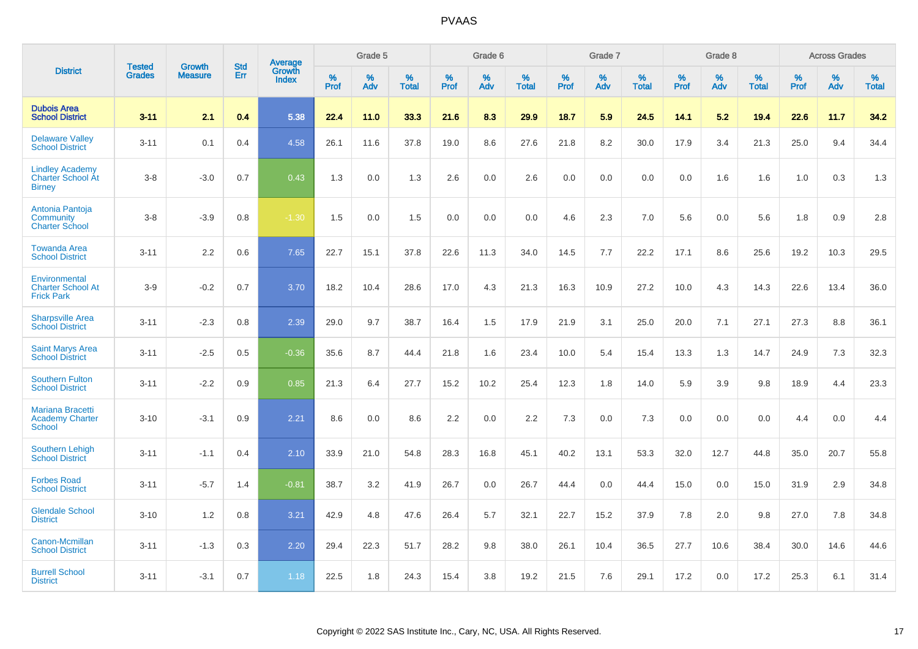|                                                                     |                                | <b>Growth</b>  | <b>Std</b> | Average                |           | Grade 5  |                   |           | Grade 6  |                   |           | Grade 7  |                   |           | Grade 8  |                   |           | <b>Across Grades</b> |                   |
|---------------------------------------------------------------------|--------------------------------|----------------|------------|------------------------|-----------|----------|-------------------|-----------|----------|-------------------|-----------|----------|-------------------|-----------|----------|-------------------|-----------|----------------------|-------------------|
| <b>District</b>                                                     | <b>Tested</b><br><b>Grades</b> | <b>Measure</b> | <b>Err</b> | Growth<br><b>Index</b> | %<br>Prof | %<br>Adv | %<br><b>Total</b> | %<br>Prof | %<br>Adv | %<br><b>Total</b> | %<br>Prof | %<br>Adv | %<br><b>Total</b> | %<br>Prof | %<br>Adv | %<br><b>Total</b> | %<br>Prof | %<br>Adv             | %<br><b>Total</b> |
| <b>Dubois Area</b><br><b>School District</b>                        | $3 - 11$                       | 2.1            | 0.4        | 5.38                   | 22.4      | 11.0     | 33.3              | 21.6      | 8.3      | 29.9              | 18.7      | 5.9      | 24.5              | 14.1      | 5.2      | 19.4              | 22.6      | 11.7                 | 34.2              |
| <b>Delaware Valley</b><br><b>School District</b>                    | $3 - 11$                       | 0.1            | 0.4        | 4.58                   | 26.1      | 11.6     | 37.8              | 19.0      | 8.6      | 27.6              | 21.8      | 8.2      | 30.0              | 17.9      | 3.4      | 21.3              | 25.0      | 9.4                  | 34.4              |
| <b>Lindley Academy</b><br><b>Charter School At</b><br><b>Birney</b> | $3 - 8$                        | $-3.0$         | 0.7        | 0.43                   | 1.3       | 0.0      | 1.3               | 2.6       | 0.0      | 2.6               | 0.0       | 0.0      | 0.0               | 0.0       | 1.6      | 1.6               | 1.0       | 0.3                  | 1.3               |
| Antonia Pantoja<br>Community<br><b>Charter School</b>               | $3 - 8$                        | $-3.9$         | 0.8        | $-1.30$                | 1.5       | 0.0      | 1.5               | 0.0       | 0.0      | 0.0               | 4.6       | 2.3      | 7.0               | 5.6       | 0.0      | 5.6               | 1.8       | 0.9                  | 2.8               |
| <b>Towanda Area</b><br><b>School District</b>                       | $3 - 11$                       | 2.2            | 0.6        | 7.65                   | 22.7      | 15.1     | 37.8              | 22.6      | 11.3     | 34.0              | 14.5      | 7.7      | 22.2              | 17.1      | 8.6      | 25.6              | 19.2      | 10.3                 | 29.5              |
| Environmental<br><b>Charter School At</b><br><b>Frick Park</b>      | $3-9$                          | $-0.2$         | 0.7        | 3.70                   | 18.2      | 10.4     | 28.6              | 17.0      | 4.3      | 21.3              | 16.3      | 10.9     | 27.2              | 10.0      | 4.3      | 14.3              | 22.6      | 13.4                 | 36.0              |
| <b>Sharpsville Area</b><br><b>School District</b>                   | $3 - 11$                       | $-2.3$         | 0.8        | 2.39                   | 29.0      | 9.7      | 38.7              | 16.4      | 1.5      | 17.9              | 21.9      | 3.1      | 25.0              | 20.0      | 7.1      | 27.1              | 27.3      | 8.8                  | 36.1              |
| <b>Saint Marys Area</b><br><b>School District</b>                   | $3 - 11$                       | $-2.5$         | 0.5        | $-0.36$                | 35.6      | 8.7      | 44.4              | 21.8      | 1.6      | 23.4              | 10.0      | 5.4      | 15.4              | 13.3      | 1.3      | 14.7              | 24.9      | 7.3                  | 32.3              |
| <b>Southern Fulton</b><br><b>School District</b>                    | $3 - 11$                       | $-2.2$         | 0.9        | 0.85                   | 21.3      | 6.4      | 27.7              | 15.2      | 10.2     | 25.4              | 12.3      | 1.8      | 14.0              | 5.9       | 3.9      | 9.8               | 18.9      | 4.4                  | 23.3              |
| <b>Mariana Bracetti</b><br><b>Academy Charter</b><br><b>School</b>  | $3 - 10$                       | $-3.1$         | 0.9        | 2.21                   | 8.6       | 0.0      | 8.6               | 2.2       | 0.0      | 2.2               | 7.3       | 0.0      | 7.3               | 0.0       | 0.0      | 0.0               | 4.4       | 0.0                  | 4.4               |
| <b>Southern Lehigh</b><br><b>School District</b>                    | $3 - 11$                       | $-1.1$         | 0.4        | 2.10                   | 33.9      | 21.0     | 54.8              | 28.3      | 16.8     | 45.1              | 40.2      | 13.1     | 53.3              | 32.0      | 12.7     | 44.8              | 35.0      | 20.7                 | 55.8              |
| <b>Forbes Road</b><br><b>School District</b>                        | $3 - 11$                       | $-5.7$         | 1.4        | $-0.81$                | 38.7      | 3.2      | 41.9              | 26.7      | 0.0      | 26.7              | 44.4      | 0.0      | 44.4              | 15.0      | 0.0      | 15.0              | 31.9      | 2.9                  | 34.8              |
| <b>Glendale School</b><br><b>District</b>                           | $3 - 10$                       | 1.2            | 0.8        | 3.21                   | 42.9      | 4.8      | 47.6              | 26.4      | 5.7      | 32.1              | 22.7      | 15.2     | 37.9              | 7.8       | 2.0      | 9.8               | 27.0      | 7.8                  | 34.8              |
| Canon-Mcmillan<br><b>School District</b>                            | $3 - 11$                       | $-1.3$         | 0.3        | 2.20                   | 29.4      | 22.3     | 51.7              | 28.2      | 9.8      | 38.0              | 26.1      | 10.4     | 36.5              | 27.7      | 10.6     | 38.4              | 30.0      | 14.6                 | 44.6              |
| <b>Burrell School</b><br><b>District</b>                            | $3 - 11$                       | $-3.1$         | 0.7        | 1.18                   | 22.5      | 1.8      | 24.3              | 15.4      | 3.8      | 19.2              | 21.5      | 7.6      | 29.1              | 17.2      | 0.0      | 17.2              | 25.3      | 6.1                  | 31.4              |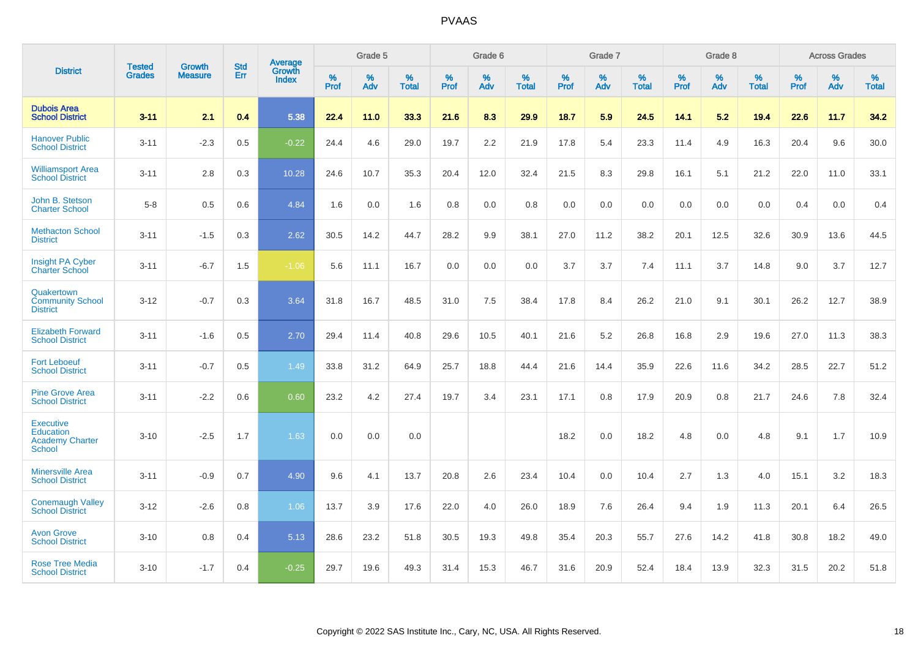|                                                                          |                                |                                 | <b>Std</b> | Average                       |           | Grade 5  |                   |           | Grade 6  |                   |           | Grade 7  |                   |           | Grade 8  |                   |           | <b>Across Grades</b> |                   |
|--------------------------------------------------------------------------|--------------------------------|---------------------------------|------------|-------------------------------|-----------|----------|-------------------|-----------|----------|-------------------|-----------|----------|-------------------|-----------|----------|-------------------|-----------|----------------------|-------------------|
| <b>District</b>                                                          | <b>Tested</b><br><b>Grades</b> | <b>Growth</b><br><b>Measure</b> | Err        | <b>Growth</b><br><b>Index</b> | %<br>Prof | %<br>Adv | %<br><b>Total</b> | %<br>Prof | %<br>Adv | %<br><b>Total</b> | %<br>Prof | %<br>Adv | %<br><b>Total</b> | %<br>Prof | %<br>Adv | %<br><b>Total</b> | %<br>Prof | %<br>Adv             | %<br><b>Total</b> |
| <b>Dubois Area</b><br><b>School District</b>                             | $3 - 11$                       | 2.1                             | 0.4        | 5.38                          | 22.4      | 11.0     | 33.3              | 21.6      | 8.3      | 29.9              | 18.7      | 5.9      | 24.5              | 14.1      | 5.2      | 19.4              | 22.6      | 11.7                 | 34.2              |
| <b>Hanover Public</b><br><b>School District</b>                          | $3 - 11$                       | $-2.3$                          | 0.5        | $-0.22$                       | 24.4      | 4.6      | 29.0              | 19.7      | 2.2      | 21.9              | 17.8      | 5.4      | 23.3              | 11.4      | 4.9      | 16.3              | 20.4      | 9.6                  | 30.0              |
| <b>Williamsport Area</b><br><b>School District</b>                       | $3 - 11$                       | 2.8                             | 0.3        | 10.28                         | 24.6      | 10.7     | 35.3              | 20.4      | 12.0     | 32.4              | 21.5      | 8.3      | 29.8              | 16.1      | 5.1      | 21.2              | 22.0      | 11.0                 | 33.1              |
| John B. Stetson<br><b>Charter School</b>                                 | $5 - 8$                        | 0.5                             | 0.6        | 4.84                          | 1.6       | 0.0      | 1.6               | 0.8       | 0.0      | 0.8               | 0.0       | 0.0      | 0.0               | 0.0       | 0.0      | 0.0               | 0.4       | 0.0                  | 0.4               |
| <b>Methacton School</b><br><b>District</b>                               | $3 - 11$                       | $-1.5$                          | 0.3        | 2.62                          | 30.5      | 14.2     | 44.7              | 28.2      | 9.9      | 38.1              | 27.0      | 11.2     | 38.2              | 20.1      | 12.5     | 32.6              | 30.9      | 13.6                 | 44.5              |
| <b>Insight PA Cyber</b><br><b>Charter School</b>                         | $3 - 11$                       | $-6.7$                          | 1.5        | $-1.06$                       | 5.6       | 11.1     | 16.7              | 0.0       | 0.0      | 0.0               | 3.7       | 3.7      | 7.4               | 11.1      | 3.7      | 14.8              | 9.0       | 3.7                  | 12.7              |
| Quakertown<br><b>Community School</b><br><b>District</b>                 | $3 - 12$                       | $-0.7$                          | 0.3        | 3.64                          | 31.8      | 16.7     | 48.5              | 31.0      | 7.5      | 38.4              | 17.8      | 8.4      | 26.2              | 21.0      | 9.1      | 30.1              | 26.2      | 12.7                 | 38.9              |
| <b>Elizabeth Forward</b><br><b>School District</b>                       | $3 - 11$                       | $-1.6$                          | 0.5        | 2.70                          | 29.4      | 11.4     | 40.8              | 29.6      | 10.5     | 40.1              | 21.6      | 5.2      | 26.8              | 16.8      | 2.9      | 19.6              | 27.0      | 11.3                 | 38.3              |
| <b>Fort Leboeuf</b><br><b>School District</b>                            | $3 - 11$                       | $-0.7$                          | 0.5        | 1.49                          | 33.8      | 31.2     | 64.9              | 25.7      | 18.8     | 44.4              | 21.6      | 14.4     | 35.9              | 22.6      | 11.6     | 34.2              | 28.5      | 22.7                 | 51.2              |
| <b>Pine Grove Area</b><br><b>School District</b>                         | $3 - 11$                       | $-2.2$                          | 0.6        | 0.60                          | 23.2      | 4.2      | 27.4              | 19.7      | 3.4      | 23.1              | 17.1      | 0.8      | 17.9              | 20.9      | 0.8      | 21.7              | 24.6      | 7.8                  | 32.4              |
| <b>Executive</b><br>Education<br><b>Academy Charter</b><br><b>School</b> | $3 - 10$                       | $-2.5$                          | 1.7        | 1.63                          | 0.0       | 0.0      | 0.0               |           |          |                   | 18.2      | 0.0      | 18.2              | 4.8       | 0.0      | 4.8               | 9.1       | 1.7                  | 10.9              |
| <b>Minersville Area</b><br><b>School District</b>                        | $3 - 11$                       | $-0.9$                          | 0.7        | 4.90                          | 9.6       | 4.1      | 13.7              | 20.8      | 2.6      | 23.4              | 10.4      | 0.0      | 10.4              | 2.7       | 1.3      | 4.0               | 15.1      | 3.2                  | 18.3              |
| <b>Conemaugh Valley</b><br><b>School District</b>                        | $3 - 12$                       | $-2.6$                          | 0.8        | 1.06                          | 13.7      | 3.9      | 17.6              | 22.0      | 4.0      | 26.0              | 18.9      | 7.6      | 26.4              | 9.4       | 1.9      | 11.3              | 20.1      | 6.4                  | 26.5              |
| <b>Avon Grove</b><br><b>School District</b>                              | $3 - 10$                       | 0.8                             | 0.4        | 5.13                          | 28.6      | 23.2     | 51.8              | 30.5      | 19.3     | 49.8              | 35.4      | 20.3     | 55.7              | 27.6      | 14.2     | 41.8              | 30.8      | 18.2                 | 49.0              |
| <b>Rose Tree Media</b><br><b>School District</b>                         | $3 - 10$                       | $-1.7$                          | 0.4        | $-0.25$                       | 29.7      | 19.6     | 49.3              | 31.4      | 15.3     | 46.7              | 31.6      | 20.9     | 52.4              | 18.4      | 13.9     | 32.3              | 31.5      | 20.2                 | 51.8              |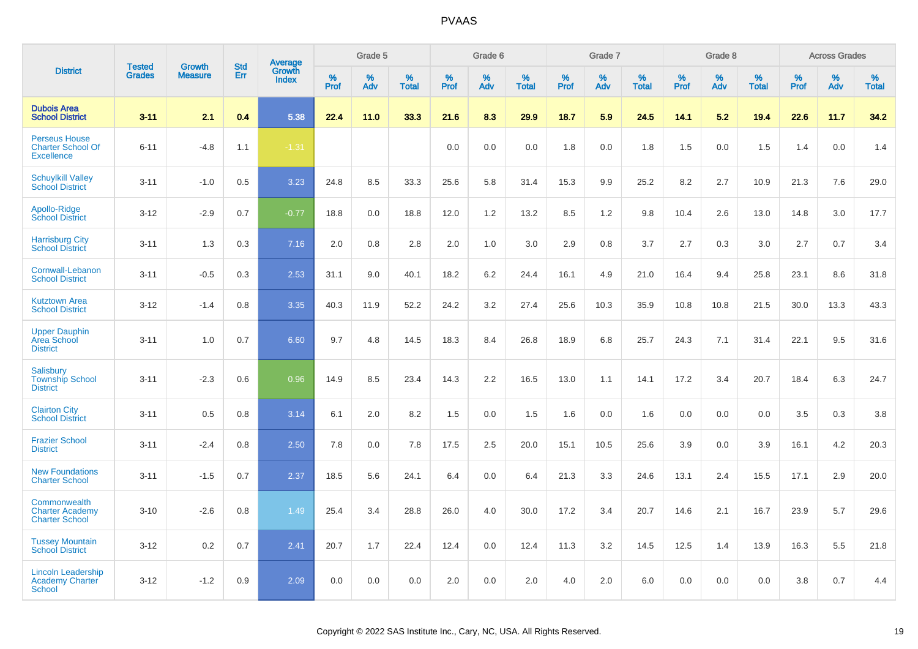|                                                                       |                                | <b>Growth</b>  | <b>Std</b> | <b>Average</b><br>Growth |           | Grade 5  |                   |                  | Grade 6  |                   |           | Grade 7  |                   |           | Grade 8  |                   |           | <b>Across Grades</b> |                   |
|-----------------------------------------------------------------------|--------------------------------|----------------|------------|--------------------------|-----------|----------|-------------------|------------------|----------|-------------------|-----------|----------|-------------------|-----------|----------|-------------------|-----------|----------------------|-------------------|
| <b>District</b>                                                       | <b>Tested</b><br><b>Grades</b> | <b>Measure</b> | <b>Err</b> | <b>Index</b>             | %<br>Prof | %<br>Adv | %<br><b>Total</b> | %<br><b>Prof</b> | %<br>Adv | %<br><b>Total</b> | %<br>Prof | %<br>Adv | %<br><b>Total</b> | %<br>Prof | %<br>Adv | %<br><b>Total</b> | %<br>Prof | %<br>Adv             | %<br><b>Total</b> |
| <b>Dubois Area</b><br><b>School District</b>                          | $3 - 11$                       | 2.1            | 0.4        | 5.38                     | 22.4      | 11.0     | 33.3              | 21.6             | 8.3      | 29.9              | 18.7      | 5.9      | 24.5              | 14.1      | 5.2      | 19.4              | 22.6      | 11.7                 | 34.2              |
| <b>Perseus House</b><br><b>Charter School Of</b><br><b>Excellence</b> | $6 - 11$                       | $-4.8$         | 1.1        | $-1.31$                  |           |          |                   | 0.0              | 0.0      | 0.0               | 1.8       | 0.0      | 1.8               | 1.5       | 0.0      | 1.5               | 1.4       | 0.0                  | 1.4               |
| <b>Schuylkill Valley</b><br><b>School District</b>                    | $3 - 11$                       | $-1.0$         | 0.5        | 3.23                     | 24.8      | 8.5      | 33.3              | 25.6             | 5.8      | 31.4              | 15.3      | 9.9      | 25.2              | 8.2       | 2.7      | 10.9              | 21.3      | 7.6                  | 29.0              |
| Apollo-Ridge<br><b>School District</b>                                | $3 - 12$                       | $-2.9$         | 0.7        | $-0.77$                  | 18.8      | 0.0      | 18.8              | 12.0             | 1.2      | 13.2              | 8.5       | 1.2      | 9.8               | 10.4      | 2.6      | 13.0              | 14.8      | 3.0                  | 17.7              |
| <b>Harrisburg City</b><br><b>School District</b>                      | $3 - 11$                       | 1.3            | 0.3        | 7.16                     | 2.0       | $0.8\,$  | 2.8               | 2.0              | 1.0      | 3.0               | 2.9       | 0.8      | 3.7               | 2.7       | 0.3      | 3.0               | 2.7       | 0.7                  | 3.4               |
| Cornwall-Lebanon<br><b>School District</b>                            | $3 - 11$                       | $-0.5$         | 0.3        | 2.53                     | 31.1      | 9.0      | 40.1              | 18.2             | 6.2      | 24.4              | 16.1      | 4.9      | 21.0              | 16.4      | 9.4      | 25.8              | 23.1      | 8.6                  | 31.8              |
| <b>Kutztown Area</b><br><b>School District</b>                        | $3 - 12$                       | $-1.4$         | 0.8        | 3.35                     | 40.3      | 11.9     | 52.2              | 24.2             | 3.2      | 27.4              | 25.6      | 10.3     | 35.9              | 10.8      | 10.8     | 21.5              | 30.0      | 13.3                 | 43.3              |
| <b>Upper Dauphin</b><br>Area School<br><b>District</b>                | $3 - 11$                       | 1.0            | 0.7        | 6.60                     | 9.7       | 4.8      | 14.5              | 18.3             | 8.4      | 26.8              | 18.9      | 6.8      | 25.7              | 24.3      | 7.1      | 31.4              | 22.1      | 9.5                  | 31.6              |
| <b>Salisbury</b><br><b>Township School</b><br><b>District</b>         | $3 - 11$                       | $-2.3$         | 0.6        | 0.96                     | 14.9      | 8.5      | 23.4              | 14.3             | 2.2      | 16.5              | 13.0      | 1.1      | 14.1              | 17.2      | 3.4      | 20.7              | 18.4      | 6.3                  | 24.7              |
| <b>Clairton City</b><br><b>School District</b>                        | $3 - 11$                       | 0.5            | 0.8        | 3.14                     | 6.1       | 2.0      | 8.2               | 1.5              | 0.0      | 1.5               | 1.6       | 0.0      | 1.6               | 0.0       | 0.0      | 0.0               | 3.5       | 0.3                  | 3.8               |
| <b>Frazier School</b><br><b>District</b>                              | $3 - 11$                       | $-2.4$         | 0.8        | 2.50                     | 7.8       | 0.0      | 7.8               | 17.5             | 2.5      | 20.0              | 15.1      | 10.5     | 25.6              | 3.9       | 0.0      | 3.9               | 16.1      | 4.2                  | 20.3              |
| <b>New Foundations</b><br><b>Charter School</b>                       | $3 - 11$                       | $-1.5$         | 0.7        | 2.37                     | 18.5      | 5.6      | 24.1              | 6.4              | 0.0      | 6.4               | 21.3      | 3.3      | 24.6              | 13.1      | 2.4      | 15.5              | 17.1      | 2.9                  | 20.0              |
| Commonwealth<br><b>Charter Academy</b><br><b>Charter School</b>       | $3 - 10$                       | $-2.6$         | 0.8        | 1.49                     | 25.4      | 3.4      | 28.8              | 26.0             | 4.0      | 30.0              | 17.2      | 3.4      | 20.7              | 14.6      | 2.1      | 16.7              | 23.9      | 5.7                  | 29.6              |
| <b>Tussey Mountain</b><br><b>School District</b>                      | $3 - 12$                       | 0.2            | 0.7        | 2.41                     | 20.7      | 1.7      | 22.4              | 12.4             | 0.0      | 12.4              | 11.3      | 3.2      | 14.5              | 12.5      | 1.4      | 13.9              | 16.3      | 5.5                  | 21.8              |
| <b>Lincoln Leadership</b><br><b>Academy Charter</b><br>School         | $3 - 12$                       | $-1.2$         | 0.9        | 2.09                     | 0.0       | 0.0      | 0.0               | 2.0              | 0.0      | 2.0               | 4.0       | 2.0      | 6.0               | 0.0       | 0.0      | 0.0               | 3.8       | 0.7                  | 4.4               |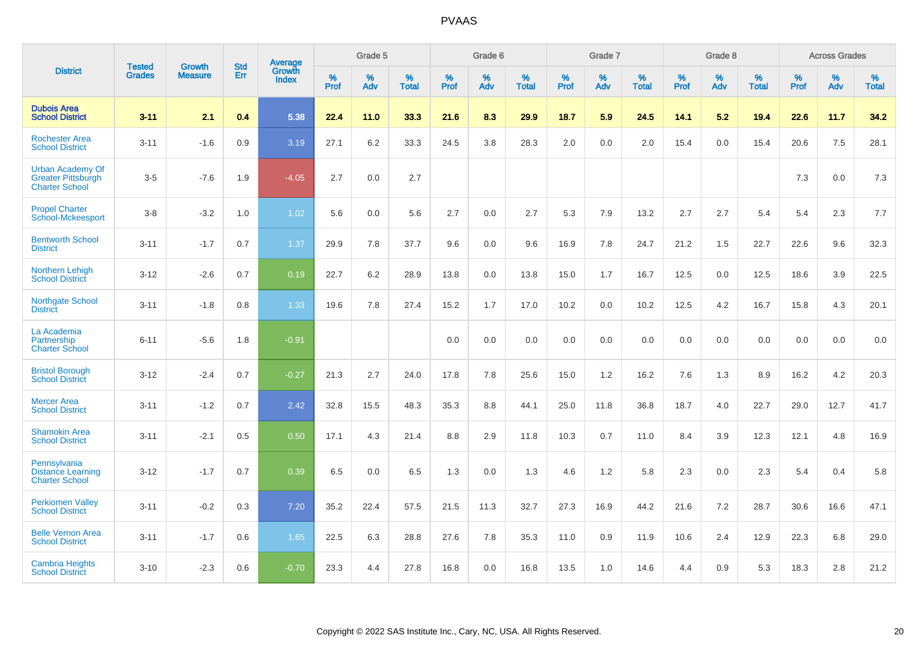|                                                                               | <b>Tested</b> | <b>Growth</b>  | <b>Std</b> | <b>Average</b>         |           | Grade 5  |                   |           | Grade 6  |                   |           | Grade 7  |                   |           | Grade 8  |                   |              | <b>Across Grades</b> |                   |
|-------------------------------------------------------------------------------|---------------|----------------|------------|------------------------|-----------|----------|-------------------|-----------|----------|-------------------|-----------|----------|-------------------|-----------|----------|-------------------|--------------|----------------------|-------------------|
| <b>District</b>                                                               | <b>Grades</b> | <b>Measure</b> | Err        | Growth<br><b>Index</b> | %<br>Prof | %<br>Adv | %<br><b>Total</b> | %<br>Prof | %<br>Adv | %<br><b>Total</b> | %<br>Prof | %<br>Adv | %<br><b>Total</b> | %<br>Prof | %<br>Adv | %<br><b>Total</b> | $\%$<br>Prof | %<br>Adv             | %<br><b>Total</b> |
| <b>Dubois Area</b><br><b>School District</b>                                  | $3 - 11$      | 2.1            | 0.4        | 5.38                   | 22.4      | 11.0     | 33.3              | 21.6      | 8.3      | 29.9              | 18.7      | 5.9      | 24.5              | 14.1      | 5.2      | 19.4              | 22.6         | 11.7                 | 34.2              |
| <b>Rochester Area</b><br><b>School District</b>                               | $3 - 11$      | $-1.6$         | 0.9        | 3.19                   | 27.1      | $6.2\,$  | 33.3              | 24.5      | 3.8      | 28.3              | 2.0       | 0.0      | 2.0               | 15.4      | 0.0      | 15.4              | 20.6         | 7.5                  | 28.1              |
| <b>Urban Academy Of</b><br><b>Greater Pittsburgh</b><br><b>Charter School</b> | $3-5$         | $-7.6$         | 1.9        | $-4.05$                | 2.7       | 0.0      | 2.7               |           |          |                   |           |          |                   |           |          |                   | 7.3          | 0.0                  | $7.3$             |
| <b>Propel Charter</b><br>School-Mckeesport                                    | $3-8$         | $-3.2$         | 1.0        | 1.02                   | 5.6       | 0.0      | 5.6               | 2.7       | 0.0      | 2.7               | 5.3       | 7.9      | 13.2              | 2.7       | 2.7      | 5.4               | 5.4          | 2.3                  | 7.7               |
| <b>Bentworth School</b><br><b>District</b>                                    | $3 - 11$      | $-1.7$         | 0.7        | 1.37                   | 29.9      | 7.8      | 37.7              | 9.6       | 0.0      | 9.6               | 16.9      | 7.8      | 24.7              | 21.2      | 1.5      | 22.7              | 22.6         | 9.6                  | 32.3              |
| Northern Lehigh<br><b>School District</b>                                     | $3 - 12$      | $-2.6$         | 0.7        | 0.19                   | 22.7      | 6.2      | 28.9              | 13.8      | 0.0      | 13.8              | 15.0      | 1.7      | 16.7              | 12.5      | 0.0      | 12.5              | 18.6         | 3.9                  | 22.5              |
| <b>Northgate School</b><br><b>District</b>                                    | $3 - 11$      | $-1.8$         | 0.8        | 1.33                   | 19.6      | 7.8      | 27.4              | 15.2      | 1.7      | 17.0              | 10.2      | 0.0      | 10.2              | 12.5      | 4.2      | 16.7              | 15.8         | 4.3                  | 20.1              |
| La Academia<br>Partnership<br><b>Charter School</b>                           | $6 - 11$      | $-5.6$         | 1.8        | $-0.91$                |           |          |                   | 0.0       | 0.0      | 0.0               | 0.0       | 0.0      | 0.0               | 0.0       | 0.0      | 0.0               | 0.0          | 0.0                  | 0.0               |
| <b>Bristol Borough</b><br><b>School District</b>                              | $3 - 12$      | $-2.4$         | 0.7        | $-0.27$                | 21.3      | 2.7      | 24.0              | 17.8      | 7.8      | 25.6              | 15.0      | 1.2      | 16.2              | 7.6       | 1.3      | 8.9               | 16.2         | 4.2                  | 20.3              |
| <b>Mercer Area</b><br><b>School District</b>                                  | $3 - 11$      | $-1.2$         | 0.7        | 2.42                   | 32.8      | 15.5     | 48.3              | 35.3      | 8.8      | 44.1              | 25.0      | 11.8     | 36.8              | 18.7      | 4.0      | 22.7              | 29.0         | 12.7                 | 41.7              |
| <b>Shamokin Area</b><br><b>School District</b>                                | $3 - 11$      | $-2.1$         | 0.5        | 0.50                   | 17.1      | 4.3      | 21.4              | 8.8       | 2.9      | 11.8              | 10.3      | 0.7      | 11.0              | 8.4       | 3.9      | 12.3              | 12.1         | 4.8                  | 16.9              |
| Pennsylvania<br><b>Distance Learning</b><br><b>Charter School</b>             | $3 - 12$      | $-1.7$         | 0.7        | 0.39                   | 6.5       | 0.0      | 6.5               | 1.3       | 0.0      | 1.3               | 4.6       | 1.2      | 5.8               | 2.3       | 0.0      | 2.3               | 5.4          | 0.4                  | 5.8               |
| <b>Perkiomen Valley</b><br><b>School District</b>                             | $3 - 11$      | $-0.2$         | 0.3        | 7.20                   | 35.2      | 22.4     | 57.5              | 21.5      | 11.3     | 32.7              | 27.3      | 16.9     | 44.2              | 21.6      | 7.2      | 28.7              | 30.6         | 16.6                 | 47.1              |
| <b>Belle Vernon Area</b><br><b>School District</b>                            | $3 - 11$      | $-1.7$         | 0.6        | 1.65                   | 22.5      | 6.3      | 28.8              | 27.6      | 7.8      | 35.3              | 11.0      | 0.9      | 11.9              | 10.6      | 2.4      | 12.9              | 22.3         | 6.8                  | 29.0              |
| <b>Cambria Heights</b><br><b>School District</b>                              | $3 - 10$      | $-2.3$         | 0.6        | $-0.70$                | 23.3      | 4.4      | 27.8              | 16.8      | 0.0      | 16.8              | 13.5      | 1.0      | 14.6              | 4.4       | 0.9      | 5.3               | 18.3         | 2.8                  | 21.2              |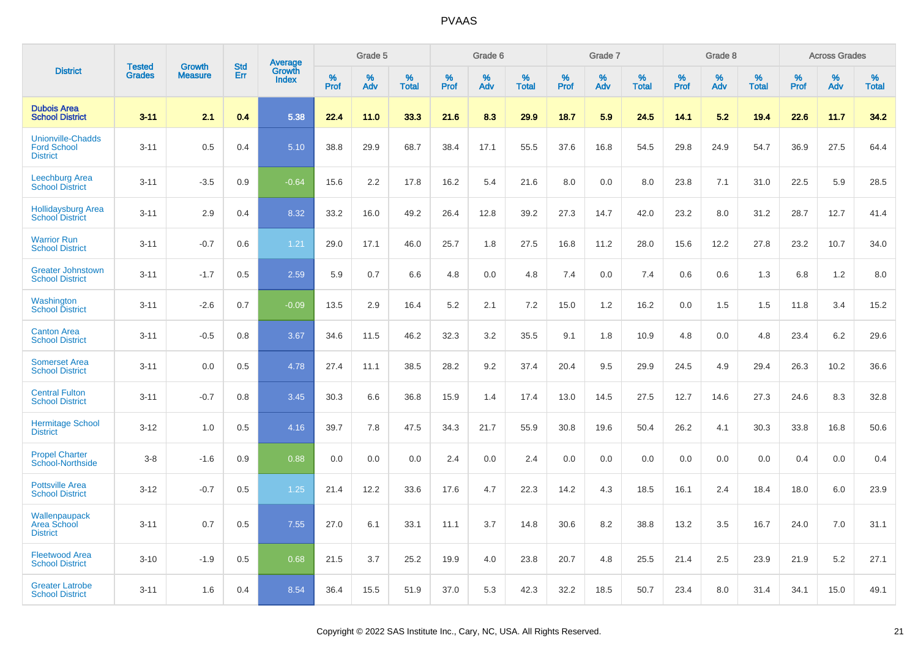|                                                                   |                                |                                 | <b>Std</b> | Average                |                     | Grade 5  |                      |                     | Grade 6  |                      |              | Grade 7  |                      |                     | Grade 8  |                   |                     | <b>Across Grades</b> |                      |
|-------------------------------------------------------------------|--------------------------------|---------------------------------|------------|------------------------|---------------------|----------|----------------------|---------------------|----------|----------------------|--------------|----------|----------------------|---------------------|----------|-------------------|---------------------|----------------------|----------------------|
| <b>District</b>                                                   | <b>Tested</b><br><b>Grades</b> | <b>Growth</b><br><b>Measure</b> | Err        | Growth<br><b>Index</b> | $\%$<br><b>Prof</b> | %<br>Adv | $\%$<br><b>Total</b> | $\%$<br><b>Prof</b> | %<br>Adv | $\%$<br><b>Total</b> | $\%$<br>Prof | %<br>Adv | $\%$<br><b>Total</b> | $\%$<br><b>Prof</b> | %<br>Adv | %<br><b>Total</b> | $\%$<br><b>Prof</b> | $\%$<br>Adv          | $\%$<br><b>Total</b> |
| <b>Dubois Area</b><br><b>School District</b>                      | $3 - 11$                       | 2.1                             | 0.4        | 5.38                   | 22.4                | 11.0     | 33.3                 | 21.6                | 8.3      | 29.9                 | 18.7         | 5.9      | 24.5                 | 14.1                | 5.2      | 19.4              | 22.6                | 11.7                 | 34.2                 |
| <b>Unionville-Chadds</b><br><b>Ford School</b><br><b>District</b> | $3 - 11$                       | 0.5                             | 0.4        | 5.10                   | 38.8                | 29.9     | 68.7                 | 38.4                | 17.1     | 55.5                 | 37.6         | 16.8     | 54.5                 | 29.8                | 24.9     | 54.7              | 36.9                | 27.5                 | 64.4                 |
| <b>Leechburg Area</b><br><b>School District</b>                   | $3 - 11$                       | $-3.5$                          | 0.9        | $-0.64$                | 15.6                | 2.2      | 17.8                 | 16.2                | 5.4      | 21.6                 | 8.0          | 0.0      | 8.0                  | 23.8                | 7.1      | 31.0              | 22.5                | 5.9                  | 28.5                 |
| <b>Hollidaysburg Area</b><br><b>School District</b>               | $3 - 11$                       | 2.9                             | 0.4        | 8.32                   | 33.2                | 16.0     | 49.2                 | 26.4                | 12.8     | 39.2                 | 27.3         | 14.7     | 42.0                 | 23.2                | 8.0      | 31.2              | 28.7                | 12.7                 | 41.4                 |
| <b>Warrior Run</b><br><b>School District</b>                      | $3 - 11$                       | $-0.7$                          | 0.6        | 1.21                   | 29.0                | 17.1     | 46.0                 | 25.7                | 1.8      | 27.5                 | 16.8         | 11.2     | 28.0                 | 15.6                | 12.2     | 27.8              | 23.2                | 10.7                 | 34.0                 |
| <b>Greater Johnstown</b><br><b>School District</b>                | $3 - 11$                       | $-1.7$                          | 0.5        | 2.59                   | 5.9                 | 0.7      | 6.6                  | 4.8                 | 0.0      | 4.8                  | 7.4          | 0.0      | 7.4                  | 0.6                 | 0.6      | 1.3               | 6.8                 | 1.2                  | 8.0                  |
| Washington<br><b>School District</b>                              | $3 - 11$                       | $-2.6$                          | 0.7        | $-0.09$                | 13.5                | 2.9      | 16.4                 | 5.2                 | 2.1      | 7.2                  | 15.0         | 1.2      | 16.2                 | 0.0                 | 1.5      | 1.5               | 11.8                | 3.4                  | 15.2                 |
| <b>Canton Area</b><br><b>School District</b>                      | $3 - 11$                       | $-0.5$                          | 0.8        | 3.67                   | 34.6                | 11.5     | 46.2                 | 32.3                | 3.2      | 35.5                 | 9.1          | 1.8      | 10.9                 | 4.8                 | 0.0      | 4.8               | 23.4                | 6.2                  | 29.6                 |
| <b>Somerset Area</b><br><b>School District</b>                    | $3 - 11$                       | 0.0                             | 0.5        | 4.78                   | 27.4                | 11.1     | 38.5                 | 28.2                | 9.2      | 37.4                 | 20.4         | 9.5      | 29.9                 | 24.5                | 4.9      | 29.4              | 26.3                | 10.2                 | 36.6                 |
| <b>Central Fulton</b><br><b>School District</b>                   | $3 - 11$                       | $-0.7$                          | 0.8        | 3.45                   | 30.3                | 6.6      | 36.8                 | 15.9                | 1.4      | 17.4                 | 13.0         | 14.5     | 27.5                 | 12.7                | 14.6     | 27.3              | 24.6                | 8.3                  | 32.8                 |
| <b>Hermitage School</b><br><b>District</b>                        | $3 - 12$                       | 1.0                             | 0.5        | 4.16                   | 39.7                | 7.8      | 47.5                 | 34.3                | 21.7     | 55.9                 | 30.8         | 19.6     | 50.4                 | 26.2                | 4.1      | 30.3              | 33.8                | 16.8                 | 50.6                 |
| <b>Propel Charter</b><br><b>School-Northside</b>                  | $3 - 8$                        | $-1.6$                          | 0.9        | 0.88                   | 0.0                 | 0.0      | 0.0                  | 2.4                 | 0.0      | 2.4                  | 0.0          | 0.0      | 0.0                  | 0.0                 | 0.0      | 0.0               | 0.4                 | 0.0                  | 0.4                  |
| <b>Pottsville Area</b><br><b>School District</b>                  | $3 - 12$                       | $-0.7$                          | 0.5        | 1.25                   | 21.4                | 12.2     | 33.6                 | 17.6                | 4.7      | 22.3                 | 14.2         | 4.3      | 18.5                 | 16.1                | 2.4      | 18.4              | 18.0                | 6.0                  | 23.9                 |
| Wallenpaupack<br><b>Area School</b><br><b>District</b>            | $3 - 11$                       | 0.7                             | 0.5        | 7.55                   | 27.0                | 6.1      | 33.1                 | 11.1                | 3.7      | 14.8                 | 30.6         | 8.2      | 38.8                 | 13.2                | 3.5      | 16.7              | 24.0                | 7.0                  | 31.1                 |
| <b>Fleetwood Area</b><br><b>School District</b>                   | $3 - 10$                       | $-1.9$                          | 0.5        | 0.68                   | 21.5                | 3.7      | 25.2                 | 19.9                | 4.0      | 23.8                 | 20.7         | 4.8      | 25.5                 | 21.4                | 2.5      | 23.9              | 21.9                | 5.2                  | 27.1                 |
| <b>Greater Latrobe</b><br><b>School District</b>                  | $3 - 11$                       | 1.6                             | 0.4        | 8.54                   | 36.4                | 15.5     | 51.9                 | 37.0                | 5.3      | 42.3                 | 32.2         | 18.5     | 50.7                 | 23.4                | 8.0      | 31.4              | 34.1                | 15.0                 | 49.1                 |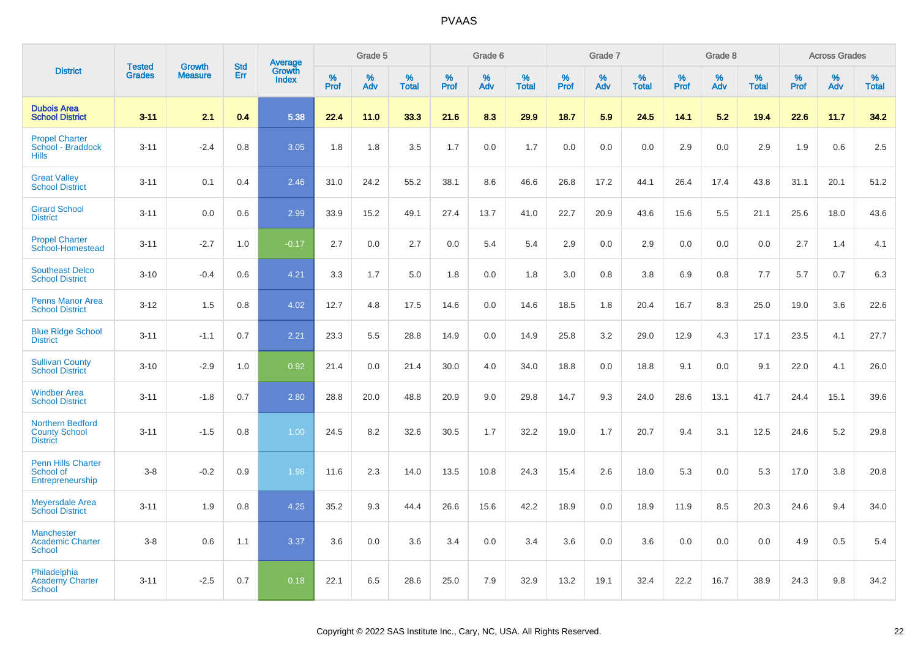|                                                               |                                |                                 | <b>Std</b> | Average                |                  | Grade 5  |                   |                  | Grade 6  |                   |                  | Grade 7  |                   |           | Grade 8  |                   |                  | <b>Across Grades</b> |                   |
|---------------------------------------------------------------|--------------------------------|---------------------------------|------------|------------------------|------------------|----------|-------------------|------------------|----------|-------------------|------------------|----------|-------------------|-----------|----------|-------------------|------------------|----------------------|-------------------|
| <b>District</b>                                               | <b>Tested</b><br><b>Grades</b> | <b>Growth</b><br><b>Measure</b> | Err        | Growth<br><b>Index</b> | %<br><b>Prof</b> | %<br>Adv | %<br><b>Total</b> | %<br><b>Prof</b> | %<br>Adv | %<br><b>Total</b> | %<br><b>Prof</b> | %<br>Adv | %<br><b>Total</b> | %<br>Prof | %<br>Adv | %<br><b>Total</b> | %<br><b>Prof</b> | %<br>Adv             | %<br><b>Total</b> |
| <b>Dubois Area</b><br><b>School District</b>                  | $3 - 11$                       | 2.1                             | 0.4        | 5.38                   | 22.4             | 11.0     | 33.3              | 21.6             | 8.3      | 29.9              | 18.7             | 5.9      | 24.5              | 14.1      | 5.2      | 19.4              | 22.6             | 11.7                 | 34.2              |
| <b>Propel Charter</b><br>School - Braddock<br><b>Hills</b>    | $3 - 11$                       | $-2.4$                          | 0.8        | 3.05                   | 1.8              | 1.8      | 3.5               | 1.7              | 0.0      | 1.7               | 0.0              | 0.0      | 0.0               | 2.9       | 0.0      | 2.9               | 1.9              | 0.6                  | 2.5               |
| <b>Great Valley</b><br><b>School District</b>                 | $3 - 11$                       | 0.1                             | 0.4        | 2.46                   | 31.0             | 24.2     | 55.2              | 38.1             | 8.6      | 46.6              | 26.8             | 17.2     | 44.1              | 26.4      | 17.4     | 43.8              | 31.1             | 20.1                 | 51.2              |
| <b>Girard School</b><br><b>District</b>                       | $3 - 11$                       | 0.0                             | 0.6        | 2.99                   | 33.9             | 15.2     | 49.1              | 27.4             | 13.7     | 41.0              | 22.7             | 20.9     | 43.6              | 15.6      | 5.5      | 21.1              | 25.6             | 18.0                 | 43.6              |
| <b>Propel Charter</b><br>School-Homestead                     | $3 - 11$                       | $-2.7$                          | 1.0        | $-0.17$                | 2.7              | 0.0      | 2.7               | 0.0              | 5.4      | 5.4               | 2.9              | 0.0      | 2.9               | 0.0       | 0.0      | 0.0               | 2.7              | 1.4                  | 4.1               |
| <b>Southeast Delco</b><br><b>School District</b>              | $3 - 10$                       | $-0.4$                          | 0.6        | 4.21                   | 3.3              | 1.7      | 5.0               | 1.8              | 0.0      | 1.8               | 3.0              | 0.8      | 3.8               | 6.9       | 0.8      | 7.7               | 5.7              | 0.7                  | 6.3               |
| <b>Penns Manor Area</b><br><b>School District</b>             | $3 - 12$                       | 1.5                             | 0.8        | 4.02                   | 12.7             | 4.8      | 17.5              | 14.6             | 0.0      | 14.6              | 18.5             | 1.8      | 20.4              | 16.7      | 8.3      | 25.0              | 19.0             | 3.6                  | 22.6              |
| <b>Blue Ridge School</b><br><b>District</b>                   | $3 - 11$                       | $-1.1$                          | 0.7        | 2.21                   | 23.3             | 5.5      | 28.8              | 14.9             | 0.0      | 14.9              | 25.8             | 3.2      | 29.0              | 12.9      | 4.3      | 17.1              | 23.5             | 4.1                  | 27.7              |
| <b>Sullivan County</b><br><b>School District</b>              | $3 - 10$                       | $-2.9$                          | 1.0        | 0.92                   | 21.4             | 0.0      | 21.4              | 30.0             | 4.0      | 34.0              | 18.8             | 0.0      | 18.8              | 9.1       | 0.0      | 9.1               | 22.0             | 4.1                  | 26.0              |
| <b>Windber Area</b><br><b>School District</b>                 | $3 - 11$                       | $-1.8$                          | 0.7        | 2.80                   | 28.8             | 20.0     | 48.8              | 20.9             | 9.0      | 29.8              | 14.7             | 9.3      | 24.0              | 28.6      | 13.1     | 41.7              | 24.4             | 15.1                 | 39.6              |
| Northern Bedford<br><b>County School</b><br><b>District</b>   | $3 - 11$                       | $-1.5$                          | 0.8        | 1.00                   | 24.5             | 8.2      | 32.6              | 30.5             | 1.7      | 32.2              | 19.0             | 1.7      | 20.7              | 9.4       | 3.1      | 12.5              | 24.6             | 5.2                  | 29.8              |
| <b>Penn Hills Charter</b><br>School of<br>Entrepreneurship    | $3-8$                          | $-0.2$                          | 0.9        | 1.98                   | 11.6             | 2.3      | 14.0              | 13.5             | 10.8     | 24.3              | 15.4             | 2.6      | 18.0              | 5.3       | 0.0      | 5.3               | 17.0             | 3.8                  | 20.8              |
| <b>Meyersdale Area</b><br><b>School District</b>              | $3 - 11$                       | 1.9                             | 0.8        | 4.25                   | 35.2             | 9.3      | 44.4              | 26.6             | 15.6     | 42.2              | 18.9             | 0.0      | 18.9              | 11.9      | 8.5      | 20.3              | 24.6             | 9.4                  | 34.0              |
| <b>Manchester</b><br><b>Academic Charter</b><br><b>School</b> | $3-8$                          | 0.6                             | 1.1        | 3.37                   | 3.6              | 0.0      | 3.6               | 3.4              | 0.0      | 3.4               | 3.6              | 0.0      | 3.6               | 0.0       | 0.0      | 0.0               | 4.9              | 0.5                  | 5.4               |
| Philadelphia<br><b>Academy Charter</b><br><b>School</b>       | $3 - 11$                       | $-2.5$                          | 0.7        | 0.18                   | 22.1             | 6.5      | 28.6              | 25.0             | 7.9      | 32.9              | 13.2             | 19.1     | 32.4              | 22.2      | 16.7     | 38.9              | 24.3             | 9.8                  | 34.2              |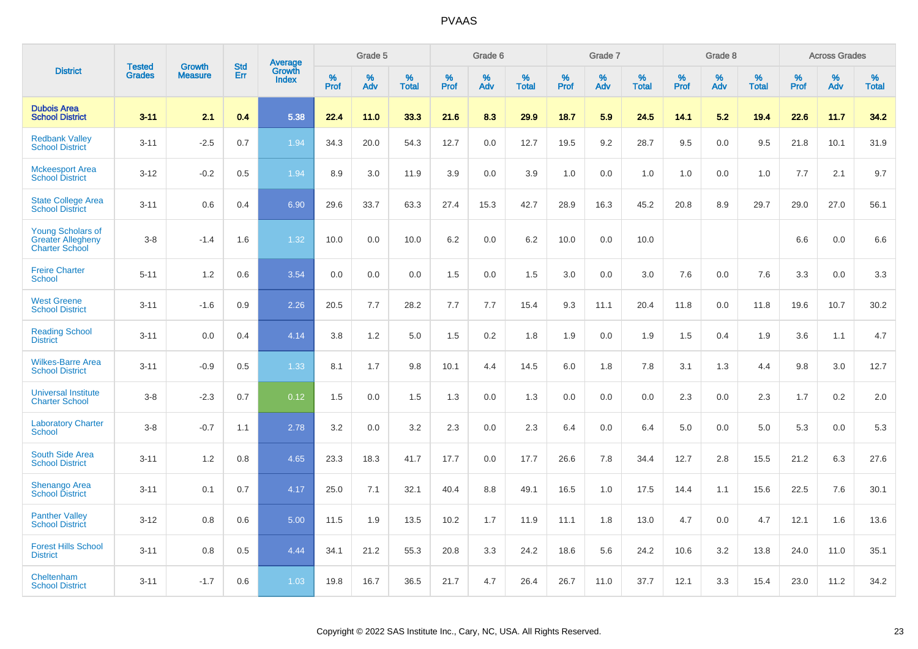|                                                                               |                                |                                 | <b>Std</b> | Average                |           | Grade 5  |                      |                  | Grade 6  |                   |           | Grade 7  |                      |           | Grade 8  |                   |           | <b>Across Grades</b> |                   |
|-------------------------------------------------------------------------------|--------------------------------|---------------------------------|------------|------------------------|-----------|----------|----------------------|------------------|----------|-------------------|-----------|----------|----------------------|-----------|----------|-------------------|-----------|----------------------|-------------------|
| <b>District</b>                                                               | <b>Tested</b><br><b>Grades</b> | <b>Growth</b><br><b>Measure</b> | Err        | Growth<br><b>Index</b> | %<br>Prof | %<br>Adv | $\%$<br><b>Total</b> | %<br><b>Prof</b> | %<br>Adv | %<br><b>Total</b> | %<br>Prof | %<br>Adv | $\%$<br><b>Total</b> | %<br>Prof | %<br>Adv | %<br><b>Total</b> | %<br>Prof | %<br>Adv             | %<br><b>Total</b> |
| <b>Dubois Area</b><br><b>School District</b>                                  | $3 - 11$                       | 2.1                             | 0.4        | 5.38                   | 22.4      | 11.0     | 33.3                 | 21.6             | 8.3      | 29.9              | 18.7      | 5.9      | 24.5                 | 14.1      | 5.2      | 19.4              | 22.6      | 11.7                 | 34.2              |
| <b>Redbank Valley</b><br><b>School District</b>                               | $3 - 11$                       | $-2.5$                          | 0.7        | 1.94                   | 34.3      | 20.0     | 54.3                 | 12.7             | 0.0      | 12.7              | 19.5      | 9.2      | 28.7                 | 9.5       | 0.0      | 9.5               | 21.8      | 10.1                 | 31.9              |
| <b>Mckeesport Area</b><br><b>School District</b>                              | $3 - 12$                       | $-0.2$                          | 0.5        | 1.94                   | 8.9       | 3.0      | 11.9                 | 3.9              | 0.0      | 3.9               | 1.0       | 0.0      | 1.0                  | 1.0       | 0.0      | 1.0               | 7.7       | 2.1                  | 9.7               |
| <b>State College Area</b><br><b>School District</b>                           | $3 - 11$                       | 0.6                             | 0.4        | 6.90                   | 29.6      | 33.7     | 63.3                 | 27.4             | 15.3     | 42.7              | 28.9      | 16.3     | 45.2                 | 20.8      | 8.9      | 29.7              | 29.0      | 27.0                 | 56.1              |
| <b>Young Scholars of</b><br><b>Greater Allegheny</b><br><b>Charter School</b> | $3 - 8$                        | $-1.4$                          | 1.6        | 1.32                   | 10.0      | 0.0      | 10.0                 | 6.2              | 0.0      | 6.2               | 10.0      | 0.0      | 10.0                 |           |          |                   | 6.6       | 0.0                  | 6.6               |
| <b>Freire Charter</b><br><b>School</b>                                        | $5 - 11$                       | 1.2                             | 0.6        | 3.54                   | 0.0       | 0.0      | 0.0                  | 1.5              | 0.0      | 1.5               | 3.0       | 0.0      | 3.0                  | 7.6       | 0.0      | 7.6               | 3.3       | 0.0                  | 3.3               |
| <b>West Greene</b><br><b>School District</b>                                  | $3 - 11$                       | $-1.6$                          | 0.9        | 2.26                   | 20.5      | 7.7      | 28.2                 | 7.7              | 7.7      | 15.4              | 9.3       | 11.1     | 20.4                 | 11.8      | 0.0      | 11.8              | 19.6      | 10.7                 | 30.2              |
| <b>Reading School</b><br><b>District</b>                                      | $3 - 11$                       | 0.0                             | 0.4        | 4.14                   | 3.8       | 1.2      | 5.0                  | 1.5              | 0.2      | 1.8               | 1.9       | 0.0      | 1.9                  | 1.5       | 0.4      | 1.9               | 3.6       | 1.1                  | 4.7               |
| <b>Wilkes-Barre Area</b><br><b>School District</b>                            | $3 - 11$                       | $-0.9$                          | 0.5        | 1.33                   | 8.1       | 1.7      | 9.8                  | 10.1             | 4.4      | 14.5              | 6.0       | 1.8      | 7.8                  | 3.1       | 1.3      | 4.4               | 9.8       | 3.0                  | 12.7              |
| <b>Universal Institute</b><br><b>Charter School</b>                           | $3 - 8$                        | $-2.3$                          | 0.7        | 0.12                   | 1.5       | 0.0      | 1.5                  | 1.3              | 0.0      | 1.3               | 0.0       | 0.0      | 0.0                  | 2.3       | 0.0      | 2.3               | 1.7       | 0.2                  | 2.0               |
| <b>Laboratory Charter</b><br>School                                           | $3 - 8$                        | $-0.7$                          | 1.1        | 2.78                   | 3.2       | 0.0      | 3.2                  | 2.3              | 0.0      | 2.3               | 6.4       | 0.0      | 6.4                  | 5.0       | 0.0      | 5.0               | 5.3       | 0.0                  | 5.3               |
| <b>South Side Area</b><br><b>School District</b>                              | $3 - 11$                       | 1.2                             | 0.8        | 4.65                   | 23.3      | 18.3     | 41.7                 | 17.7             | 0.0      | 17.7              | 26.6      | 7.8      | 34.4                 | 12.7      | 2.8      | 15.5              | 21.2      | 6.3                  | 27.6              |
| <b>Shenango Area</b><br><b>School District</b>                                | $3 - 11$                       | 0.1                             | 0.7        | 4.17                   | 25.0      | 7.1      | 32.1                 | 40.4             | 8.8      | 49.1              | 16.5      | 1.0      | 17.5                 | 14.4      | 1.1      | 15.6              | 22.5      | 7.6                  | 30.1              |
| <b>Panther Valley</b><br><b>School District</b>                               | $3 - 12$                       | 0.8                             | 0.6        | 5.00                   | 11.5      | 1.9      | 13.5                 | 10.2             | 1.7      | 11.9              | 11.1      | 1.8      | 13.0                 | 4.7       | 0.0      | 4.7               | 12.1      | 1.6                  | 13.6              |
| <b>Forest Hills School</b><br><b>District</b>                                 | $3 - 11$                       | 0.8                             | 0.5        | 4.44                   | 34.1      | 21.2     | 55.3                 | 20.8             | 3.3      | 24.2              | 18.6      | 5.6      | 24.2                 | 10.6      | 3.2      | 13.8              | 24.0      | 11.0                 | 35.1              |
| Cheltenham<br><b>School District</b>                                          | $3 - 11$                       | $-1.7$                          | 0.6        | 1.03                   | 19.8      | 16.7     | 36.5                 | 21.7             | 4.7      | 26.4              | 26.7      | 11.0     | 37.7                 | 12.1      | 3.3      | 15.4              | 23.0      | 11.2                 | 34.2              |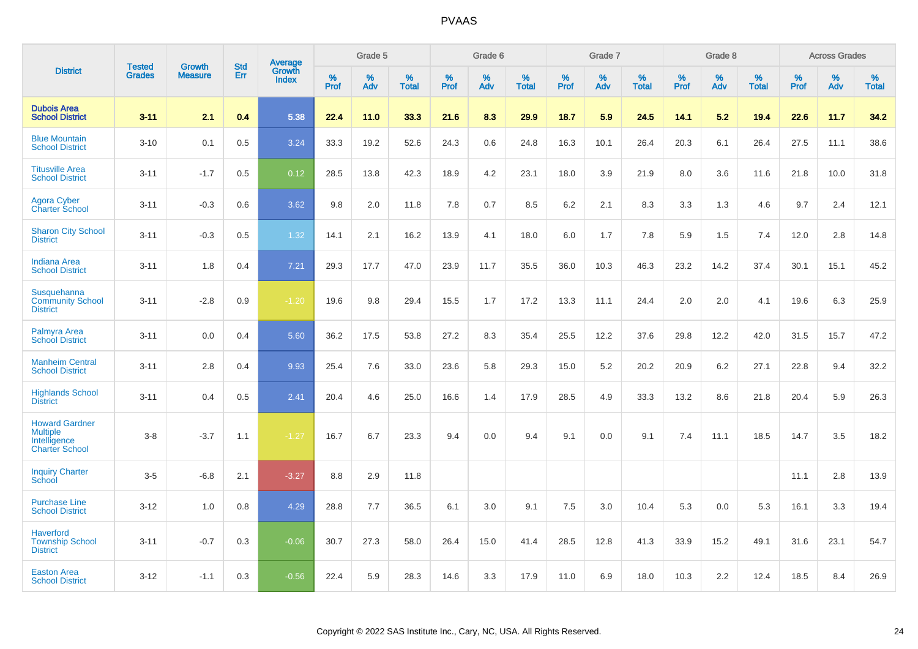|                                                                                   | <b>Tested</b> | <b>Growth</b>  | <b>Std</b> | <b>Average</b><br>Growth |              | Grade 5  |                   |              | Grade 6  |                   |           | Grade 7  |                   |           | Grade 8  |                   |                     | <b>Across Grades</b> |                   |
|-----------------------------------------------------------------------------------|---------------|----------------|------------|--------------------------|--------------|----------|-------------------|--------------|----------|-------------------|-----------|----------|-------------------|-----------|----------|-------------------|---------------------|----------------------|-------------------|
| <b>District</b>                                                                   | <b>Grades</b> | <b>Measure</b> | Err        | Index                    | $\%$<br>Prof | %<br>Adv | %<br><b>Total</b> | $\%$<br>Prof | %<br>Adv | %<br><b>Total</b> | %<br>Prof | %<br>Adv | %<br><b>Total</b> | %<br>Prof | %<br>Adv | %<br><b>Total</b> | $\%$<br><b>Prof</b> | $\%$<br>Adv          | %<br><b>Total</b> |
| <b>Dubois Area</b><br><b>School District</b>                                      | $3 - 11$      | 2.1            | 0.4        | 5.38                     | 22.4         | 11.0     | 33.3              | 21.6         | 8.3      | 29.9              | 18.7      | 5.9      | 24.5              | 14.1      | 5.2      | 19.4              | 22.6                | 11.7                 | 34.2              |
| <b>Blue Mountain</b><br><b>School District</b>                                    | $3 - 10$      | 0.1            | 0.5        | 3.24                     | 33.3         | 19.2     | 52.6              | 24.3         | 0.6      | 24.8              | 16.3      | 10.1     | 26.4              | 20.3      | 6.1      | 26.4              | 27.5                | 11.1                 | 38.6              |
| <b>Titusville Area</b><br><b>School District</b>                                  | $3 - 11$      | $-1.7$         | 0.5        | 0.12                     | 28.5         | 13.8     | 42.3              | 18.9         | 4.2      | 23.1              | 18.0      | 3.9      | 21.9              | 8.0       | 3.6      | 11.6              | 21.8                | 10.0                 | 31.8              |
| <b>Agora Cyber</b><br><b>Charter School</b>                                       | $3 - 11$      | $-0.3$         | 0.6        | 3.62                     | 9.8          | 2.0      | 11.8              | 7.8          | 0.7      | 8.5               | 6.2       | 2.1      | 8.3               | 3.3       | 1.3      | 4.6               | 9.7                 | 2.4                  | 12.1              |
| <b>Sharon City School</b><br><b>District</b>                                      | $3 - 11$      | $-0.3$         | 0.5        | 1.32                     | 14.1         | 2.1      | 16.2              | 13.9         | 4.1      | 18.0              | 6.0       | 1.7      | 7.8               | 5.9       | 1.5      | 7.4               | 12.0                | 2.8                  | 14.8              |
| <b>Indiana Area</b><br><b>School District</b>                                     | $3 - 11$      | 1.8            | 0.4        | 7.21                     | 29.3         | 17.7     | 47.0              | 23.9         | 11.7     | 35.5              | 36.0      | 10.3     | 46.3              | 23.2      | 14.2     | 37.4              | 30.1                | 15.1                 | 45.2              |
| Susquehanna<br><b>Community School</b><br><b>District</b>                         | $3 - 11$      | $-2.8$         | 0.9        | $-1.20$                  | 19.6         | 9.8      | 29.4              | 15.5         | 1.7      | 17.2              | 13.3      | 11.1     | 24.4              | 2.0       | 2.0      | 4.1               | 19.6                | 6.3                  | 25.9              |
| Palmyra Area<br><b>School District</b>                                            | $3 - 11$      | 0.0            | 0.4        | 5.60                     | 36.2         | 17.5     | 53.8              | 27.2         | 8.3      | 35.4              | 25.5      | 12.2     | 37.6              | 29.8      | 12.2     | 42.0              | 31.5                | 15.7                 | 47.2              |
| <b>Manheim Central</b><br><b>School District</b>                                  | $3 - 11$      | 2.8            | 0.4        | 9.93                     | 25.4         | 7.6      | 33.0              | 23.6         | 5.8      | 29.3              | 15.0      | 5.2      | 20.2              | 20.9      | 6.2      | 27.1              | 22.8                | 9.4                  | 32.2              |
| <b>Highlands School</b><br><b>District</b>                                        | $3 - 11$      | 0.4            | 0.5        | 2.41                     | 20.4         | 4.6      | 25.0              | 16.6         | 1.4      | 17.9              | 28.5      | 4.9      | 33.3              | 13.2      | 8.6      | 21.8              | 20.4                | 5.9                  | 26.3              |
| <b>Howard Gardner</b><br><b>Multiple</b><br>Intelligence<br><b>Charter School</b> | $3-8$         | $-3.7$         | 1.1        | $-1.27$                  | 16.7         | 6.7      | 23.3              | 9.4          | 0.0      | 9.4               | 9.1       | 0.0      | 9.1               | 7.4       | 11.1     | 18.5              | 14.7                | 3.5                  | 18.2              |
| <b>Inquiry Charter</b><br>School                                                  | $3 - 5$       | $-6.8$         | 2.1        | $-3.27$                  | 8.8          | 2.9      | 11.8              |              |          |                   |           |          |                   |           |          |                   | 11.1                | 2.8                  | 13.9              |
| <b>Purchase Line</b><br><b>School District</b>                                    | $3 - 12$      | 1.0            | 0.8        | 4.29                     | 28.8         | 7.7      | 36.5              | 6.1          | 3.0      | 9.1               | 7.5       | 3.0      | 10.4              | 5.3       | 0.0      | 5.3               | 16.1                | 3.3                  | 19.4              |
| <b>Haverford</b><br><b>Township School</b><br><b>District</b>                     | $3 - 11$      | $-0.7$         | 0.3        | $-0.06$                  | 30.7         | 27.3     | 58.0              | 26.4         | 15.0     | 41.4              | 28.5      | 12.8     | 41.3              | 33.9      | 15.2     | 49.1              | 31.6                | 23.1                 | 54.7              |
| <b>Easton Area</b><br><b>School District</b>                                      | $3 - 12$      | $-1.1$         | 0.3        | $-0.56$                  | 22.4         | 5.9      | 28.3              | 14.6         | 3.3      | 17.9              | 11.0      | 6.9      | 18.0              | 10.3      | 2.2      | 12.4              | 18.5                | 8.4                  | 26.9              |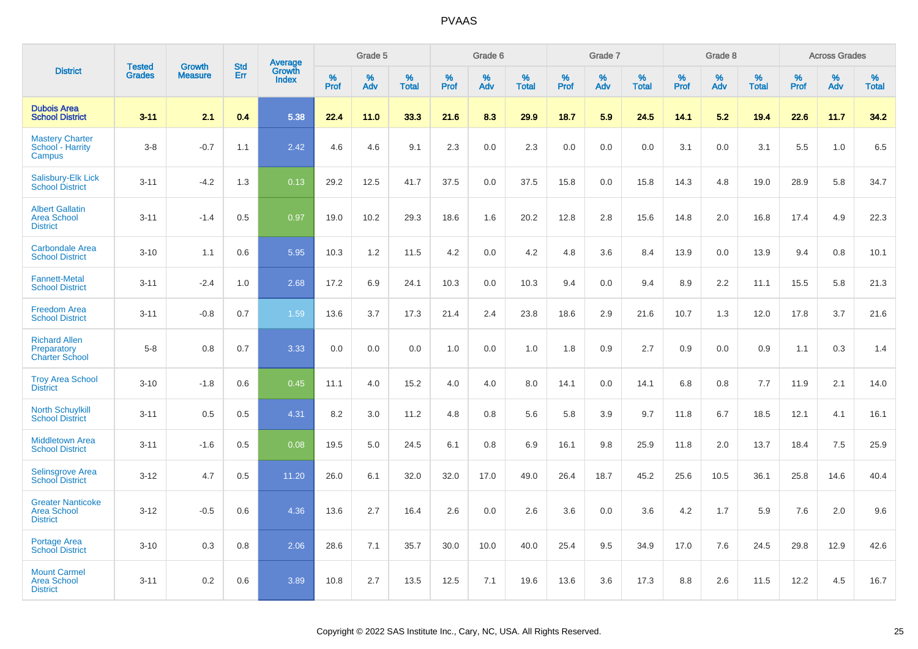|                                                                   |                                |                                 |                   | Average                |              | Grade 5  |                   |              | Grade 6  |                   |              | Grade 7  |                   |              | Grade 8  |                   |              | <b>Across Grades</b> |                   |
|-------------------------------------------------------------------|--------------------------------|---------------------------------|-------------------|------------------------|--------------|----------|-------------------|--------------|----------|-------------------|--------------|----------|-------------------|--------------|----------|-------------------|--------------|----------------------|-------------------|
| <b>District</b>                                                   | <b>Tested</b><br><b>Grades</b> | <b>Growth</b><br><b>Measure</b> | <b>Std</b><br>Err | Growth<br><b>Index</b> | $\%$<br>Prof | %<br>Adv | %<br><b>Total</b> | $\%$<br>Prof | %<br>Adv | %<br><b>Total</b> | $\%$<br>Prof | %<br>Adv | %<br><b>Total</b> | $\%$<br>Prof | %<br>Adv | %<br><b>Total</b> | $\%$<br>Prof | %<br>Adv             | %<br><b>Total</b> |
| <b>Dubois Area</b><br><b>School District</b>                      | $3 - 11$                       | 2.1                             | 0.4               | 5.38                   | 22.4         | 11.0     | 33.3              | 21.6         | 8.3      | 29.9              | 18.7         | 5.9      | 24.5              | 14.1         | 5.2      | 19.4              | 22.6         | 11.7                 | 34.2              |
| <b>Mastery Charter</b><br>School - Harrity<br>Campus              | $3 - 8$                        | $-0.7$                          | 1.1               | 2.42                   | 4.6          | 4.6      | 9.1               | 2.3          | 0.0      | 2.3               | 0.0          | 0.0      | 0.0               | 3.1          | 0.0      | 3.1               | 5.5          | 1.0                  | 6.5               |
| <b>Salisbury-Elk Lick</b><br><b>School District</b>               | $3 - 11$                       | $-4.2$                          | 1.3               | 0.13                   | 29.2         | 12.5     | 41.7              | 37.5         | 0.0      | 37.5              | 15.8         | 0.0      | 15.8              | 14.3         | 4.8      | 19.0              | 28.9         | 5.8                  | 34.7              |
| <b>Albert Gallatin</b><br><b>Area School</b><br><b>District</b>   | $3 - 11$                       | $-1.4$                          | 0.5               | 0.97                   | 19.0         | 10.2     | 29.3              | 18.6         | 1.6      | 20.2              | 12.8         | 2.8      | 15.6              | 14.8         | 2.0      | 16.8              | 17.4         | 4.9                  | 22.3              |
| <b>Carbondale Area</b><br><b>School District</b>                  | $3 - 10$                       | 1.1                             | 0.6               | 5.95                   | 10.3         | 1.2      | 11.5              | 4.2          | 0.0      | 4.2               | 4.8          | 3.6      | 8.4               | 13.9         | 0.0      | 13.9              | 9.4          | 0.8                  | 10.1              |
| <b>Fannett-Metal</b><br><b>School District</b>                    | $3 - 11$                       | $-2.4$                          | 1.0               | 2.68                   | 17.2         | 6.9      | 24.1              | 10.3         | 0.0      | 10.3              | 9.4          | 0.0      | 9.4               | 8.9          | 2.2      | 11.1              | 15.5         | 5.8                  | 21.3              |
| <b>Freedom Area</b><br><b>School District</b>                     | $3 - 11$                       | $-0.8$                          | 0.7               | 1.59                   | 13.6         | 3.7      | 17.3              | 21.4         | 2.4      | 23.8              | 18.6         | 2.9      | 21.6              | 10.7         | 1.3      | 12.0              | 17.8         | 3.7                  | 21.6              |
| <b>Richard Allen</b><br>Preparatory<br><b>Charter School</b>      | $5 - 8$                        | 0.8                             | 0.7               | 3.33                   | 0.0          | 0.0      | 0.0               | 1.0          | 0.0      | 1.0               | 1.8          | 0.9      | 2.7               | 0.9          | 0.0      | 0.9               | 1.1          | 0.3                  | 1.4               |
| <b>Troy Area School</b><br><b>District</b>                        | $3 - 10$                       | $-1.8$                          | 0.6               | 0.45                   | 11.1         | 4.0      | 15.2              | 4.0          | 4.0      | 8.0               | 14.1         | 0.0      | 14.1              | 6.8          | 0.8      | 7.7               | 11.9         | 2.1                  | 14.0              |
| <b>North Schuylkill</b><br><b>School District</b>                 | $3 - 11$                       | 0.5                             | 0.5               | 4.31                   | 8.2          | 3.0      | 11.2              | 4.8          | 0.8      | 5.6               | 5.8          | 3.9      | 9.7               | 11.8         | 6.7      | 18.5              | 12.1         | 4.1                  | 16.1              |
| <b>Middletown Area</b><br><b>School District</b>                  | $3 - 11$                       | $-1.6$                          | 0.5               | 0.08                   | 19.5         | 5.0      | 24.5              | 6.1          | 0.8      | 6.9               | 16.1         | 9.8      | 25.9              | 11.8         | 2.0      | 13.7              | 18.4         | 7.5                  | 25.9              |
| <b>Selinsgrove Area</b><br><b>School District</b>                 | $3 - 12$                       | 4.7                             | 0.5               | 11.20                  | 26.0         | 6.1      | 32.0              | 32.0         | 17.0     | 49.0              | 26.4         | 18.7     | 45.2              | 25.6         | 10.5     | 36.1              | 25.8         | 14.6                 | 40.4              |
| <b>Greater Nanticoke</b><br><b>Area School</b><br><b>District</b> | $3 - 12$                       | $-0.5$                          | 0.6               | 4.36                   | 13.6         | 2.7      | 16.4              | 2.6          | 0.0      | 2.6               | 3.6          | 0.0      | 3.6               | 4.2          | 1.7      | 5.9               | 7.6          | 2.0                  | 9.6               |
| Portage Area<br><b>School District</b>                            | $3 - 10$                       | 0.3                             | 0.8               | 2.06                   | 28.6         | 7.1      | 35.7              | 30.0         | 10.0     | 40.0              | 25.4         | 9.5      | 34.9              | 17.0         | 7.6      | 24.5              | 29.8         | 12.9                 | 42.6              |
| <b>Mount Carmel</b><br><b>Area School</b><br><b>District</b>      | $3 - 11$                       | 0.2                             | 0.6               | 3.89                   | 10.8         | 2.7      | 13.5              | 12.5         | 7.1      | 19.6              | 13.6         | 3.6      | 17.3              | 8.8          | 2.6      | 11.5              | 12.2         | 4.5                  | 16.7              |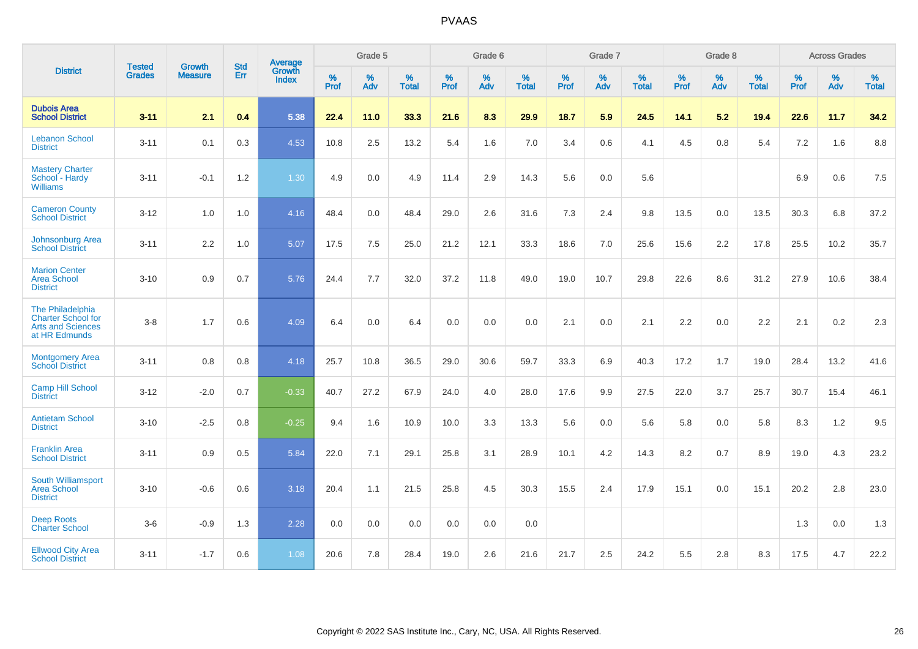|                                                                                     | <b>Tested</b> | <b>Growth</b>  | <b>Std</b> | Average         |              | Grade 5  |                      |              | Grade 6  |                   |              | Grade 7  |                   |              | Grade 8     |                      |              | <b>Across Grades</b> |                   |
|-------------------------------------------------------------------------------------|---------------|----------------|------------|-----------------|--------------|----------|----------------------|--------------|----------|-------------------|--------------|----------|-------------------|--------------|-------------|----------------------|--------------|----------------------|-------------------|
| <b>District</b>                                                                     | <b>Grades</b> | <b>Measure</b> | Err        | Growth<br>Index | $\%$<br>Prof | %<br>Adv | $\%$<br><b>Total</b> | $\%$<br>Prof | %<br>Adv | %<br><b>Total</b> | $\%$<br>Prof | %<br>Adv | %<br><b>Total</b> | $\%$<br>Prof | $\%$<br>Adv | $\%$<br><b>Total</b> | $\%$<br>Prof | %<br>Adv             | %<br><b>Total</b> |
| <b>Dubois Area</b><br><b>School District</b>                                        | $3 - 11$      | 2.1            | 0.4        | 5.38            | 22.4         | 11.0     | 33.3                 | 21.6         | 8.3      | 29.9              | 18.7         | 5.9      | 24.5              | 14.1         | 5.2         | 19.4                 | 22.6         | 11.7                 | 34.2              |
| <b>Lebanon School</b><br><b>District</b>                                            | $3 - 11$      | 0.1            | 0.3        | 4.53            | 10.8         | 2.5      | 13.2                 | 5.4          | 1.6      | 7.0               | 3.4          | 0.6      | 4.1               | 4.5          | 0.8         | 5.4                  | 7.2          | 1.6                  | 8.8               |
| <b>Mastery Charter</b><br>School - Hardy<br><b>Williams</b>                         | $3 - 11$      | $-0.1$         | 1.2        | 1.30            | 4.9          | 0.0      | 4.9                  | 11.4         | 2.9      | 14.3              | 5.6          | 0.0      | 5.6               |              |             |                      | 6.9          | 0.6                  | 7.5               |
| <b>Cameron County</b><br><b>School District</b>                                     | $3 - 12$      | 1.0            | 1.0        | 4.16            | 48.4         | 0.0      | 48.4                 | 29.0         | 2.6      | 31.6              | $7.3$        | 2.4      | 9.8               | 13.5         | 0.0         | 13.5                 | 30.3         | 6.8                  | 37.2              |
| <b>Johnsonburg Area</b><br><b>School District</b>                                   | $3 - 11$      | 2.2            | 1.0        | 5.07            | 17.5         | 7.5      | 25.0                 | 21.2         | 12.1     | 33.3              | 18.6         | 7.0      | 25.6              | 15.6         | 2.2         | 17.8                 | 25.5         | 10.2                 | 35.7              |
| <b>Marion Center</b><br><b>Area School</b><br><b>District</b>                       | $3 - 10$      | 0.9            | 0.7        | 5.76            | 24.4         | 7.7      | 32.0                 | 37.2         | 11.8     | 49.0              | 19.0         | 10.7     | 29.8              | 22.6         | 8.6         | 31.2                 | 27.9         | 10.6                 | 38.4              |
| The Philadelphia<br>Charter School for<br><b>Arts and Sciences</b><br>at HR Edmunds | $3 - 8$       | 1.7            | 0.6        | 4.09            | 6.4          | 0.0      | 6.4                  | 0.0          | 0.0      | 0.0               | 2.1          | 0.0      | 2.1               | 2.2          | 0.0         | 2.2                  | 2.1          | 0.2                  | 2.3               |
| <b>Montgomery Area</b><br><b>School District</b>                                    | $3 - 11$      | 0.8            | 0.8        | 4.18            | 25.7         | 10.8     | 36.5                 | 29.0         | 30.6     | 59.7              | 33.3         | 6.9      | 40.3              | 17.2         | 1.7         | 19.0                 | 28.4         | 13.2                 | 41.6              |
| <b>Camp Hill School</b><br><b>District</b>                                          | $3 - 12$      | $-2.0$         | 0.7        | $-0.33$         | 40.7         | 27.2     | 67.9                 | 24.0         | 4.0      | 28.0              | 17.6         | 9.9      | 27.5              | 22.0         | 3.7         | 25.7                 | 30.7         | 15.4                 | 46.1              |
| <b>Antietam School</b><br><b>District</b>                                           | $3 - 10$      | $-2.5$         | 0.8        | $-0.25$         | 9.4          | 1.6      | 10.9                 | 10.0         | 3.3      | 13.3              | 5.6          | 0.0      | 5.6               | 5.8          | 0.0         | 5.8                  | 8.3          | 1.2                  | 9.5               |
| <b>Franklin Area</b><br><b>School District</b>                                      | $3 - 11$      | 0.9            | 0.5        | 5.84            | 22.0         | 7.1      | 29.1                 | 25.8         | 3.1      | 28.9              | 10.1         | 4.2      | 14.3              | 8.2          | 0.7         | 8.9                  | 19.0         | 4.3                  | 23.2              |
| South Williamsport<br><b>Area School</b><br><b>District</b>                         | $3 - 10$      | $-0.6$         | 0.6        | 3.18            | 20.4         | 1.1      | 21.5                 | 25.8         | 4.5      | 30.3              | 15.5         | 2.4      | 17.9              | 15.1         | 0.0         | 15.1                 | 20.2         | 2.8                  | 23.0              |
| <b>Deep Roots</b><br><b>Charter School</b>                                          | $3-6$         | $-0.9$         | 1.3        | 2.28            | 0.0          | 0.0      | 0.0                  | 0.0          | 0.0      | 0.0               |              |          |                   |              |             |                      | 1.3          | 0.0                  | 1.3               |
| <b>Ellwood City Area</b><br><b>School District</b>                                  | $3 - 11$      | $-1.7$         | 0.6        | 1.08            | 20.6         | 7.8      | 28.4                 | 19.0         | 2.6      | 21.6              | 21.7         | 2.5      | 24.2              | 5.5          | 2.8         | 8.3                  | 17.5         | 4.7                  | 22.2              |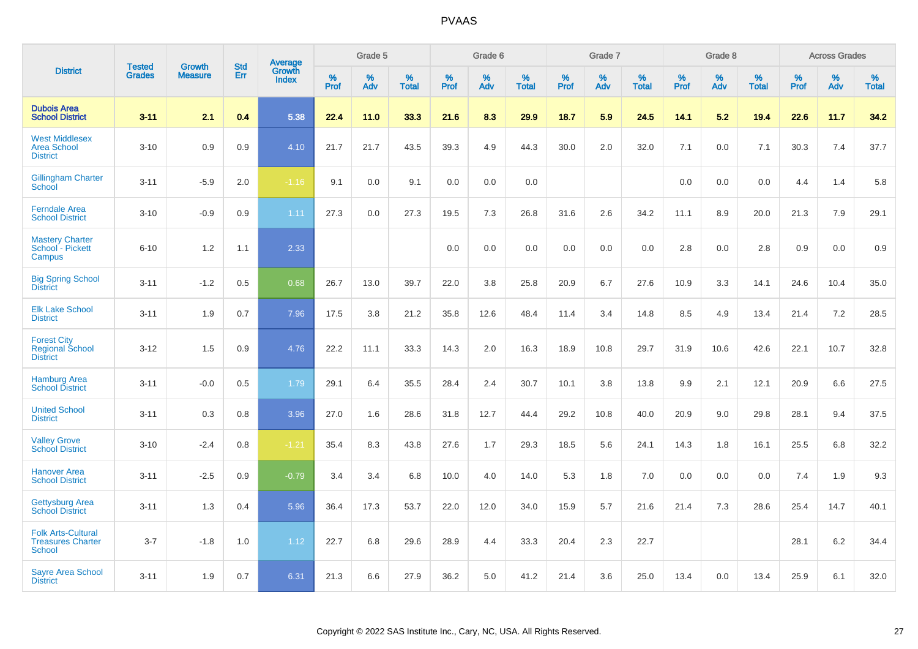|                                                                        |                                | <b>Growth</b>  | <b>Std</b> | <b>Average</b><br>Growth |              | Grade 5  |                   |              | Grade 6  |                   |              | Grade 7  |                   |              | Grade 8  |                   |              | <b>Across Grades</b> |                   |
|------------------------------------------------------------------------|--------------------------------|----------------|------------|--------------------------|--------------|----------|-------------------|--------------|----------|-------------------|--------------|----------|-------------------|--------------|----------|-------------------|--------------|----------------------|-------------------|
| <b>District</b>                                                        | <b>Tested</b><br><b>Grades</b> | <b>Measure</b> | <b>Err</b> | <b>Index</b>             | $\%$<br>Prof | %<br>Adv | %<br><b>Total</b> | $\%$<br>Prof | %<br>Adv | %<br><b>Total</b> | $\%$<br>Prof | %<br>Adv | %<br><b>Total</b> | $\%$<br>Prof | %<br>Adv | %<br><b>Total</b> | $\%$<br>Prof | %<br>Adv             | %<br><b>Total</b> |
| <b>Dubois Area</b><br><b>School District</b>                           | $3 - 11$                       | 2.1            | 0.4        | 5.38                     | 22.4         | 11.0     | 33.3              | 21.6         | 8.3      | 29.9              | 18.7         | 5.9      | 24.5              | 14.1         | 5.2      | 19.4              | 22.6         | 11.7                 | 34.2              |
| <b>West Middlesex</b><br><b>Area School</b><br><b>District</b>         | $3 - 10$                       | 0.9            | 0.9        | 4.10                     | 21.7         | 21.7     | 43.5              | 39.3         | 4.9      | 44.3              | 30.0         | 2.0      | 32.0              | 7.1          | 0.0      | 7.1               | 30.3         | 7.4                  | 37.7              |
| <b>Gillingham Charter</b><br>School                                    | $3 - 11$                       | $-5.9$         | 2.0        | $-1.16$                  | 9.1          | 0.0      | 9.1               | 0.0          | 0.0      | 0.0               |              |          |                   | 0.0          | 0.0      | 0.0               | 4.4          | 1.4                  | 5.8               |
| <b>Ferndale Area</b><br><b>School District</b>                         | $3 - 10$                       | $-0.9$         | 0.9        | 1.11                     | 27.3         | 0.0      | 27.3              | 19.5         | 7.3      | 26.8              | 31.6         | 2.6      | 34.2              | 11.1         | 8.9      | 20.0              | 21.3         | 7.9                  | 29.1              |
| <b>Mastery Charter</b><br>School - Pickett<br>Campus                   | $6 - 10$                       | 1.2            | 1.1        | 2.33                     |              |          |                   | 0.0          | 0.0      | 0.0               | 0.0          | 0.0      | 0.0               | 2.8          | 0.0      | 2.8               | 0.9          | 0.0                  | 0.9               |
| <b>Big Spring School</b><br><b>District</b>                            | $3 - 11$                       | $-1.2$         | 0.5        | 0.68                     | 26.7         | 13.0     | 39.7              | 22.0         | 3.8      | 25.8              | 20.9         | 6.7      | 27.6              | 10.9         | 3.3      | 14.1              | 24.6         | 10.4                 | 35.0              |
| <b>Elk Lake School</b><br><b>District</b>                              | $3 - 11$                       | 1.9            | 0.7        | 7.96                     | 17.5         | 3.8      | 21.2              | 35.8         | 12.6     | 48.4              | 11.4         | 3.4      | 14.8              | 8.5          | 4.9      | 13.4              | 21.4         | 7.2                  | 28.5              |
| <b>Forest City</b><br><b>Regional School</b><br><b>District</b>        | $3 - 12$                       | 1.5            | 0.9        | 4.76                     | 22.2         | 11.1     | 33.3              | 14.3         | 2.0      | 16.3              | 18.9         | 10.8     | 29.7              | 31.9         | 10.6     | 42.6              | 22.1         | 10.7                 | 32.8              |
| <b>Hamburg Area</b><br><b>School District</b>                          | $3 - 11$                       | $-0.0$         | 0.5        | 1.79                     | 29.1         | 6.4      | 35.5              | 28.4         | 2.4      | 30.7              | 10.1         | 3.8      | 13.8              | 9.9          | 2.1      | 12.1              | 20.9         | 6.6                  | 27.5              |
| <b>United School</b><br><b>District</b>                                | $3 - 11$                       | 0.3            | 0.8        | 3.96                     | 27.0         | 1.6      | 28.6              | 31.8         | 12.7     | 44.4              | 29.2         | 10.8     | 40.0              | 20.9         | 9.0      | 29.8              | 28.1         | 9.4                  | 37.5              |
| <b>Valley Grove</b><br><b>School District</b>                          | $3 - 10$                       | $-2.4$         | 0.8        | $-1.21$                  | 35.4         | 8.3      | 43.8              | 27.6         | 1.7      | 29.3              | 18.5         | 5.6      | 24.1              | 14.3         | 1.8      | 16.1              | 25.5         | 6.8                  | 32.2              |
| <b>Hanover Area</b><br><b>School District</b>                          | $3 - 11$                       | $-2.5$         | 0.9        | $-0.79$                  | 3.4          | 3.4      | 6.8               | 10.0         | 4.0      | 14.0              | 5.3          | 1.8      | 7.0               | 0.0          | 0.0      | 0.0               | 7.4          | 1.9                  | 9.3               |
| <b>Gettysburg Area</b><br><b>School District</b>                       | $3 - 11$                       | 1.3            | 0.4        | 5.96                     | 36.4         | 17.3     | 53.7              | 22.0         | 12.0     | 34.0              | 15.9         | 5.7      | 21.6              | 21.4         | 7.3      | 28.6              | 25.4         | 14.7                 | 40.1              |
| <b>Folk Arts-Cultural</b><br><b>Treasures Charter</b><br><b>School</b> | $3 - 7$                        | $-1.8$         | 1.0        | 1.12                     | 22.7         | 6.8      | 29.6              | 28.9         | 4.4      | 33.3              | 20.4         | 2.3      | 22.7              |              |          |                   | 28.1         | $6.2\,$              | 34.4              |
| <b>Sayre Area School</b><br><b>District</b>                            | $3 - 11$                       | 1.9            | 0.7        | 6.31                     | 21.3         | 6.6      | 27.9              | 36.2         | 5.0      | 41.2              | 21.4         | 3.6      | 25.0              | 13.4         | 0.0      | 13.4              | 25.9         | 6.1                  | 32.0              |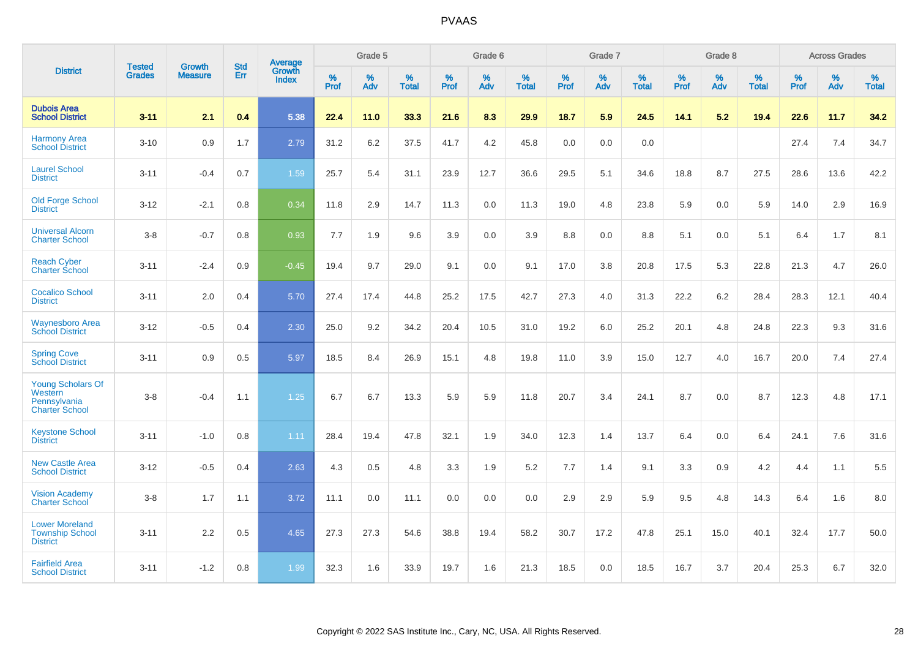|                                                                       |                                |                                 | <b>Std</b> | Average         |           | Grade 5  |                   |           | Grade 6  |                   |           | Grade 7  |                   |           | Grade 8  |                   |           | <b>Across Grades</b> |                   |
|-----------------------------------------------------------------------|--------------------------------|---------------------------------|------------|-----------------|-----------|----------|-------------------|-----------|----------|-------------------|-----------|----------|-------------------|-----------|----------|-------------------|-----------|----------------------|-------------------|
| <b>District</b>                                                       | <b>Tested</b><br><b>Grades</b> | <b>Growth</b><br><b>Measure</b> | Err        | Growth<br>Index | %<br>Prof | %<br>Adv | %<br><b>Total</b> | %<br>Prof | %<br>Adv | %<br><b>Total</b> | %<br>Prof | %<br>Adv | %<br><b>Total</b> | %<br>Prof | %<br>Adv | %<br><b>Total</b> | %<br>Prof | %<br>Adv             | %<br><b>Total</b> |
| <b>Dubois Area</b><br><b>School District</b>                          | $3 - 11$                       | 2.1                             | 0.4        | 5.38            | 22.4      | 11.0     | 33.3              | 21.6      | 8.3      | 29.9              | 18.7      | 5.9      | 24.5              | 14.1      | 5.2      | 19.4              | 22.6      | 11.7                 | 34.2              |
| <b>Harmony Area</b><br><b>School District</b>                         | $3 - 10$                       | 0.9                             | 1.7        | 2.79            | 31.2      | 6.2      | 37.5              | 41.7      | 4.2      | 45.8              | 0.0       | 0.0      | 0.0               |           |          |                   | 27.4      | 7.4                  | 34.7              |
| <b>Laurel School</b><br><b>District</b>                               | $3 - 11$                       | $-0.4$                          | 0.7        | 1.59            | 25.7      | 5.4      | 31.1              | 23.9      | 12.7     | 36.6              | 29.5      | 5.1      | 34.6              | 18.8      | 8.7      | 27.5              | 28.6      | 13.6                 | 42.2              |
| <b>Old Forge School</b><br><b>District</b>                            | $3 - 12$                       | $-2.1$                          | 0.8        | 0.34            | 11.8      | 2.9      | 14.7              | 11.3      | 0.0      | 11.3              | 19.0      | 4.8      | 23.8              | 5.9       | 0.0      | 5.9               | 14.0      | 2.9                  | 16.9              |
| <b>Universal Alcorn</b><br><b>Charter School</b>                      | $3 - 8$                        | $-0.7$                          | 0.8        | 0.93            | 7.7       | 1.9      | 9.6               | 3.9       | 0.0      | 3.9               | 8.8       | 0.0      | 8.8               | 5.1       | 0.0      | 5.1               | 6.4       | 1.7                  | 8.1               |
| <b>Reach Cyber</b><br><b>Charter School</b>                           | $3 - 11$                       | $-2.4$                          | 0.9        | $-0.45$         | 19.4      | 9.7      | 29.0              | 9.1       | 0.0      | 9.1               | 17.0      | 3.8      | 20.8              | 17.5      | 5.3      | 22.8              | 21.3      | 4.7                  | 26.0              |
| <b>Cocalico School</b><br><b>District</b>                             | $3 - 11$                       | 2.0                             | 0.4        | 5.70            | 27.4      | 17.4     | 44.8              | 25.2      | 17.5     | 42.7              | 27.3      | 4.0      | 31.3              | 22.2      | $6.2\,$  | 28.4              | 28.3      | 12.1                 | 40.4              |
| <b>Waynesboro Area</b><br><b>School District</b>                      | $3 - 12$                       | $-0.5$                          | 0.4        | 2.30            | 25.0      | 9.2      | 34.2              | 20.4      | 10.5     | 31.0              | 19.2      | 6.0      | 25.2              | 20.1      | 4.8      | 24.8              | 22.3      | 9.3                  | 31.6              |
| <b>Spring Cove</b><br><b>School District</b>                          | $3 - 11$                       | 0.9                             | 0.5        | 5.97            | 18.5      | 8.4      | 26.9              | 15.1      | 4.8      | 19.8              | 11.0      | 3.9      | 15.0              | 12.7      | 4.0      | 16.7              | 20.0      | 7.4                  | 27.4              |
| Young Scholars Of<br>Western<br>Pennsylvania<br><b>Charter School</b> | $3 - 8$                        | $-0.4$                          | 1.1        | 1.25            | 6.7       | 6.7      | 13.3              | 5.9       | 5.9      | 11.8              | 20.7      | 3.4      | 24.1              | 8.7       | 0.0      | 8.7               | 12.3      | 4.8                  | 17.1              |
| <b>Keystone School</b><br><b>District</b>                             | $3 - 11$                       | $-1.0$                          | 0.8        | 1.11            | 28.4      | 19.4     | 47.8              | 32.1      | 1.9      | 34.0              | 12.3      | 1.4      | 13.7              | 6.4       | 0.0      | 6.4               | 24.1      | 7.6                  | 31.6              |
| <b>New Castle Area</b><br><b>School District</b>                      | $3 - 12$                       | $-0.5$                          | 0.4        | 2.63            | 4.3       | 0.5      | 4.8               | 3.3       | 1.9      | 5.2               | 7.7       | 1.4      | 9.1               | 3.3       | 0.9      | 4.2               | 4.4       | 1.1                  | 5.5               |
| <b>Vision Academy</b><br><b>Charter School</b>                        | $3 - 8$                        | 1.7                             | 1.1        | 3.72            | 11.1      | 0.0      | 11.1              | 0.0       | 0.0      | 0.0               | 2.9       | 2.9      | 5.9               | 9.5       | 4.8      | 14.3              | 6.4       | 1.6                  | 8.0               |
| <b>Lower Moreland</b><br><b>Township School</b><br><b>District</b>    | $3 - 11$                       | 2.2                             | 0.5        | 4.65            | 27.3      | 27.3     | 54.6              | 38.8      | 19.4     | 58.2              | 30.7      | 17.2     | 47.8              | 25.1      | 15.0     | 40.1              | 32.4      | 17.7                 | 50.0              |
| <b>Fairfield Area</b><br><b>School District</b>                       | $3 - 11$                       | $-1.2$                          | 0.8        | 1.99            | 32.3      | 1.6      | 33.9              | 19.7      | 1.6      | 21.3              | 18.5      | 0.0      | 18.5              | 16.7      | 3.7      | 20.4              | 25.3      | 6.7                  | 32.0              |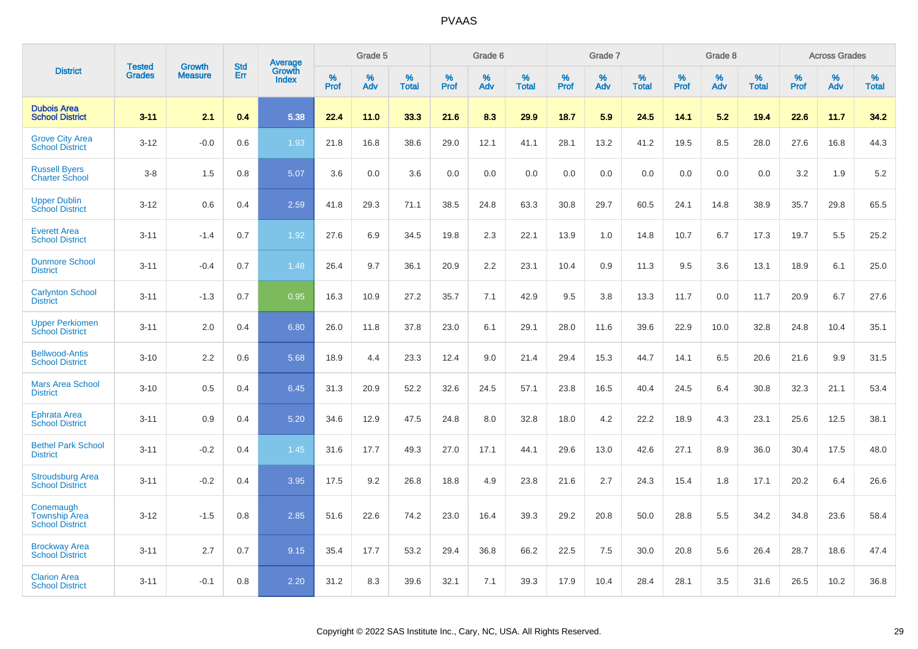|                                                             |                                | <b>Growth</b>  | <b>Std</b> | Average                |              | Grade 5     |                      |                     | Grade 6     |                      |              | Grade 7     |                      |              | Grade 8     |                   |                     | <b>Across Grades</b> |                      |
|-------------------------------------------------------------|--------------------------------|----------------|------------|------------------------|--------------|-------------|----------------------|---------------------|-------------|----------------------|--------------|-------------|----------------------|--------------|-------------|-------------------|---------------------|----------------------|----------------------|
| <b>District</b>                                             | <b>Tested</b><br><b>Grades</b> | <b>Measure</b> | Err        | Growth<br><b>Index</b> | $\%$<br>Prof | $\%$<br>Adv | $\%$<br><b>Total</b> | $\%$<br><b>Prof</b> | $\%$<br>Adv | $\%$<br><b>Total</b> | $\%$<br>Prof | $\%$<br>Adv | $\%$<br><b>Total</b> | $\%$<br>Prof | $\%$<br>Adv | %<br><b>Total</b> | $\%$<br><b>Prof</b> | $\%$<br>Adv          | $\%$<br><b>Total</b> |
| <b>Dubois Area</b><br><b>School District</b>                | $3 - 11$                       | 2.1            | 0.4        | 5.38                   | 22.4         | 11.0        | 33.3                 | 21.6                | 8.3         | 29.9                 | 18.7         | 5.9         | 24.5                 | 14.1         | 5.2         | 19.4              | 22.6                | 11.7                 | 34.2                 |
| <b>Grove City Area</b><br><b>School District</b>            | $3 - 12$                       | $-0.0$         | 0.6        | 1.93                   | 21.8         | 16.8        | 38.6                 | 29.0                | 12.1        | 41.1                 | 28.1         | 13.2        | 41.2                 | 19.5         | 8.5         | 28.0              | 27.6                | 16.8                 | 44.3                 |
| <b>Russell Byers</b><br><b>Charter School</b>               | $3 - 8$                        | 1.5            | 0.8        | 5.07                   | 3.6          | 0.0         | 3.6                  | 0.0                 | 0.0         | 0.0                  | 0.0          | 0.0         | 0.0                  | 0.0          | 0.0         | 0.0               | 3.2                 | 1.9                  | 5.2                  |
| <b>Upper Dublin</b><br><b>School District</b>               | $3 - 12$                       | 0.6            | 0.4        | 2.59                   | 41.8         | 29.3        | 71.1                 | 38.5                | 24.8        | 63.3                 | 30.8         | 29.7        | 60.5                 | 24.1         | 14.8        | 38.9              | 35.7                | 29.8                 | 65.5                 |
| <b>Everett Area</b><br><b>School District</b>               | $3 - 11$                       | $-1.4$         | 0.7        | 1.92                   | 27.6         | 6.9         | 34.5                 | 19.8                | 2.3         | 22.1                 | 13.9         | 1.0         | 14.8                 | 10.7         | 6.7         | 17.3              | 19.7                | 5.5                  | 25.2                 |
| <b>Dunmore School</b><br><b>District</b>                    | $3 - 11$                       | $-0.4$         | 0.7        | 1.48                   | 26.4         | 9.7         | 36.1                 | 20.9                | 2.2         | 23.1                 | 10.4         | 0.9         | 11.3                 | 9.5          | 3.6         | 13.1              | 18.9                | 6.1                  | 25.0                 |
| <b>Carlynton School</b><br><b>District</b>                  | $3 - 11$                       | $-1.3$         | 0.7        | 0.95                   | 16.3         | 10.9        | 27.2                 | 35.7                | 7.1         | 42.9                 | 9.5          | 3.8         | 13.3                 | 11.7         | 0.0         | 11.7              | 20.9                | 6.7                  | 27.6                 |
| <b>Upper Perkiomen</b><br><b>School District</b>            | $3 - 11$                       | 2.0            | 0.4        | 6.80                   | 26.0         | 11.8        | 37.8                 | 23.0                | 6.1         | 29.1                 | 28.0         | 11.6        | 39.6                 | 22.9         | 10.0        | 32.8              | 24.8                | 10.4                 | 35.1                 |
| <b>Bellwood-Antis</b><br><b>School District</b>             | $3 - 10$                       | 2.2            | 0.6        | 5.68                   | 18.9         | 4.4         | 23.3                 | 12.4                | 9.0         | 21.4                 | 29.4         | 15.3        | 44.7                 | 14.1         | 6.5         | 20.6              | 21.6                | 9.9                  | 31.5                 |
| <b>Mars Area School</b><br><b>District</b>                  | $3 - 10$                       | 0.5            | 0.4        | 6.45                   | 31.3         | 20.9        | 52.2                 | 32.6                | 24.5        | 57.1                 | 23.8         | 16.5        | 40.4                 | 24.5         | 6.4         | 30.8              | 32.3                | 21.1                 | 53.4                 |
| Ephrata Area<br><b>School District</b>                      | $3 - 11$                       | 0.9            | 0.4        | 5.20                   | 34.6         | 12.9        | 47.5                 | 24.8                | 8.0         | 32.8                 | 18.0         | 4.2         | 22.2                 | 18.9         | 4.3         | 23.1              | 25.6                | 12.5                 | 38.1                 |
| <b>Bethel Park School</b><br><b>District</b>                | $3 - 11$                       | $-0.2$         | 0.4        | 1.45                   | 31.6         | 17.7        | 49.3                 | 27.0                | 17.1        | 44.1                 | 29.6         | 13.0        | 42.6                 | 27.1         | 8.9         | 36.0              | 30.4                | 17.5                 | 48.0                 |
| <b>Stroudsburg Area</b><br><b>School District</b>           | $3 - 11$                       | $-0.2$         | 0.4        | 3.95                   | 17.5         | 9.2         | 26.8                 | 18.8                | 4.9         | 23.8                 | 21.6         | 2.7         | 24.3                 | 15.4         | 1.8         | 17.1              | 20.2                | 6.4                  | 26.6                 |
| Conemaugh<br><b>Township Area</b><br><b>School District</b> | $3 - 12$                       | $-1.5$         | 0.8        | 2.85                   | 51.6         | 22.6        | 74.2                 | 23.0                | 16.4        | 39.3                 | 29.2         | 20.8        | 50.0                 | 28.8         | 5.5         | 34.2              | 34.8                | 23.6                 | 58.4                 |
| <b>Brockway Area</b><br><b>School District</b>              | $3 - 11$                       | 2.7            | 0.7        | 9.15                   | 35.4         | 17.7        | 53.2                 | 29.4                | 36.8        | 66.2                 | 22.5         | 7.5         | 30.0                 | 20.8         | 5.6         | 26.4              | 28.7                | 18.6                 | 47.4                 |
| <b>Clarion Area</b><br><b>School District</b>               | $3 - 11$                       | $-0.1$         | 0.8        | 2.20                   | 31.2         | 8.3         | 39.6                 | 32.1                | 7.1         | 39.3                 | 17.9         | 10.4        | 28.4                 | 28.1         | 3.5         | 31.6              | 26.5                | 10.2                 | 36.8                 |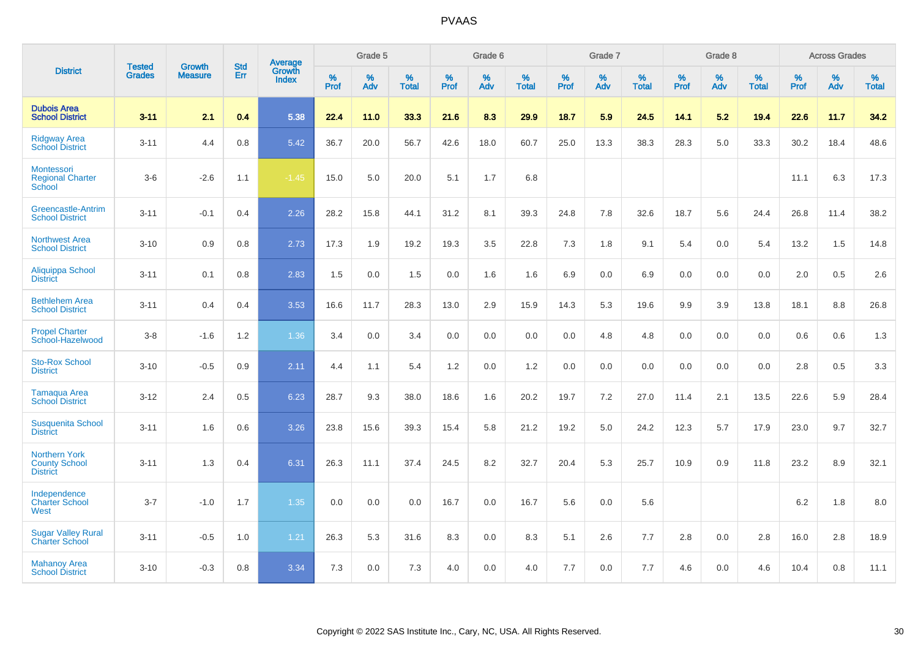|                                                                 | <b>Tested</b> | <b>Growth</b>  | <b>Std</b> | Average                |              | Grade 5  |                   |           | Grade 6  |                   |           | Grade 7  |                   |           | Grade 8  |                   |           | <b>Across Grades</b> |                   |
|-----------------------------------------------------------------|---------------|----------------|------------|------------------------|--------------|----------|-------------------|-----------|----------|-------------------|-----------|----------|-------------------|-----------|----------|-------------------|-----------|----------------------|-------------------|
| <b>District</b>                                                 | <b>Grades</b> | <b>Measure</b> | Err        | Growth<br><b>Index</b> | $\%$<br>Prof | %<br>Adv | %<br><b>Total</b> | %<br>Prof | %<br>Adv | %<br><b>Total</b> | %<br>Prof | %<br>Adv | %<br><b>Total</b> | %<br>Prof | %<br>Adv | %<br><b>Total</b> | %<br>Prof | %<br>Adv             | %<br><b>Total</b> |
| <b>Dubois Area</b><br><b>School District</b>                    | $3 - 11$      | 2.1            | 0.4        | 5.38                   | 22.4         | 11.0     | 33.3              | 21.6      | 8.3      | 29.9              | 18.7      | 5.9      | 24.5              | 14.1      | 5.2      | 19.4              | 22.6      | 11.7                 | 34.2              |
| <b>Ridgway Area</b><br><b>School District</b>                   | $3 - 11$      | 4.4            | 0.8        | 5.42                   | 36.7         | 20.0     | 56.7              | 42.6      | 18.0     | 60.7              | 25.0      | 13.3     | 38.3              | 28.3      | 5.0      | 33.3              | 30.2      | 18.4                 | 48.6              |
| Montessori<br><b>Regional Charter</b><br>School                 | $3-6$         | $-2.6$         | 1.1        | $-1.45$                | 15.0         | 5.0      | 20.0              | 5.1       | 1.7      | 6.8               |           |          |                   |           |          |                   | 11.1      | 6.3                  | 17.3              |
| Greencastle-Antrim<br><b>School District</b>                    | $3 - 11$      | $-0.1$         | 0.4        | 2.26                   | 28.2         | 15.8     | 44.1              | 31.2      | 8.1      | 39.3              | 24.8      | 7.8      | 32.6              | 18.7      | 5.6      | 24.4              | 26.8      | 11.4                 | 38.2              |
| <b>Northwest Area</b><br><b>School District</b>                 | $3 - 10$      | 0.9            | 0.8        | 2.73                   | 17.3         | 1.9      | 19.2              | 19.3      | 3.5      | 22.8              | 7.3       | 1.8      | 9.1               | 5.4       | 0.0      | 5.4               | 13.2      | 1.5                  | 14.8              |
| Aliquippa School<br><b>District</b>                             | $3 - 11$      | 0.1            | 0.8        | 2.83                   | 1.5          | 0.0      | 1.5               | 0.0       | 1.6      | 1.6               | 6.9       | 0.0      | 6.9               | 0.0       | 0.0      | 0.0               | 2.0       | 0.5                  | 2.6               |
| <b>Bethlehem Area</b><br><b>School District</b>                 | $3 - 11$      | 0.4            | 0.4        | 3.53                   | 16.6         | 11.7     | 28.3              | 13.0      | 2.9      | 15.9              | 14.3      | 5.3      | 19.6              | 9.9       | 3.9      | 13.8              | 18.1      | 8.8                  | 26.8              |
| <b>Propel Charter</b><br>School-Hazelwood                       | $3 - 8$       | $-1.6$         | $1.2$      | 1.36                   | 3.4          | 0.0      | 3.4               | 0.0       | 0.0      | 0.0               | 0.0       | 4.8      | 4.8               | 0.0       | 0.0      | 0.0               | 0.6       | 0.6                  | 1.3               |
| <b>Sto-Rox School</b><br><b>District</b>                        | $3 - 10$      | $-0.5$         | 0.9        | 2.11                   | 4.4          | 1.1      | 5.4               | 1.2       | 0.0      | 1.2               | 0.0       | 0.0      | 0.0               | 0.0       | 0.0      | 0.0               | 2.8       | 0.5                  | 3.3               |
| Tamaqua Area<br><b>School District</b>                          | $3 - 12$      | 2.4            | 0.5        | 6.23                   | 28.7         | 9.3      | 38.0              | 18.6      | 1.6      | 20.2              | 19.7      | $7.2\,$  | 27.0              | 11.4      | 2.1      | 13.5              | 22.6      | 5.9                  | 28.4              |
| <b>Susquenita School</b><br><b>District</b>                     | $3 - 11$      | 1.6            | 0.6        | 3.26                   | 23.8         | 15.6     | 39.3              | 15.4      | 5.8      | 21.2              | 19.2      | 5.0      | 24.2              | 12.3      | 5.7      | 17.9              | 23.0      | 9.7                  | 32.7              |
| <b>Northern York</b><br><b>County School</b><br><b>District</b> | $3 - 11$      | 1.3            | 0.4        | 6.31                   | 26.3         | 11.1     | 37.4              | 24.5      | 8.2      | 32.7              | 20.4      | 5.3      | 25.7              | 10.9      | 0.9      | 11.8              | 23.2      | 8.9                  | 32.1              |
| Independence<br><b>Charter School</b><br>West                   | $3 - 7$       | $-1.0$         | 1.7        | 1.35                   | 0.0          | 0.0      | 0.0               | 16.7      | 0.0      | 16.7              | 5.6       | 0.0      | 5.6               |           |          |                   | $6.2\,$   | 1.8                  | $8.0\,$           |
| <b>Sugar Valley Rural</b><br><b>Charter School</b>              | $3 - 11$      | $-0.5$         | 1.0        | 1.21                   | 26.3         | 5.3      | 31.6              | 8.3       | 0.0      | 8.3               | 5.1       | 2.6      | 7.7               | 2.8       | 0.0      | 2.8               | 16.0      | 2.8                  | 18.9              |
| <b>Mahanoy Area</b><br><b>School District</b>                   | $3 - 10$      | $-0.3$         | 0.8        | 3.34                   | 7.3          | 0.0      | 7.3               | 4.0       | 0.0      | 4.0               | 7.7       | 0.0      | 7.7               | 4.6       | 0.0      | 4.6               | 10.4      | 0.8                  | 11.1              |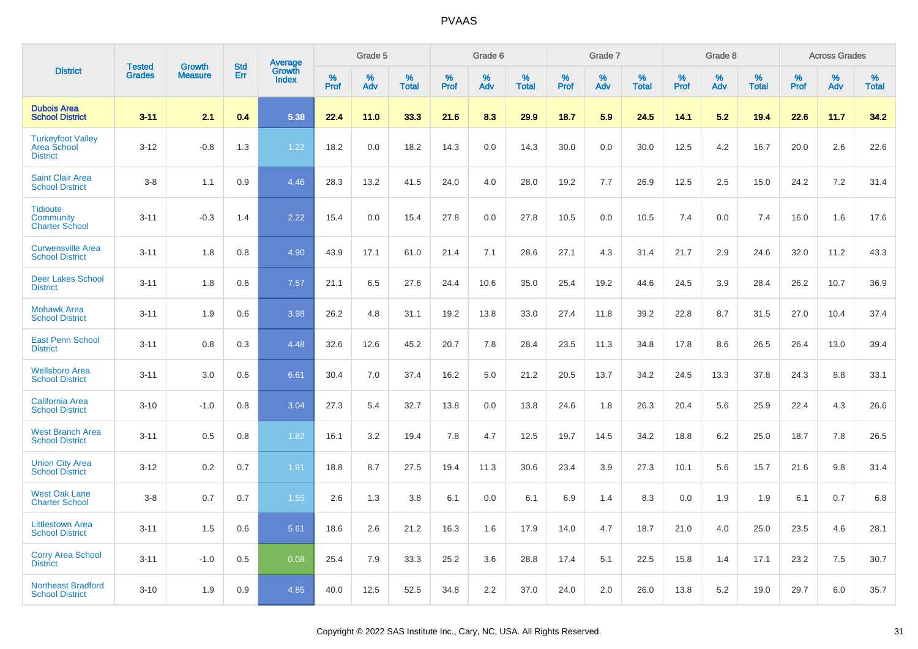|                                                                   |                                |                                 | <b>Std</b> |                                          |              | Grade 5  |                   |           | Grade 6  |                   |              | Grade 7  |                   |              | Grade 8  |                   |              | <b>Across Grades</b> |                   |
|-------------------------------------------------------------------|--------------------------------|---------------------------------|------------|------------------------------------------|--------------|----------|-------------------|-----------|----------|-------------------|--------------|----------|-------------------|--------------|----------|-------------------|--------------|----------------------|-------------------|
| <b>District</b>                                                   | <b>Tested</b><br><b>Grades</b> | <b>Growth</b><br><b>Measure</b> | Err        | <b>Average</b><br>Growth<br><b>Index</b> | $\%$<br>Prof | %<br>Adv | %<br><b>Total</b> | %<br>Prof | %<br>Adv | %<br><b>Total</b> | $\%$<br>Prof | %<br>Adv | %<br><b>Total</b> | $\%$<br>Prof | %<br>Adv | %<br><b>Total</b> | $\%$<br>Prof | %<br>Adv             | %<br><b>Total</b> |
| <b>Dubois Area</b><br><b>School District</b>                      | $3 - 11$                       | 2.1                             | 0.4        | 5.38                                     | 22.4         | 11.0     | 33.3              | 21.6      | 8.3      | 29.9              | 18.7         | 5.9      | 24.5              | 14.1         | 5.2      | 19.4              | 22.6         | 11.7                 | 34.2              |
| <b>Turkeyfoot Valley</b><br><b>Area School</b><br><b>District</b> | $3 - 12$                       | $-0.8$                          | 1.3        | 1.22                                     | 18.2         | 0.0      | 18.2              | 14.3      | 0.0      | 14.3              | 30.0         | 0.0      | 30.0              | 12.5         | 4.2      | 16.7              | 20.0         | 2.6                  | 22.6              |
| <b>Saint Clair Area</b><br><b>School District</b>                 | $3 - 8$                        | 1.1                             | 0.9        | 4.46                                     | 28.3         | 13.2     | 41.5              | 24.0      | 4.0      | 28.0              | 19.2         | 7.7      | 26.9              | 12.5         | 2.5      | 15.0              | 24.2         | 7.2                  | 31.4              |
| <b>Tidioute</b><br><b>Community</b><br><b>Charter School</b>      | $3 - 11$                       | $-0.3$                          | 1.4        | 2.22                                     | 15.4         | 0.0      | 15.4              | 27.8      | 0.0      | 27.8              | 10.5         | 0.0      | 10.5              | 7.4          | 0.0      | 7.4               | 16.0         | 1.6                  | 17.6              |
| <b>Curwensville Area</b><br><b>School District</b>                | $3 - 11$                       | 1.8                             | 0.8        | 4.90                                     | 43.9         | 17.1     | 61.0              | 21.4      | 7.1      | 28.6              | 27.1         | 4.3      | 31.4              | 21.7         | 2.9      | 24.6              | 32.0         | 11.2                 | 43.3              |
| <b>Deer Lakes School</b><br><b>District</b>                       | $3 - 11$                       | 1.8                             | 0.6        | 7.57                                     | 21.1         | 6.5      | 27.6              | 24.4      | 10.6     | 35.0              | 25.4         | 19.2     | 44.6              | 24.5         | 3.9      | 28.4              | 26.2         | 10.7                 | 36.9              |
| <b>Mohawk Area</b><br><b>School District</b>                      | $3 - 11$                       | 1.9                             | 0.6        | 3.98                                     | 26.2         | 4.8      | 31.1              | 19.2      | 13.8     | 33.0              | 27.4         | 11.8     | 39.2              | 22.8         | 8.7      | 31.5              | 27.0         | 10.4                 | 37.4              |
| <b>East Penn School</b><br><b>District</b>                        | $3 - 11$                       | 0.8                             | 0.3        | 4.48                                     | 32.6         | 12.6     | 45.2              | 20.7      | 7.8      | 28.4              | 23.5         | 11.3     | 34.8              | 17.8         | 8.6      | 26.5              | 26.4         | 13.0                 | 39.4              |
| <b>Wellsboro Area</b><br><b>School District</b>                   | $3 - 11$                       | 3.0                             | 0.6        | 6.61                                     | 30.4         | 7.0      | 37.4              | 16.2      | 5.0      | 21.2              | 20.5         | 13.7     | 34.2              | 24.5         | 13.3     | 37.8              | 24.3         | 8.8                  | 33.1              |
| <b>California Area</b><br><b>School District</b>                  | $3 - 10$                       | $-1.0$                          | 0.8        | 3.04                                     | 27.3         | 5.4      | 32.7              | 13.8      | 0.0      | 13.8              | 24.6         | 1.8      | 26.3              | 20.4         | 5.6      | 25.9              | 22.4         | 4.3                  | 26.6              |
| <b>West Branch Area</b><br><b>School District</b>                 | $3 - 11$                       | 0.5                             | 0.8        | 1.82                                     | 16.1         | 3.2      | 19.4              | 7.8       | 4.7      | 12.5              | 19.7         | 14.5     | 34.2              | 18.8         | 6.2      | 25.0              | 18.7         | 7.8                  | 26.5              |
| <b>Union City Area</b><br><b>School District</b>                  | $3 - 12$                       | 0.2                             | 0.7        | 1.91                                     | 18.8         | 8.7      | 27.5              | 19.4      | 11.3     | 30.6              | 23.4         | 3.9      | 27.3              | 10.1         | 5.6      | 15.7              | 21.6         | 9.8                  | 31.4              |
| <b>West Oak Lane</b><br><b>Charter School</b>                     | $3 - 8$                        | 0.7                             | 0.7        | 1.55                                     | 2.6          | 1.3      | 3.8               | 6.1       | 0.0      | 6.1               | 6.9          | 1.4      | 8.3               | 0.0          | 1.9      | 1.9               | 6.1          | 0.7                  | 6.8               |
| <b>Littlestown Area</b><br><b>School District</b>                 | $3 - 11$                       | 1.5                             | 0.6        | 5.61                                     | 18.6         | 2.6      | 21.2              | 16.3      | 1.6      | 17.9              | 14.0         | 4.7      | 18.7              | 21.0         | 4.0      | 25.0              | 23.5         | 4.6                  | 28.1              |
| <b>Corry Area School</b><br><b>District</b>                       | $3 - 11$                       | $-1.0$                          | 0.5        | 0.08                                     | 25.4         | 7.9      | 33.3              | 25.2      | 3.6      | 28.8              | 17.4         | 5.1      | 22.5              | 15.8         | 1.4      | 17.1              | 23.2         | 7.5                  | 30.7              |
| <b>Northeast Bradford</b><br><b>School District</b>               | $3 - 10$                       | 1.9                             | 0.9        | 4.85                                     | 40.0         | 12.5     | 52.5              | 34.8      | 2.2      | 37.0              | 24.0         | 2.0      | 26.0              | 13.8         | 5.2      | 19.0              | 29.7         | 6.0                  | 35.7              |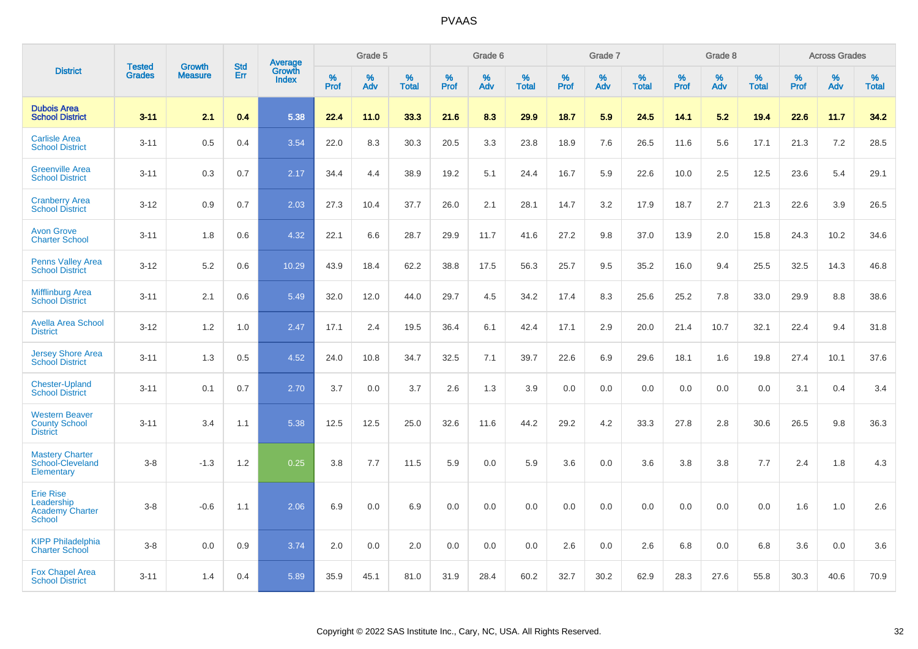|                                                                           | <b>Tested</b> | <b>Growth</b>  | <b>Std</b> | Average                |              | Grade 5  |                   |           | Grade 6  |                   |           | Grade 7  |                   |           | Grade 8  |                   |              | <b>Across Grades</b> |                   |
|---------------------------------------------------------------------------|---------------|----------------|------------|------------------------|--------------|----------|-------------------|-----------|----------|-------------------|-----------|----------|-------------------|-----------|----------|-------------------|--------------|----------------------|-------------------|
| <b>District</b>                                                           | <b>Grades</b> | <b>Measure</b> | Err        | Growth<br><b>Index</b> | $\%$<br>Prof | %<br>Adv | %<br><b>Total</b> | %<br>Prof | %<br>Adv | %<br><b>Total</b> | %<br>Prof | %<br>Adv | %<br><b>Total</b> | %<br>Prof | %<br>Adv | %<br><b>Total</b> | $\%$<br>Prof | $\%$<br>Adv          | %<br><b>Total</b> |
| <b>Dubois Area</b><br><b>School District</b>                              | $3 - 11$      | 2.1            | 0.4        | 5.38                   | 22.4         | 11.0     | 33.3              | 21.6      | 8.3      | 29.9              | 18.7      | 5.9      | 24.5              | 14.1      | 5.2      | 19.4              | 22.6         | 11.7                 | 34.2              |
| <b>Carlisle Area</b><br><b>School District</b>                            | $3 - 11$      | 0.5            | 0.4        | 3.54                   | 22.0         | 8.3      | 30.3              | 20.5      | 3.3      | 23.8              | 18.9      | 7.6      | 26.5              | 11.6      | 5.6      | 17.1              | 21.3         | 7.2                  | 28.5              |
| <b>Greenville Area</b><br><b>School District</b>                          | $3 - 11$      | 0.3            | 0.7        | 2.17                   | 34.4         | 4.4      | 38.9              | 19.2      | 5.1      | 24.4              | 16.7      | 5.9      | 22.6              | 10.0      | 2.5      | 12.5              | 23.6         | 5.4                  | 29.1              |
| <b>Cranberry Area</b><br><b>School District</b>                           | $3 - 12$      | 0.9            | 0.7        | 2.03                   | 27.3         | 10.4     | 37.7              | 26.0      | 2.1      | 28.1              | 14.7      | 3.2      | 17.9              | 18.7      | 2.7      | 21.3              | 22.6         | 3.9                  | 26.5              |
| <b>Avon Grove</b><br><b>Charter School</b>                                | $3 - 11$      | 1.8            | 0.6        | 4.32                   | 22.1         | 6.6      | 28.7              | 29.9      | 11.7     | 41.6              | 27.2      | 9.8      | 37.0              | 13.9      | 2.0      | 15.8              | 24.3         | 10.2                 | 34.6              |
| <b>Penns Valley Area</b><br><b>School District</b>                        | $3 - 12$      | 5.2            | 0.6        | 10.29                  | 43.9         | 18.4     | 62.2              | 38.8      | 17.5     | 56.3              | 25.7      | 9.5      | 35.2              | 16.0      | 9.4      | 25.5              | 32.5         | 14.3                 | 46.8              |
| <b>Mifflinburg Area</b><br><b>School District</b>                         | $3 - 11$      | 2.1            | 0.6        | 5.49                   | 32.0         | 12.0     | 44.0              | 29.7      | 4.5      | 34.2              | 17.4      | 8.3      | 25.6              | 25.2      | 7.8      | 33.0              | 29.9         | 8.8                  | 38.6              |
| <b>Avella Area School</b><br><b>District</b>                              | $3 - 12$      | 1.2            | 1.0        | 2.47                   | 17.1         | 2.4      | 19.5              | 36.4      | 6.1      | 42.4              | 17.1      | 2.9      | 20.0              | 21.4      | 10.7     | 32.1              | 22.4         | 9.4                  | 31.8              |
| <b>Jersey Shore Area</b><br><b>School District</b>                        | $3 - 11$      | 1.3            | 0.5        | 4.52                   | 24.0         | 10.8     | 34.7              | 32.5      | 7.1      | 39.7              | 22.6      | 6.9      | 29.6              | 18.1      | 1.6      | 19.8              | 27.4         | 10.1                 | 37.6              |
| <b>Chester-Upland</b><br><b>School District</b>                           | $3 - 11$      | 0.1            | 0.7        | 2.70                   | 3.7          | 0.0      | 3.7               | 2.6       | 1.3      | 3.9               | 0.0       | 0.0      | 0.0               | 0.0       | 0.0      | 0.0               | 3.1          | 0.4                  | 3.4               |
| <b>Western Beaver</b><br><b>County School</b><br><b>District</b>          | $3 - 11$      | 3.4            | 1.1        | 5.38                   | 12.5         | 12.5     | 25.0              | 32.6      | 11.6     | 44.2              | 29.2      | 4.2      | 33.3              | 27.8      | 2.8      | 30.6              | 26.5         | 9.8                  | 36.3              |
| <b>Mastery Charter</b><br>School-Cleveland<br>Elementary                  | $3 - 8$       | $-1.3$         | 1.2        | 0.25                   | 3.8          | 7.7      | 11.5              | 5.9       | 0.0      | 5.9               | 3.6       | 0.0      | 3.6               | 3.8       | 3.8      | 7.7               | 2.4          | 1.8                  | 4.3               |
| <b>Erie Rise</b><br>Leadership<br><b>Academy Charter</b><br><b>School</b> | $3 - 8$       | $-0.6$         | 1.1        | 2.06                   | 6.9          | 0.0      | 6.9               | 0.0       | 0.0      | 0.0               | 0.0       | 0.0      | 0.0               | 0.0       | 0.0      | 0.0               | 1.6          | 1.0                  | 2.6               |
| <b>KIPP Philadelphia</b><br><b>Charter School</b>                         | $3 - 8$       | 0.0            | 0.9        | 3.74                   | 2.0          | 0.0      | 2.0               | 0.0       | 0.0      | 0.0               | 2.6       | 0.0      | 2.6               | 6.8       | 0.0      | 6.8               | 3.6          | 0.0                  | 3.6               |
| <b>Fox Chapel Area</b><br><b>School District</b>                          | $3 - 11$      | 1.4            | 0.4        | 5.89                   | 35.9         | 45.1     | 81.0              | 31.9      | 28.4     | 60.2              | 32.7      | 30.2     | 62.9              | 28.3      | 27.6     | 55.8              | 30.3         | 40.6                 | 70.9              |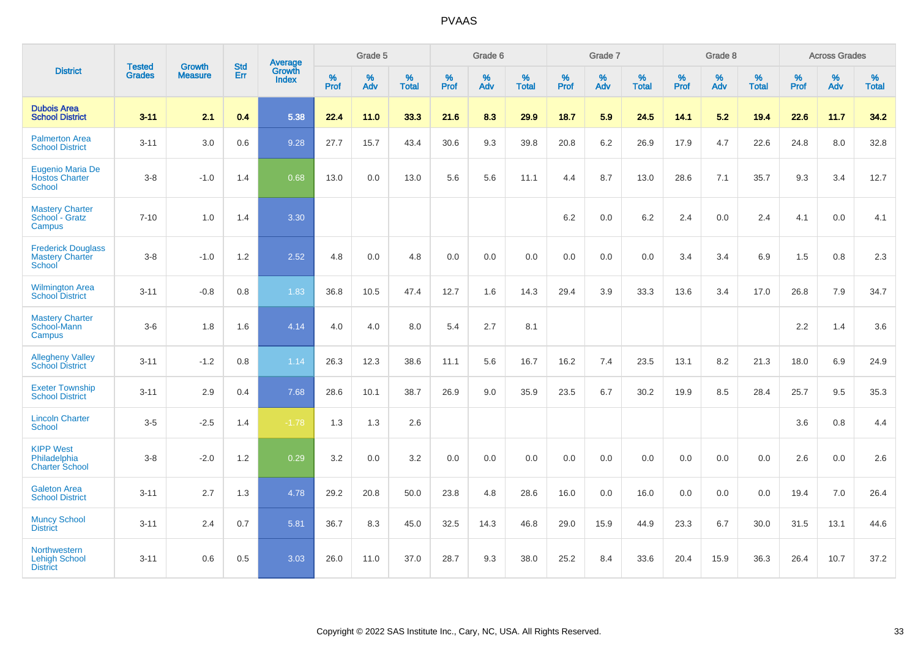|                                                               |                                |                                 | <b>Std</b> | Average         |              | Grade 5  |                   |              | Grade 6  |                   |              | Grade 7  |                   |              | Grade 8  |                   |              | <b>Across Grades</b> |                   |
|---------------------------------------------------------------|--------------------------------|---------------------------------|------------|-----------------|--------------|----------|-------------------|--------------|----------|-------------------|--------------|----------|-------------------|--------------|----------|-------------------|--------------|----------------------|-------------------|
| <b>District</b>                                               | <b>Tested</b><br><b>Grades</b> | <b>Growth</b><br><b>Measure</b> | Err        | Growth<br>Index | $\%$<br>Prof | %<br>Adv | %<br><b>Total</b> | $\%$<br>Prof | %<br>Adv | %<br><b>Total</b> | $\%$<br>Prof | %<br>Adv | %<br><b>Total</b> | $\%$<br>Prof | %<br>Adv | %<br><b>Total</b> | $\%$<br>Prof | $\%$<br>Adv          | %<br><b>Total</b> |
| <b>Dubois Area</b><br><b>School District</b>                  | $3 - 11$                       | 2.1                             | 0.4        | 5.38            | 22.4         | 11.0     | 33.3              | 21.6         | 8.3      | 29.9              | 18.7         | 5.9      | 24.5              | 14.1         | 5.2      | 19.4              | 22.6         | 11.7                 | 34.2              |
| <b>Palmerton Area</b><br><b>School District</b>               | $3 - 11$                       | 3.0                             | 0.6        | 9.28            | 27.7         | 15.7     | 43.4              | 30.6         | 9.3      | 39.8              | 20.8         | 6.2      | 26.9              | 17.9         | 4.7      | 22.6              | 24.8         | 8.0                  | 32.8              |
| Eugenio Maria De<br><b>Hostos Charter</b><br><b>School</b>    | $3 - 8$                        | $-1.0$                          | 1.4        | 0.68            | 13.0         | 0.0      | 13.0              | 5.6          | 5.6      | 11.1              | 4.4          | 8.7      | 13.0              | 28.6         | 7.1      | 35.7              | 9.3          | 3.4                  | 12.7              |
| <b>Mastery Charter</b><br>School - Gratz<br>Campus            | $7 - 10$                       | 1.0                             | 1.4        | 3.30            |              |          |                   |              |          |                   | 6.2          | 0.0      | 6.2               | 2.4          | 0.0      | 2.4               | 4.1          | 0.0                  | 4.1               |
| <b>Frederick Douglass</b><br><b>Mastery Charter</b><br>School | $3 - 8$                        | $-1.0$                          | 1.2        | 2.52            | 4.8          | 0.0      | 4.8               | 0.0          | 0.0      | 0.0               | 0.0          | 0.0      | 0.0               | 3.4          | 3.4      | 6.9               | 1.5          | 0.8                  | $2.3\,$           |
| <b>Wilmington Area</b><br><b>School District</b>              | $3 - 11$                       | $-0.8$                          | 0.8        | 1.83            | 36.8         | 10.5     | 47.4              | 12.7         | 1.6      | 14.3              | 29.4         | 3.9      | 33.3              | 13.6         | 3.4      | 17.0              | 26.8         | 7.9                  | 34.7              |
| <b>Mastery Charter</b><br>School-Mann<br>Campus               | $3-6$                          | 1.8                             | 1.6        | 4.14            | 4.0          | 4.0      | 8.0               | 5.4          | 2.7      | 8.1               |              |          |                   |              |          |                   | $2.2\,$      | 1.4                  | 3.6               |
| <b>Allegheny Valley</b><br><b>School District</b>             | $3 - 11$                       | $-1.2$                          | $0.8\,$    | 1.14            | 26.3         | 12.3     | 38.6              | 11.1         | 5.6      | 16.7              | 16.2         | 7.4      | 23.5              | 13.1         | 8.2      | 21.3              | 18.0         | 6.9                  | 24.9              |
| <b>Exeter Township</b><br><b>School District</b>              | $3 - 11$                       | 2.9                             | 0.4        | 7.68            | 28.6         | 10.1     | 38.7              | 26.9         | 9.0      | 35.9              | 23.5         | 6.7      | 30.2              | 19.9         | 8.5      | 28.4              | 25.7         | 9.5                  | 35.3              |
| <b>Lincoln Charter</b><br><b>School</b>                       | $3 - 5$                        | $-2.5$                          | 1.4        | $-1.78$         | 1.3          | 1.3      | 2.6               |              |          |                   |              |          |                   |              |          |                   | 3.6          | 0.8                  | 4.4               |
| <b>KIPP West</b><br>Philadelphia<br><b>Charter School</b>     | $3 - 8$                        | $-2.0$                          | 1.2        | 0.29            | 3.2          | 0.0      | 3.2               | 0.0          | 0.0      | 0.0               | 0.0          | 0.0      | 0.0               | 0.0          | 0.0      | 0.0               | 2.6          | 0.0                  | 2.6               |
| <b>Galeton Area</b><br><b>School District</b>                 | $3 - 11$                       | 2.7                             | 1.3        | 4.78            | 29.2         | 20.8     | 50.0              | 23.8         | 4.8      | 28.6              | 16.0         | 0.0      | 16.0              | 0.0          | 0.0      | 0.0               | 19.4         | 7.0                  | 26.4              |
| <b>Muncy School</b><br><b>District</b>                        | $3 - 11$                       | 2.4                             | 0.7        | 5.81            | 36.7         | 8.3      | 45.0              | 32.5         | 14.3     | 46.8              | 29.0         | 15.9     | 44.9              | 23.3         | 6.7      | 30.0              | 31.5         | 13.1                 | 44.6              |
| Northwestern<br><b>Lehigh School</b><br><b>District</b>       | $3 - 11$                       | 0.6                             | 0.5        | 3.03            | 26.0         | 11.0     | 37.0              | 28.7         | 9.3      | 38.0              | 25.2         | 8.4      | 33.6              | 20.4         | 15.9     | 36.3              | 26.4         | 10.7                 | 37.2              |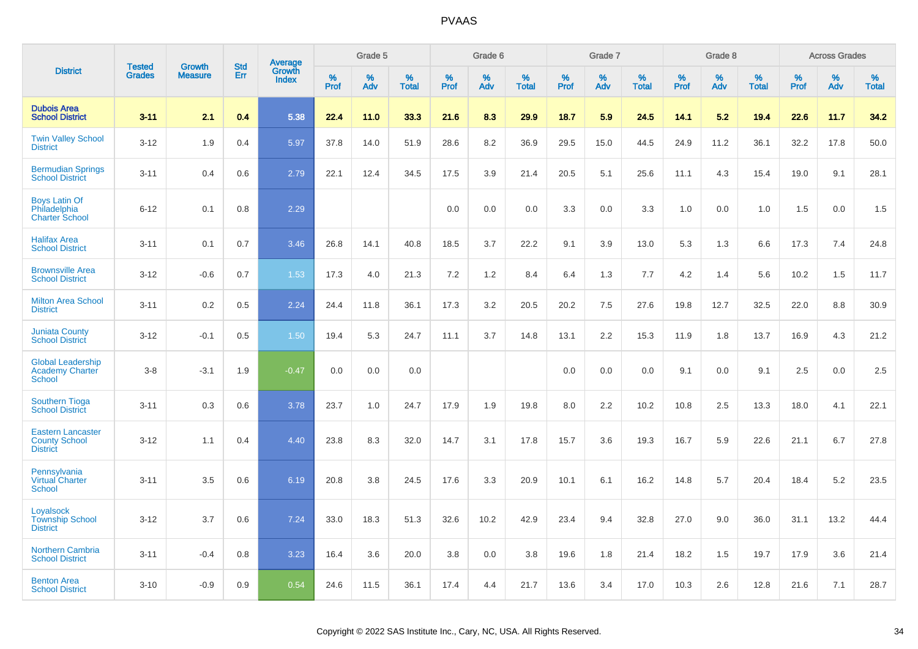|                                                                     | <b>Tested</b> | <b>Growth</b>  | <b>Std</b> |                                   |           | Grade 5  |                   |           | Grade 6  |                   |           | Grade 7  |                   |           | Grade 8  |                   |              | <b>Across Grades</b> |                   |
|---------------------------------------------------------------------|---------------|----------------|------------|-----------------------------------|-----------|----------|-------------------|-----------|----------|-------------------|-----------|----------|-------------------|-----------|----------|-------------------|--------------|----------------------|-------------------|
| <b>District</b>                                                     | <b>Grades</b> | <b>Measure</b> | <b>Err</b> | Average<br>Growth<br><b>Index</b> | %<br>Prof | %<br>Adv | %<br><b>Total</b> | %<br>Prof | %<br>Adv | %<br><b>Total</b> | %<br>Prof | %<br>Adv | %<br><b>Total</b> | %<br>Prof | %<br>Adv | %<br><b>Total</b> | $\%$<br>Prof | %<br>Adv             | %<br><b>Total</b> |
| <b>Dubois Area</b><br><b>School District</b>                        | $3 - 11$      | 2.1            | 0.4        | 5.38                              | 22.4      | 11.0     | 33.3              | 21.6      | 8.3      | 29.9              | 18.7      | 5.9      | 24.5              | 14.1      | 5.2      | 19.4              | 22.6         | 11.7                 | 34.2              |
| <b>Twin Valley School</b><br><b>District</b>                        | $3 - 12$      | 1.9            | 0.4        | 5.97                              | 37.8      | 14.0     | 51.9              | 28.6      | 8.2      | 36.9              | 29.5      | 15.0     | 44.5              | 24.9      | 11.2     | 36.1              | 32.2         | 17.8                 | 50.0              |
| <b>Bermudian Springs</b><br><b>School District</b>                  | $3 - 11$      | 0.4            | 0.6        | 2.79                              | 22.1      | 12.4     | 34.5              | 17.5      | 3.9      | 21.4              | 20.5      | 5.1      | 25.6              | 11.1      | 4.3      | 15.4              | 19.0         | 9.1                  | 28.1              |
| <b>Boys Latin Of</b><br>Philadelphia<br><b>Charter School</b>       | $6 - 12$      | 0.1            | 0.8        | 2.29                              |           |          |                   | 0.0       | 0.0      | 0.0               | 3.3       | 0.0      | 3.3               | 1.0       | 0.0      | 1.0               | 1.5          | 0.0                  | 1.5               |
| <b>Halifax Area</b><br><b>School District</b>                       | $3 - 11$      | 0.1            | 0.7        | 3.46                              | 26.8      | 14.1     | 40.8              | 18.5      | 3.7      | 22.2              | 9.1       | 3.9      | 13.0              | 5.3       | 1.3      | 6.6               | 17.3         | 7.4                  | 24.8              |
| <b>Brownsville Area</b><br><b>School District</b>                   | $3 - 12$      | $-0.6$         | 0.7        | 1.53                              | 17.3      | 4.0      | 21.3              | 7.2       | $1.2$    | 8.4               | 6.4       | 1.3      | 7.7               | 4.2       | 1.4      | 5.6               | 10.2         | 1.5                  | 11.7              |
| <b>Milton Area School</b><br><b>District</b>                        | $3 - 11$      | 0.2            | 0.5        | 2.24                              | 24.4      | 11.8     | 36.1              | 17.3      | 3.2      | 20.5              | 20.2      | 7.5      | 27.6              | 19.8      | 12.7     | 32.5              | 22.0         | 8.8                  | 30.9              |
| <b>Juniata County</b><br><b>School District</b>                     | $3 - 12$      | $-0.1$         | 0.5        | 1.50                              | 19.4      | 5.3      | 24.7              | 11.1      | 3.7      | 14.8              | 13.1      | 2.2      | 15.3              | 11.9      | 1.8      | 13.7              | 16.9         | 4.3                  | 21.2              |
| <b>Global Leadership</b><br>Academy Charter<br>School               | $3 - 8$       | $-3.1$         | 1.9        | $-0.47$                           | 0.0       | 0.0      | 0.0               |           |          |                   | 0.0       | 0.0      | 0.0               | 9.1       | 0.0      | 9.1               | 2.5          | 0.0                  | 2.5               |
| <b>Southern Tioga</b><br><b>School District</b>                     | $3 - 11$      | 0.3            | 0.6        | 3.78                              | 23.7      | 1.0      | 24.7              | 17.9      | 1.9      | 19.8              | 8.0       | 2.2      | 10.2              | 10.8      | 2.5      | 13.3              | 18.0         | 4.1                  | 22.1              |
| <b>Eastern Lancaster</b><br><b>County School</b><br><b>District</b> | $3 - 12$      | 1.1            | 0.4        | 4.40                              | 23.8      | 8.3      | 32.0              | 14.7      | 3.1      | 17.8              | 15.7      | 3.6      | 19.3              | 16.7      | 5.9      | 22.6              | 21.1         | 6.7                  | 27.8              |
| Pennsylvania<br><b>Virtual Charter</b><br><b>School</b>             | $3 - 11$      | 3.5            | 0.6        | 6.19                              | 20.8      | 3.8      | 24.5              | 17.6      | 3.3      | 20.9              | 10.1      | 6.1      | 16.2              | 14.8      | 5.7      | 20.4              | 18.4         | 5.2                  | 23.5              |
| Loyalsock<br><b>Township School</b><br><b>District</b>              | $3 - 12$      | 3.7            | 0.6        | 7.24                              | 33.0      | 18.3     | 51.3              | 32.6      | 10.2     | 42.9              | 23.4      | 9.4      | 32.8              | 27.0      | 9.0      | 36.0              | 31.1         | 13.2                 | 44.4              |
| <b>Northern Cambria</b><br><b>School District</b>                   | $3 - 11$      | $-0.4$         | 0.8        | 3.23                              | 16.4      | 3.6      | 20.0              | 3.8       | 0.0      | 3.8               | 19.6      | 1.8      | 21.4              | 18.2      | 1.5      | 19.7              | 17.9         | 3.6                  | 21.4              |
| <b>Benton Area</b><br><b>School District</b>                        | $3 - 10$      | $-0.9$         | 0.9        | 0.54                              | 24.6      | 11.5     | 36.1              | 17.4      | 4.4      | 21.7              | 13.6      | 3.4      | 17.0              | 10.3      | 2.6      | 12.8              | 21.6         | 7.1                  | 28.7              |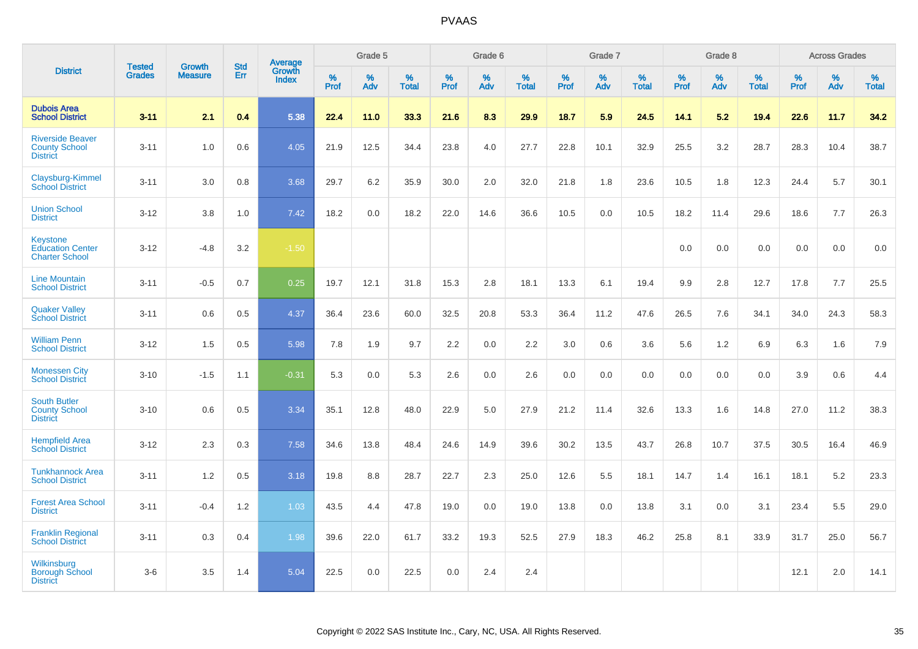|                                                                     |                                |                                 | <b>Std</b> | Average                |              | Grade 5  |                   |           | Grade 6  |                   |           | Grade 7  |                   |           | Grade 8  |                   |           | <b>Across Grades</b> |                   |
|---------------------------------------------------------------------|--------------------------------|---------------------------------|------------|------------------------|--------------|----------|-------------------|-----------|----------|-------------------|-----------|----------|-------------------|-----------|----------|-------------------|-----------|----------------------|-------------------|
| <b>District</b>                                                     | <b>Tested</b><br><b>Grades</b> | <b>Growth</b><br><b>Measure</b> | Err        | Growth<br><b>Index</b> | $\%$<br>Prof | %<br>Adv | %<br><b>Total</b> | %<br>Prof | %<br>Adv | %<br><b>Total</b> | %<br>Prof | %<br>Adv | %<br><b>Total</b> | %<br>Prof | %<br>Adv | %<br><b>Total</b> | %<br>Prof | %<br>Adv             | %<br><b>Total</b> |
| <b>Dubois Area</b><br><b>School District</b>                        | $3 - 11$                       | 2.1                             | 0.4        | 5.38                   | 22.4         | 11.0     | 33.3              | 21.6      | 8.3      | 29.9              | 18.7      | 5.9      | 24.5              | 14.1      | 5.2      | 19.4              | 22.6      | 11.7                 | 34.2              |
| <b>Riverside Beaver</b><br><b>County School</b><br><b>District</b>  | $3 - 11$                       | 1.0                             | 0.6        | 4.05                   | 21.9         | 12.5     | 34.4              | 23.8      | 4.0      | 27.7              | 22.8      | 10.1     | 32.9              | 25.5      | 3.2      | 28.7              | 28.3      | 10.4                 | 38.7              |
| Claysburg-Kimmel<br><b>School District</b>                          | $3 - 11$                       | 3.0                             | 0.8        | 3.68                   | 29.7         | 6.2      | 35.9              | 30.0      | 2.0      | 32.0              | 21.8      | 1.8      | 23.6              | 10.5      | 1.8      | 12.3              | 24.4      | 5.7                  | 30.1              |
| <b>Union School</b><br><b>District</b>                              | $3 - 12$                       | 3.8                             | 1.0        | 7.42                   | 18.2         | 0.0      | 18.2              | 22.0      | 14.6     | 36.6              | 10.5      | 0.0      | 10.5              | 18.2      | 11.4     | 29.6              | 18.6      | 7.7                  | 26.3              |
| <b>Keystone</b><br><b>Education Center</b><br><b>Charter School</b> | $3 - 12$                       | $-4.8$                          | 3.2        | $-1.50$                |              |          |                   |           |          |                   |           |          |                   | 0.0       | 0.0      | 0.0               | 0.0       | 0.0                  | 0.0               |
| <b>Line Mountain</b><br><b>School District</b>                      | $3 - 11$                       | $-0.5$                          | 0.7        | 0.25                   | 19.7         | 12.1     | 31.8              | 15.3      | 2.8      | 18.1              | 13.3      | 6.1      | 19.4              | 9.9       | 2.8      | 12.7              | 17.8      | 7.7                  | 25.5              |
| <b>Quaker Valley</b><br><b>School District</b>                      | $3 - 11$                       | 0.6                             | 0.5        | 4.37                   | 36.4         | 23.6     | 60.0              | 32.5      | 20.8     | 53.3              | 36.4      | 11.2     | 47.6              | 26.5      | 7.6      | 34.1              | 34.0      | 24.3                 | 58.3              |
| <b>William Penn</b><br><b>School District</b>                       | $3 - 12$                       | 1.5                             | 0.5        | 5.98                   | 7.8          | 1.9      | 9.7               | 2.2       | 0.0      | 2.2               | 3.0       | 0.6      | 3.6               | 5.6       | 1.2      | 6.9               | 6.3       | 1.6                  | 7.9               |
| <b>Monessen City</b><br><b>School District</b>                      | $3 - 10$                       | $-1.5$                          | 1.1        | $-0.31$                | 5.3          | 0.0      | 5.3               | 2.6       | 0.0      | 2.6               | 0.0       | 0.0      | 0.0               | 0.0       | 0.0      | 0.0               | 3.9       | 0.6                  | 4.4               |
| <b>South Butler</b><br><b>County School</b><br><b>District</b>      | $3 - 10$                       | 0.6                             | 0.5        | 3.34                   | 35.1         | 12.8     | 48.0              | 22.9      | 5.0      | 27.9              | 21.2      | 11.4     | 32.6              | 13.3      | 1.6      | 14.8              | 27.0      | 11.2                 | 38.3              |
| <b>Hempfield Area</b><br><b>School District</b>                     | $3 - 12$                       | 2.3                             | 0.3        | 7.58                   | 34.6         | 13.8     | 48.4              | 24.6      | 14.9     | 39.6              | 30.2      | 13.5     | 43.7              | 26.8      | 10.7     | 37.5              | 30.5      | 16.4                 | 46.9              |
| <b>Tunkhannock Area</b><br><b>School District</b>                   | $3 - 11$                       | 1.2                             | 0.5        | 3.18                   | 19.8         | 8.8      | 28.7              | 22.7      | 2.3      | 25.0              | 12.6      | 5.5      | 18.1              | 14.7      | 1.4      | 16.1              | 18.1      | 5.2                  | 23.3              |
| <b>Forest Area School</b><br><b>District</b>                        | $3 - 11$                       | $-0.4$                          | 1.2        | 1.03                   | 43.5         | 4.4      | 47.8              | 19.0      | 0.0      | 19.0              | 13.8      | 0.0      | 13.8              | 3.1       | 0.0      | 3.1               | 23.4      | 5.5                  | 29.0              |
| <b>Franklin Regional</b><br><b>School District</b>                  | $3 - 11$                       | 0.3                             | 0.4        | 1.98                   | 39.6         | 22.0     | 61.7              | 33.2      | 19.3     | 52.5              | 27.9      | 18.3     | 46.2              | 25.8      | 8.1      | 33.9              | 31.7      | 25.0                 | 56.7              |
| Wilkinsburg<br><b>Borough School</b><br><b>District</b>             | $3 - 6$                        | 3.5                             | 1.4        | 5.04                   | 22.5         | 0.0      | 22.5              | 0.0       | 2.4      | 2.4               |           |          |                   |           |          |                   | 12.1      | 2.0                  | 14.1              |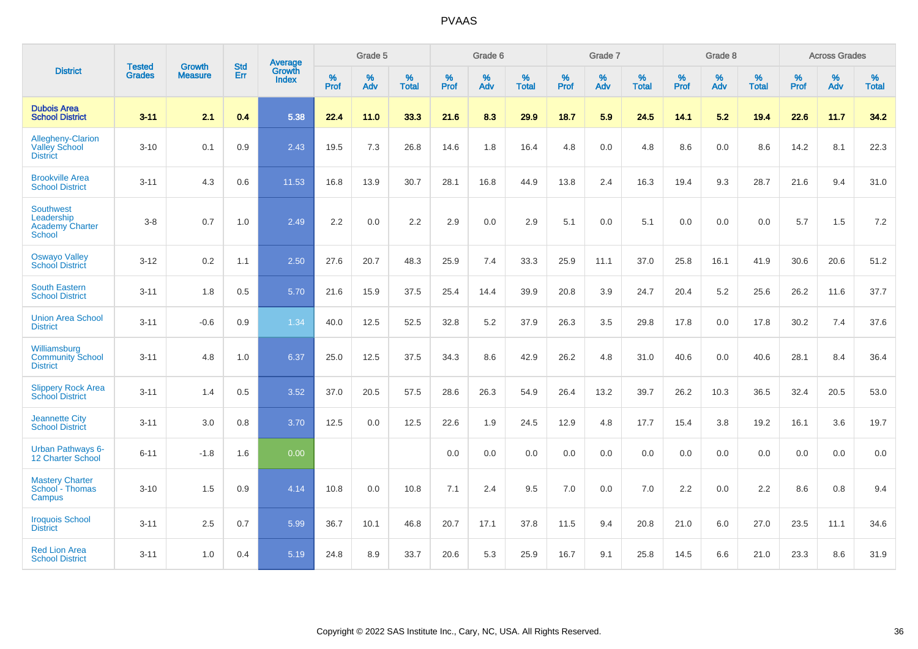|                                                                    | <b>Tested</b> | <b>Growth</b>  | <b>Std</b> | Average                |              | Grade 5  |                      |              | Grade 6  |                      |              | Grade 7  |                      |              | Grade 8  |                      |              | <b>Across Grades</b> |                   |
|--------------------------------------------------------------------|---------------|----------------|------------|------------------------|--------------|----------|----------------------|--------------|----------|----------------------|--------------|----------|----------------------|--------------|----------|----------------------|--------------|----------------------|-------------------|
| <b>District</b>                                                    | <b>Grades</b> | <b>Measure</b> | <b>Err</b> | Growth<br><b>Index</b> | $\%$<br>Prof | %<br>Adv | $\%$<br><b>Total</b> | $\%$<br>Prof | %<br>Adv | $\%$<br><b>Total</b> | $\%$<br>Prof | %<br>Adv | $\%$<br><b>Total</b> | $\%$<br>Prof | %<br>Adv | $\%$<br><b>Total</b> | $\%$<br>Prof | %<br>Adv             | %<br><b>Total</b> |
| <b>Dubois Area</b><br><b>School District</b>                       | $3 - 11$      | 2.1            | 0.4        | 5.38                   | 22.4         | 11.0     | 33.3                 | 21.6         | 8.3      | 29.9                 | 18.7         | 5.9      | 24.5                 | 14.1         | 5.2      | 19.4                 | 22.6         | 11.7                 | 34.2              |
| Allegheny-Clarion<br><b>Valley School</b><br><b>District</b>       | $3 - 10$      | 0.1            | 0.9        | 2.43                   | 19.5         | 7.3      | 26.8                 | 14.6         | 1.8      | 16.4                 | 4.8          | 0.0      | 4.8                  | 8.6          | 0.0      | 8.6                  | 14.2         | 8.1                  | 22.3              |
| <b>Brookville Area</b><br><b>School District</b>                   | $3 - 11$      | 4.3            | 0.6        | 11.53                  | 16.8         | 13.9     | 30.7                 | 28.1         | 16.8     | 44.9                 | 13.8         | 2.4      | 16.3                 | 19.4         | 9.3      | 28.7                 | 21.6         | 9.4                  | 31.0              |
| <b>Southwest</b><br>Leadership<br><b>Academy Charter</b><br>School | $3 - 8$       | 0.7            | 1.0        | 2.49                   | 2.2          | 0.0      | 2.2                  | 2.9          | 0.0      | 2.9                  | 5.1          | 0.0      | 5.1                  | 0.0          | 0.0      | 0.0                  | 5.7          | 1.5                  | $7.2\,$           |
| <b>Oswayo Valley</b><br><b>School District</b>                     | $3 - 12$      | 0.2            | 1.1        | 2.50                   | 27.6         | 20.7     | 48.3                 | 25.9         | 7.4      | 33.3                 | 25.9         | 11.1     | 37.0                 | 25.8         | 16.1     | 41.9                 | 30.6         | 20.6                 | 51.2              |
| <b>South Eastern</b><br><b>School District</b>                     | $3 - 11$      | 1.8            | 0.5        | 5.70                   | 21.6         | 15.9     | 37.5                 | 25.4         | 14.4     | 39.9                 | 20.8         | 3.9      | 24.7                 | 20.4         | 5.2      | 25.6                 | 26.2         | 11.6                 | 37.7              |
| <b>Union Area School</b><br><b>District</b>                        | $3 - 11$      | $-0.6$         | 0.9        | 1.34                   | 40.0         | 12.5     | 52.5                 | 32.8         | 5.2      | 37.9                 | 26.3         | 3.5      | 29.8                 | 17.8         | 0.0      | 17.8                 | 30.2         | 7.4                  | 37.6              |
| Williamsburg<br><b>Community School</b><br><b>District</b>         | $3 - 11$      | 4.8            | 1.0        | 6.37                   | 25.0         | 12.5     | 37.5                 | 34.3         | 8.6      | 42.9                 | 26.2         | 4.8      | 31.0                 | 40.6         | 0.0      | 40.6                 | 28.1         | 8.4                  | 36.4              |
| <b>Slippery Rock Area</b><br><b>School District</b>                | $3 - 11$      | 1.4            | 0.5        | 3.52                   | 37.0         | 20.5     | 57.5                 | 28.6         | 26.3     | 54.9                 | 26.4         | 13.2     | 39.7                 | 26.2         | 10.3     | 36.5                 | 32.4         | 20.5                 | 53.0              |
| <b>Jeannette City</b><br><b>School District</b>                    | $3 - 11$      | 3.0            | 0.8        | 3.70                   | 12.5         | 0.0      | 12.5                 | 22.6         | 1.9      | 24.5                 | 12.9         | 4.8      | 17.7                 | 15.4         | 3.8      | 19.2                 | 16.1         | 3.6                  | 19.7              |
| <b>Urban Pathways 6-</b><br><b>12 Charter School</b>               | $6 - 11$      | $-1.8$         | 1.6        | 0.00                   |              |          |                      | 0.0          | 0.0      | 0.0                  | 0.0          | 0.0      | 0.0                  | 0.0          | 0.0      | 0.0                  | 0.0          | 0.0                  | 0.0               |
| <b>Mastery Charter</b><br>School - Thomas<br>Campus                | $3 - 10$      | 1.5            | 0.9        | 4.14                   | 10.8         | 0.0      | 10.8                 | 7.1          | 2.4      | 9.5                  | 7.0          | 0.0      | 7.0                  | 2.2          | 0.0      | 2.2                  | 8.6          | 0.8                  | 9.4               |
| <b>Iroquois School</b><br><b>District</b>                          | $3 - 11$      | 2.5            | 0.7        | 5.99                   | 36.7         | 10.1     | 46.8                 | 20.7         | 17.1     | 37.8                 | 11.5         | 9.4      | 20.8                 | 21.0         | 6.0      | 27.0                 | 23.5         | 11.1                 | 34.6              |
| <b>Red Lion Area</b><br><b>School District</b>                     | $3 - 11$      | 1.0            | 0.4        | 5.19                   | 24.8         | 8.9      | 33.7                 | 20.6         | 5.3      | 25.9                 | 16.7         | 9.1      | 25.8                 | 14.5         | 6.6      | 21.0                 | 23.3         | 8.6                  | 31.9              |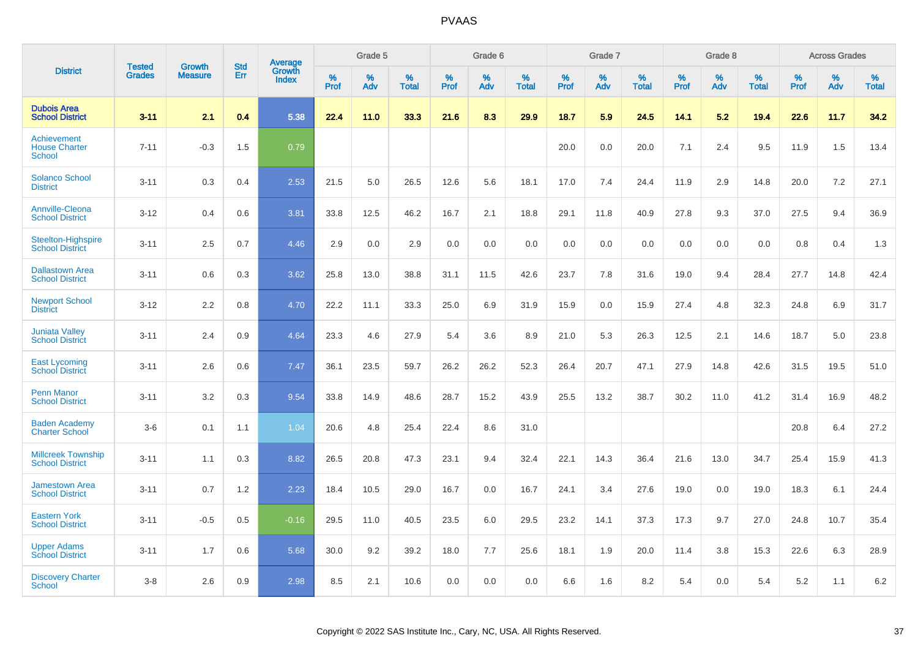|                                                      |                                |                                 | <b>Std</b> | Average                |           | Grade 5  |                   |           | Grade 6  |                   |           | Grade 7  |                   |           | Grade 8  |                   |           | <b>Across Grades</b> |                   |
|------------------------------------------------------|--------------------------------|---------------------------------|------------|------------------------|-----------|----------|-------------------|-----------|----------|-------------------|-----------|----------|-------------------|-----------|----------|-------------------|-----------|----------------------|-------------------|
| <b>District</b>                                      | <b>Tested</b><br><b>Grades</b> | <b>Growth</b><br><b>Measure</b> | Err        | Growth<br><b>Index</b> | %<br>Prof | %<br>Adv | %<br><b>Total</b> | %<br>Prof | %<br>Adv | %<br><b>Total</b> | %<br>Prof | %<br>Adv | %<br><b>Total</b> | %<br>Prof | %<br>Adv | %<br><b>Total</b> | %<br>Prof | %<br>Adv             | %<br><b>Total</b> |
| <b>Dubois Area</b><br><b>School District</b>         | $3 - 11$                       | 2.1                             | 0.4        | 5.38                   | 22.4      | 11.0     | 33.3              | 21.6      | 8.3      | 29.9              | 18.7      | 5.9      | 24.5              | 14.1      | 5.2      | 19.4              | 22.6      | 11.7                 | 34.2              |
| Achievement<br><b>House Charter</b><br><b>School</b> | $7 - 11$                       | $-0.3$                          | 1.5        | 0.79                   |           |          |                   |           |          |                   | 20.0      | 0.0      | 20.0              | 7.1       | 2.4      | 9.5               | 11.9      | 1.5                  | 13.4              |
| <b>Solanco School</b><br><b>District</b>             | $3 - 11$                       | 0.3                             | 0.4        | 2.53                   | 21.5      | 5.0      | 26.5              | 12.6      | 5.6      | 18.1              | 17.0      | 7.4      | 24.4              | 11.9      | 2.9      | 14.8              | 20.0      | 7.2                  | 27.1              |
| <b>Annville-Cleona</b><br><b>School District</b>     | $3 - 12$                       | 0.4                             | 0.6        | 3.81                   | 33.8      | 12.5     | 46.2              | 16.7      | 2.1      | 18.8              | 29.1      | 11.8     | 40.9              | 27.8      | 9.3      | 37.0              | 27.5      | 9.4                  | 36.9              |
| <b>Steelton-Highspire</b><br><b>School District</b>  | $3 - 11$                       | 2.5                             | 0.7        | 4.46                   | 2.9       | 0.0      | 2.9               | 0.0       | 0.0      | 0.0               | 0.0       | 0.0      | 0.0               | 0.0       | 0.0      | 0.0               | 0.8       | 0.4                  | 1.3               |
| <b>Dallastown Area</b><br><b>School District</b>     | $3 - 11$                       | 0.6                             | 0.3        | 3.62                   | 25.8      | 13.0     | 38.8              | 31.1      | 11.5     | 42.6              | 23.7      | 7.8      | 31.6              | 19.0      | 9.4      | 28.4              | 27.7      | 14.8                 | 42.4              |
| <b>Newport School</b><br><b>District</b>             | $3 - 12$                       | 2.2                             | 0.8        | 4.70                   | 22.2      | 11.1     | 33.3              | 25.0      | 6.9      | 31.9              | 15.9      | 0.0      | 15.9              | 27.4      | 4.8      | 32.3              | 24.8      | 6.9                  | 31.7              |
| <b>Juniata Valley</b><br><b>School District</b>      | $3 - 11$                       | 2.4                             | 0.9        | 4.64                   | 23.3      | 4.6      | 27.9              | 5.4       | 3.6      | 8.9               | 21.0      | 5.3      | 26.3              | 12.5      | 2.1      | 14.6              | 18.7      | 5.0                  | 23.8              |
| <b>East Lycoming</b><br><b>School District</b>       | $3 - 11$                       | 2.6                             | 0.6        | 7.47                   | 36.1      | 23.5     | 59.7              | 26.2      | 26.2     | 52.3              | 26.4      | 20.7     | 47.1              | 27.9      | 14.8     | 42.6              | 31.5      | 19.5                 | 51.0              |
| <b>Penn Manor</b><br><b>School District</b>          | $3 - 11$                       | 3.2                             | 0.3        | 9.54                   | 33.8      | 14.9     | 48.6              | 28.7      | 15.2     | 43.9              | 25.5      | 13.2     | 38.7              | 30.2      | 11.0     | 41.2              | 31.4      | 16.9                 | 48.2              |
| <b>Baden Academy</b><br><b>Charter School</b>        | $3-6$                          | 0.1                             | 1.1        | 1.04                   | 20.6      | 4.8      | 25.4              | 22.4      | 8.6      | 31.0              |           |          |                   |           |          |                   | 20.8      | 6.4                  | 27.2              |
| <b>Millcreek Township</b><br><b>School District</b>  | $3 - 11$                       | 1.1                             | 0.3        | 8.82                   | 26.5      | 20.8     | 47.3              | 23.1      | 9.4      | 32.4              | 22.1      | 14.3     | 36.4              | 21.6      | 13.0     | 34.7              | 25.4      | 15.9                 | 41.3              |
| <b>Jamestown Area</b><br><b>School District</b>      | $3 - 11$                       | 0.7                             | 1.2        | 2.23                   | 18.4      | 10.5     | 29.0              | 16.7      | 0.0      | 16.7              | 24.1      | 3.4      | 27.6              | 19.0      | 0.0      | 19.0              | 18.3      | 6.1                  | 24.4              |
| <b>Eastern York</b><br><b>School District</b>        | $3 - 11$                       | $-0.5$                          | 0.5        | $-0.16$                | 29.5      | 11.0     | 40.5              | 23.5      | 6.0      | 29.5              | 23.2      | 14.1     | 37.3              | 17.3      | 9.7      | 27.0              | 24.8      | 10.7                 | 35.4              |
| <b>Upper Adams</b><br><b>School District</b>         | $3 - 11$                       | 1.7                             | 0.6        | 5.68                   | 30.0      | 9.2      | 39.2              | 18.0      | 7.7      | 25.6              | 18.1      | 1.9      | 20.0              | 11.4      | 3.8      | 15.3              | 22.6      | 6.3                  | 28.9              |
| <b>Discovery Charter</b><br>School                   | $3 - 8$                        | 2.6                             | 0.9        | 2.98                   | 8.5       | 2.1      | 10.6              | 0.0       | 0.0      | 0.0               | 6.6       | 1.6      | 8.2               | 5.4       | $0.0\,$  | 5.4               | 5.2       | 1.1                  | 6.2               |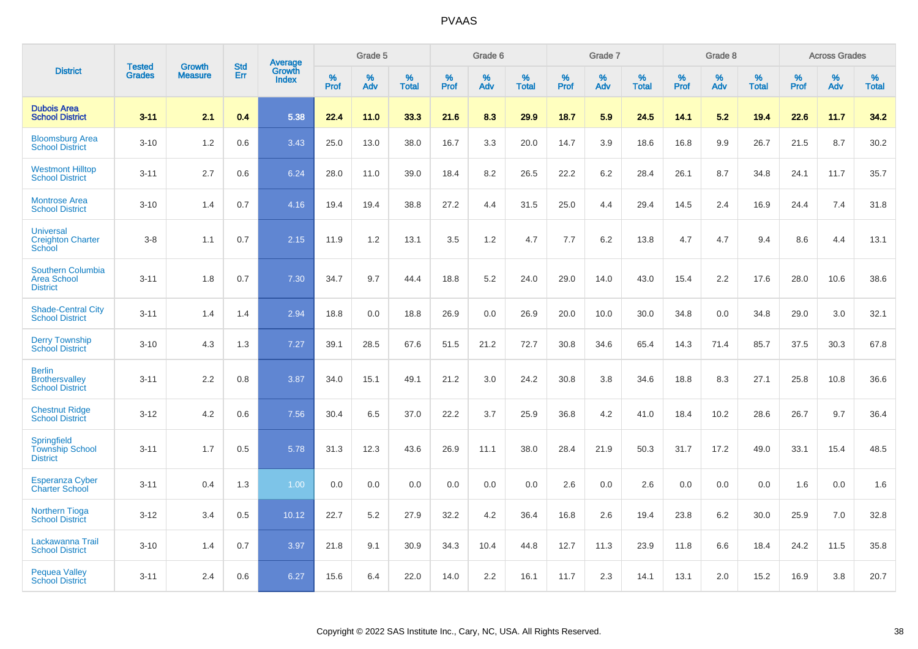|                                                                   | <b>Tested</b> | <b>Growth</b>  | <b>Std</b> | Average                |              | Grade 5  |                   |           | Grade 6  |                   |              | Grade 7  |                   |           | Grade 8  |                   |              | <b>Across Grades</b> |                   |
|-------------------------------------------------------------------|---------------|----------------|------------|------------------------|--------------|----------|-------------------|-----------|----------|-------------------|--------------|----------|-------------------|-----------|----------|-------------------|--------------|----------------------|-------------------|
| <b>District</b>                                                   | <b>Grades</b> | <b>Measure</b> | Err        | Growth<br><b>Index</b> | $\%$<br>Prof | %<br>Adv | %<br><b>Total</b> | %<br>Prof | %<br>Adv | %<br><b>Total</b> | $\%$<br>Prof | %<br>Adv | %<br><b>Total</b> | %<br>Prof | %<br>Adv | %<br><b>Total</b> | $\%$<br>Prof | %<br>Adv             | %<br><b>Total</b> |
| <b>Dubois Area</b><br><b>School District</b>                      | $3 - 11$      | 2.1            | 0.4        | 5.38                   | 22.4         | 11.0     | 33.3              | 21.6      | 8.3      | 29.9              | 18.7         | 5.9      | 24.5              | 14.1      | 5.2      | 19.4              | 22.6         | 11.7                 | 34.2              |
| <b>Bloomsburg Area</b><br><b>School District</b>                  | $3 - 10$      | 1.2            | 0.6        | 3.43                   | 25.0         | 13.0     | 38.0              | 16.7      | 3.3      | 20.0              | 14.7         | 3.9      | 18.6              | 16.8      | 9.9      | 26.7              | 21.5         | 8.7                  | 30.2              |
| <b>Westmont Hilltop</b><br><b>School District</b>                 | $3 - 11$      | 2.7            | 0.6        | 6.24                   | 28.0         | 11.0     | 39.0              | 18.4      | 8.2      | 26.5              | 22.2         | 6.2      | 28.4              | 26.1      | 8.7      | 34.8              | 24.1         | 11.7                 | 35.7              |
| <b>Montrose Area</b><br><b>School District</b>                    | $3 - 10$      | 1.4            | 0.7        | 4.16                   | 19.4         | 19.4     | 38.8              | 27.2      | 4.4      | 31.5              | 25.0         | 4.4      | 29.4              | 14.5      | 2.4      | 16.9              | 24.4         | 7.4                  | 31.8              |
| <b>Universal</b><br><b>Creighton Charter</b><br><b>School</b>     | $3 - 8$       | 1.1            | 0.7        | 2.15                   | 11.9         | 1.2      | 13.1              | 3.5       | 1.2      | 4.7               | 7.7          | 6.2      | 13.8              | 4.7       | 4.7      | 9.4               | 8.6          | 4.4                  | 13.1              |
| <b>Southern Columbia</b><br><b>Area School</b><br><b>District</b> | $3 - 11$      | 1.8            | 0.7        | 7.30                   | 34.7         | 9.7      | 44.4              | 18.8      | 5.2      | 24.0              | 29.0         | 14.0     | 43.0              | 15.4      | 2.2      | 17.6              | 28.0         | 10.6                 | 38.6              |
| <b>Shade-Central City</b><br><b>School District</b>               | $3 - 11$      | 1.4            | 1.4        | 2.94                   | 18.8         | 0.0      | 18.8              | 26.9      | 0.0      | 26.9              | 20.0         | 10.0     | 30.0              | 34.8      | 0.0      | 34.8              | 29.0         | 3.0                  | 32.1              |
| <b>Derry Township</b><br><b>School District</b>                   | $3 - 10$      | 4.3            | 1.3        | 7.27                   | 39.1         | 28.5     | 67.6              | 51.5      | 21.2     | 72.7              | 30.8         | 34.6     | 65.4              | 14.3      | 71.4     | 85.7              | 37.5         | 30.3                 | 67.8              |
| <b>Berlin</b><br><b>Brothersvalley</b><br><b>School District</b>  | $3 - 11$      | 2.2            | 0.8        | 3.87                   | 34.0         | 15.1     | 49.1              | 21.2      | 3.0      | 24.2              | 30.8         | 3.8      | 34.6              | 18.8      | 8.3      | 27.1              | 25.8         | 10.8                 | 36.6              |
| <b>Chestnut Ridge</b><br><b>School District</b>                   | $3 - 12$      | 4.2            | 0.6        | 7.56                   | 30.4         | 6.5      | 37.0              | 22.2      | 3.7      | 25.9              | 36.8         | 4.2      | 41.0              | 18.4      | 10.2     | 28.6              | 26.7         | 9.7                  | 36.4              |
| Springfield<br><b>Township School</b><br><b>District</b>          | $3 - 11$      | 1.7            | 0.5        | 5.78                   | 31.3         | 12.3     | 43.6              | 26.9      | 11.1     | 38.0              | 28.4         | 21.9     | 50.3              | 31.7      | 17.2     | 49.0              | 33.1         | 15.4                 | 48.5              |
| <b>Esperanza Cyber</b><br><b>Charter School</b>                   | $3 - 11$      | 0.4            | 1.3        | 1.00                   | 0.0          | 0.0      | 0.0               | 0.0       | 0.0      | 0.0               | 2.6          | 0.0      | 2.6               | 0.0       | 0.0      | 0.0               | 1.6          | 0.0                  | 1.6               |
| <b>Northern Tioga</b><br><b>School District</b>                   | $3 - 12$      | 3.4            | 0.5        | 10.12                  | 22.7         | 5.2      | 27.9              | 32.2      | 4.2      | 36.4              | 16.8         | 2.6      | 19.4              | 23.8      | 6.2      | 30.0              | 25.9         | 7.0                  | 32.8              |
| Lackawanna Trail<br><b>School District</b>                        | $3 - 10$      | 1.4            | 0.7        | 3.97                   | 21.8         | 9.1      | 30.9              | 34.3      | 10.4     | 44.8              | 12.7         | 11.3     | 23.9              | 11.8      | 6.6      | 18.4              | 24.2         | 11.5                 | 35.8              |
| <b>Pequea Valley</b><br><b>School District</b>                    | $3 - 11$      | 2.4            | 0.6        | 6.27                   | 15.6         | 6.4      | 22.0              | 14.0      | 2.2      | 16.1              | 11.7         | 2.3      | 14.1              | 13.1      | 2.0      | 15.2              | 16.9         | 3.8                  | 20.7              |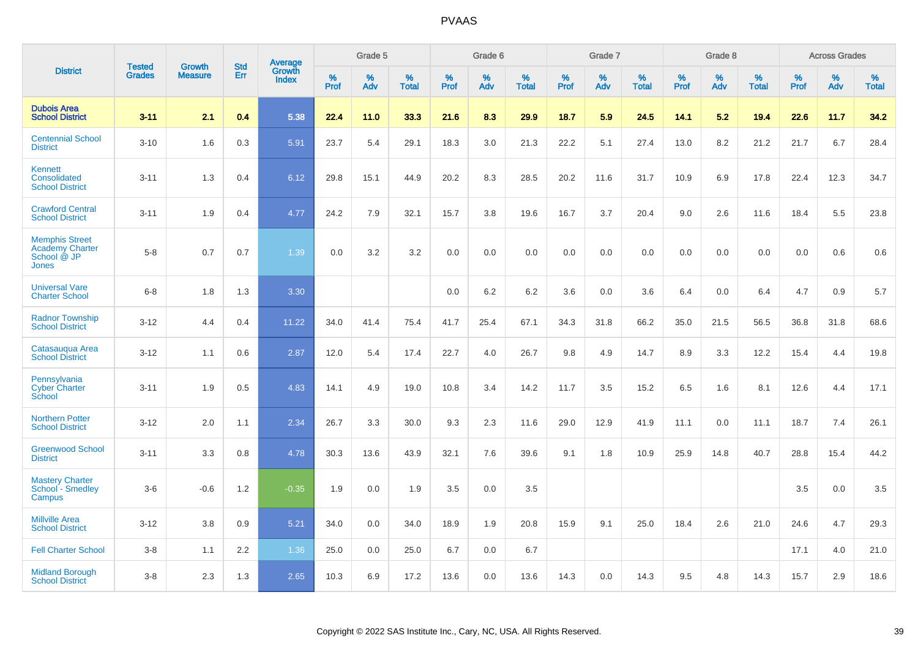|                                                                         |                                |                                 | <b>Std</b> | Average                |           | Grade 5  |                   |           | Grade 6  |                   |           | Grade 7  |                   |           | Grade 8  |                   |           | <b>Across Grades</b> |                   |
|-------------------------------------------------------------------------|--------------------------------|---------------------------------|------------|------------------------|-----------|----------|-------------------|-----------|----------|-------------------|-----------|----------|-------------------|-----------|----------|-------------------|-----------|----------------------|-------------------|
| <b>District</b>                                                         | <b>Tested</b><br><b>Grades</b> | <b>Growth</b><br><b>Measure</b> | <b>Err</b> | Growth<br><b>Index</b> | %<br>Prof | %<br>Adv | %<br><b>Total</b> | %<br>Prof | %<br>Adv | %<br><b>Total</b> | %<br>Prof | %<br>Adv | %<br><b>Total</b> | %<br>Prof | %<br>Adv | %<br><b>Total</b> | %<br>Prof | %<br>Adv             | %<br><b>Total</b> |
| <b>Dubois Area</b><br><b>School District</b>                            | $3 - 11$                       | 2.1                             | 0.4        | 5.38                   | 22.4      | 11.0     | 33.3              | 21.6      | 8.3      | 29.9              | 18.7      | 5.9      | 24.5              | 14.1      | 5.2      | 19.4              | 22.6      | 11.7                 | 34.2              |
| <b>Centennial School</b><br><b>District</b>                             | $3 - 10$                       | 1.6                             | 0.3        | 5.91                   | 23.7      | 5.4      | 29.1              | 18.3      | 3.0      | 21.3              | 22.2      | 5.1      | 27.4              | 13.0      | 8.2      | 21.2              | 21.7      | 6.7                  | 28.4              |
| Kennett<br>Consolidated<br><b>School District</b>                       | $3 - 11$                       | 1.3                             | 0.4        | 6.12                   | 29.8      | 15.1     | 44.9              | 20.2      | 8.3      | 28.5              | 20.2      | 11.6     | 31.7              | 10.9      | 6.9      | 17.8              | 22.4      | 12.3                 | 34.7              |
| <b>Crawford Central</b><br><b>School District</b>                       | $3 - 11$                       | 1.9                             | 0.4        | 4.77                   | 24.2      | 7.9      | 32.1              | 15.7      | 3.8      | 19.6              | 16.7      | 3.7      | 20.4              | 9.0       | 2.6      | 11.6              | 18.4      | 5.5                  | 23.8              |
| <b>Memphis Street</b><br><b>Academy Charter</b><br>School @ JP<br>Jones | $5-8$                          | 0.7                             | 0.7        | 1.39                   | 0.0       | 3.2      | 3.2               | 0.0       | 0.0      | 0.0               | 0.0       | 0.0      | 0.0               | 0.0       | 0.0      | 0.0               | 0.0       | 0.6                  | 0.6               |
| <b>Universal Vare</b><br><b>Charter School</b>                          | $6-8$                          | 1.8                             | 1.3        | 3.30                   |           |          |                   | 0.0       | 6.2      | 6.2               | 3.6       | 0.0      | 3.6               | 6.4       | 0.0      | 6.4               | 4.7       | 0.9                  | 5.7               |
| <b>Radnor Township</b><br><b>School District</b>                        | $3 - 12$                       | 4.4                             | 0.4        | 11.22                  | 34.0      | 41.4     | 75.4              | 41.7      | 25.4     | 67.1              | 34.3      | 31.8     | 66.2              | 35.0      | 21.5     | 56.5              | 36.8      | 31.8                 | 68.6              |
| Catasaugua Area<br><b>School District</b>                               | $3 - 12$                       | 1.1                             | 0.6        | 2.87                   | 12.0      | 5.4      | 17.4              | 22.7      | 4.0      | 26.7              | 9.8       | 4.9      | 14.7              | 8.9       | 3.3      | 12.2              | 15.4      | 4.4                  | 19.8              |
| Pennsylvania<br><b>Cyber Charter</b><br>School                          | $3 - 11$                       | 1.9                             | 0.5        | 4.83                   | 14.1      | 4.9      | 19.0              | 10.8      | 3.4      | 14.2              | 11.7      | 3.5      | 15.2              | 6.5       | 1.6      | 8.1               | 12.6      | 4.4                  | 17.1              |
| <b>Northern Potter</b><br><b>School District</b>                        | $3 - 12$                       | 2.0                             | 1.1        | 2.34                   | 26.7      | 3.3      | 30.0              | 9.3       | 2.3      | 11.6              | 29.0      | 12.9     | 41.9              | 11.1      | 0.0      | 11.1              | 18.7      | 7.4                  | 26.1              |
| <b>Greenwood School</b><br><b>District</b>                              | $3 - 11$                       | 3.3                             | 0.8        | 4.78                   | 30.3      | 13.6     | 43.9              | 32.1      | 7.6      | 39.6              | 9.1       | 1.8      | 10.9              | 25.9      | 14.8     | 40.7              | 28.8      | 15.4                 | 44.2              |
| <b>Mastery Charter</b><br>School <sup>-</sup> Smedley<br>Campus         | $3-6$                          | $-0.6$                          | 1.2        | $-0.35$                | 1.9       | 0.0      | 1.9               | 3.5       | 0.0      | 3.5               |           |          |                   |           |          |                   | 3.5       | 0.0                  | 3.5               |
| <b>Millville Area</b><br><b>School District</b>                         | $3 - 12$                       | 3.8                             | 0.9        | 5.21                   | 34.0      | 0.0      | 34.0              | 18.9      | 1.9      | 20.8              | 15.9      | 9.1      | 25.0              | 18.4      | 2.6      | 21.0              | 24.6      | 4.7                  | 29.3              |
| <b>Fell Charter School</b>                                              | $3 - 8$                        | 1.1                             | 2.2        | 1.36                   | 25.0      | 0.0      | 25.0              | 6.7       | 0.0      | 6.7               |           |          |                   |           |          |                   | 17.1      | 4.0                  | 21.0              |
| <b>Midland Borough</b><br><b>School District</b>                        | $3 - 8$                        | 2.3                             | 1.3        | 2.65                   | 10.3      | 6.9      | 17.2              | 13.6      | 0.0      | 13.6              | 14.3      | 0.0      | 14.3              | 9.5       | 4.8      | 14.3              | 15.7      | 2.9                  | 18.6              |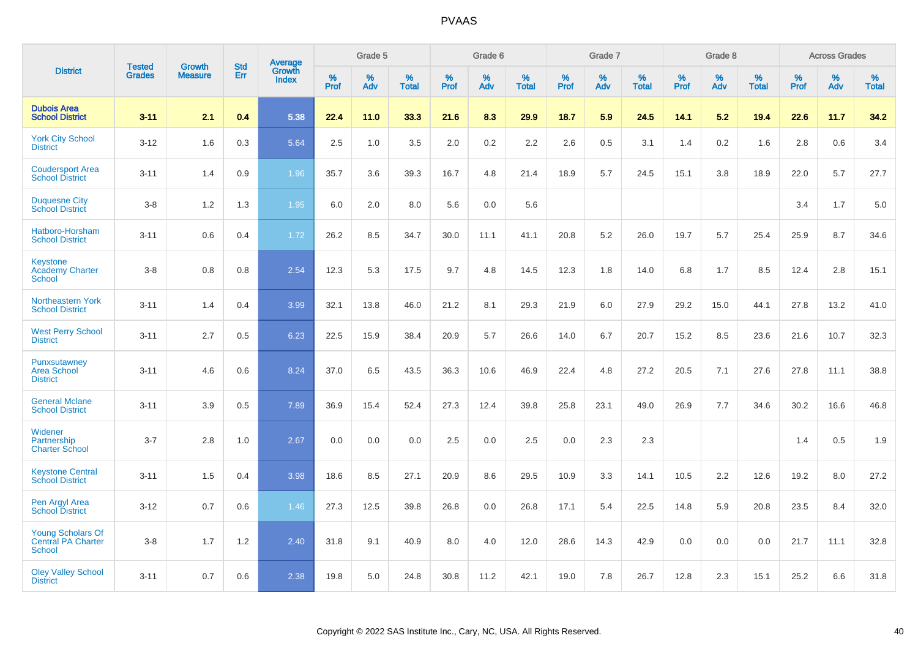|                                                                 |                                |                                 | <b>Std</b> | <b>Average</b>         |              | Grade 5  |                   |           | Grade 6  |                   |           | Grade 7  |                   |           | Grade 8  |                   |           | <b>Across Grades</b> |                   |
|-----------------------------------------------------------------|--------------------------------|---------------------------------|------------|------------------------|--------------|----------|-------------------|-----------|----------|-------------------|-----------|----------|-------------------|-----------|----------|-------------------|-----------|----------------------|-------------------|
| <b>District</b>                                                 | <b>Tested</b><br><b>Grades</b> | <b>Growth</b><br><b>Measure</b> | Err        | Growth<br><b>Index</b> | $\%$<br>Prof | %<br>Adv | %<br><b>Total</b> | %<br>Prof | %<br>Adv | %<br><b>Total</b> | %<br>Prof | %<br>Adv | %<br><b>Total</b> | %<br>Prof | %<br>Adv | %<br><b>Total</b> | %<br>Prof | %<br>Adv             | %<br><b>Total</b> |
| <b>Dubois Area</b><br><b>School District</b>                    | $3 - 11$                       | 2.1                             | 0.4        | 5.38                   | 22.4         | 11.0     | 33.3              | 21.6      | 8.3      | 29.9              | 18.7      | 5.9      | 24.5              | 14.1      | 5.2      | 19.4              | 22.6      | 11.7                 | 34.2              |
| <b>York City School</b><br><b>District</b>                      | $3 - 12$                       | 1.6                             | 0.3        | 5.64                   | 2.5          | 1.0      | 3.5               | 2.0       | 0.2      | 2.2               | 2.6       | 0.5      | 3.1               | 1.4       | 0.2      | 1.6               | 2.8       | 0.6                  | 3.4               |
| <b>Coudersport Area</b><br><b>School District</b>               | $3 - 11$                       | 1.4                             | 0.9        | 1.96                   | 35.7         | 3.6      | 39.3              | 16.7      | 4.8      | 21.4              | 18.9      | 5.7      | 24.5              | 15.1      | 3.8      | 18.9              | 22.0      | 5.7                  | 27.7              |
| <b>Duquesne City</b><br><b>School District</b>                  | $3 - 8$                        | 1.2                             | 1.3        | 1.95                   | 6.0          | 2.0      | 8.0               | 5.6       | 0.0      | 5.6               |           |          |                   |           |          |                   | 3.4       | 1.7                  | 5.0               |
| Hatboro-Horsham<br><b>School District</b>                       | $3 - 11$                       | 0.6                             | 0.4        | 1.72                   | 26.2         | 8.5      | 34.7              | 30.0      | 11.1     | 41.1              | 20.8      | 5.2      | 26.0              | 19.7      | 5.7      | 25.4              | 25.9      | 8.7                  | 34.6              |
| Keystone<br><b>Academy Charter</b><br><b>School</b>             | $3 - 8$                        | 0.8                             | 0.8        | 2.54                   | 12.3         | 5.3      | 17.5              | 9.7       | 4.8      | 14.5              | 12.3      | 1.8      | 14.0              | 6.8       | 1.7      | 8.5               | 12.4      | 2.8                  | 15.1              |
| <b>Northeastern York</b><br><b>School District</b>              | $3 - 11$                       | 1.4                             | 0.4        | 3.99                   | 32.1         | 13.8     | 46.0              | 21.2      | 8.1      | 29.3              | 21.9      | 6.0      | 27.9              | 29.2      | 15.0     | 44.1              | 27.8      | 13.2                 | 41.0              |
| <b>West Perry School</b><br><b>District</b>                     | $3 - 11$                       | 2.7                             | 0.5        | 6.23                   | 22.5         | 15.9     | 38.4              | 20.9      | 5.7      | 26.6              | 14.0      | 6.7      | 20.7              | 15.2      | 8.5      | 23.6              | 21.6      | 10.7                 | 32.3              |
| Punxsutawney<br><b>Area School</b><br><b>District</b>           | $3 - 11$                       | 4.6                             | 0.6        | 8.24                   | 37.0         | 6.5      | 43.5              | 36.3      | 10.6     | 46.9              | 22.4      | 4.8      | 27.2              | 20.5      | 7.1      | 27.6              | 27.8      | 11.1                 | 38.8              |
| <b>General Mclane</b><br><b>School District</b>                 | $3 - 11$                       | 3.9                             | 0.5        | 7.89                   | 36.9         | 15.4     | 52.4              | 27.3      | 12.4     | 39.8              | 25.8      | 23.1     | 49.0              | 26.9      | 7.7      | 34.6              | 30.2      | 16.6                 | 46.8              |
| Widener<br>Partnership<br><b>Charter School</b>                 | $3 - 7$                        | 2.8                             | 1.0        | 2.67                   | 0.0          | 0.0      | 0.0               | 2.5       | 0.0      | 2.5               | 0.0       | 2.3      | 2.3               |           |          |                   | 1.4       | 0.5                  | 1.9               |
| <b>Keystone Central</b><br><b>School District</b>               | $3 - 11$                       | 1.5                             | 0.4        | 3.98                   | 18.6         | 8.5      | 27.1              | 20.9      | 8.6      | 29.5              | 10.9      | 3.3      | 14.1              | 10.5      | 2.2      | 12.6              | 19.2      | 8.0                  | 27.2              |
| Pen Argyl Area<br><b>School District</b>                        | $3 - 12$                       | 0.7                             | 0.6        | 1.46                   | 27.3         | 12.5     | 39.8              | 26.8      | 0.0      | 26.8              | 17.1      | 5.4      | 22.5              | 14.8      | 5.9      | 20.8              | 23.5      | 8.4                  | 32.0              |
| <b>Young Scholars Of</b><br><b>Central PA Charter</b><br>School | $3-8$                          | 1.7                             | 1.2        | 2.40                   | 31.8         | 9.1      | 40.9              | 8.0       | 4.0      | 12.0              | 28.6      | 14.3     | 42.9              | 0.0       | 0.0      | 0.0               | 21.7      | 11.1                 | 32.8              |
| <b>Oley Valley School</b><br><b>District</b>                    | $3 - 11$                       | 0.7                             | 0.6        | 2.38                   | 19.8         | 5.0      | 24.8              | 30.8      | 11.2     | 42.1              | 19.0      | 7.8      | 26.7              | 12.8      | 2.3      | 15.1              | 25.2      | 6.6                  | 31.8              |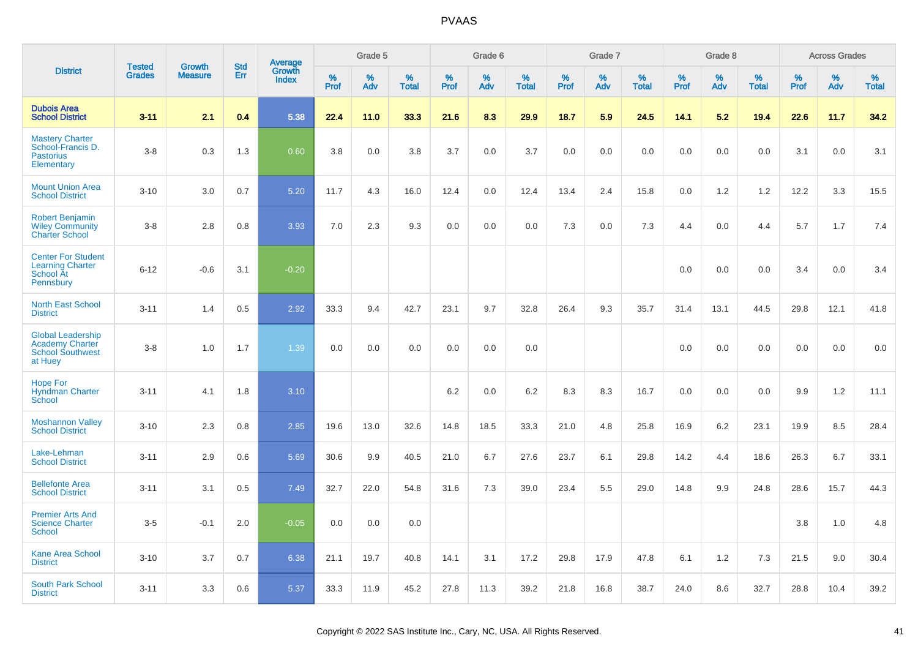|                                                                                          |                                |                                 |                   |                                          |                     | Grade 5  |                      |                     | Grade 6  |                      |              | Grade 7  |                      |                     | Grade 8  |                      |              | <b>Across Grades</b> |                      |
|------------------------------------------------------------------------------------------|--------------------------------|---------------------------------|-------------------|------------------------------------------|---------------------|----------|----------------------|---------------------|----------|----------------------|--------------|----------|----------------------|---------------------|----------|----------------------|--------------|----------------------|----------------------|
| <b>District</b>                                                                          | <b>Tested</b><br><b>Grades</b> | <b>Growth</b><br><b>Measure</b> | <b>Std</b><br>Err | <b>Average</b><br>Growth<br><b>Index</b> | $\%$<br><b>Prof</b> | %<br>Adv | $\%$<br><b>Total</b> | $\%$<br><b>Prof</b> | %<br>Adv | $\%$<br><b>Total</b> | $\%$<br>Prof | %<br>Adv | $\%$<br><b>Total</b> | $\%$<br><b>Prof</b> | %<br>Adv | $\%$<br><b>Total</b> | $\%$<br>Prof | $\%$<br>Adv          | $\%$<br><b>Total</b> |
| <b>Dubois Area</b><br><b>School District</b>                                             | $3 - 11$                       | 2.1                             | 0.4               | 5.38                                     | 22.4                | 11.0     | 33.3                 | 21.6                | 8.3      | 29.9                 | 18.7         | 5.9      | 24.5                 | 14.1                | 5.2      | 19.4                 | 22.6         | 11.7                 | 34.2                 |
| <b>Mastery Charter</b><br>School-Francis D.<br><b>Pastorius</b><br>Elementary            | $3 - 8$                        | 0.3                             | 1.3               | 0.60                                     | 3.8                 | 0.0      | 3.8                  | 3.7                 | 0.0      | 3.7                  | 0.0          | 0.0      | 0.0                  | 0.0                 | 0.0      | 0.0                  | 3.1          | 0.0                  | 3.1                  |
| <b>Mount Union Area</b><br><b>School District</b>                                        | $3 - 10$                       | 3.0                             | 0.7               | 5.20                                     | 11.7                | 4.3      | 16.0                 | 12.4                | 0.0      | 12.4                 | 13.4         | 2.4      | 15.8                 | 0.0                 | 1.2      | 1.2                  | 12.2         | 3.3                  | 15.5                 |
| Robert Benjamin<br><b>Wiley Community</b><br><b>Charter School</b>                       | $3 - 8$                        | 2.8                             | 0.8               | 3.93                                     | 7.0                 | 2.3      | 9.3                  | 0.0                 | 0.0      | 0.0                  | 7.3          | 0.0      | 7.3                  | 4.4                 | 0.0      | 4.4                  | 5.7          | 1.7                  | 7.4                  |
| <b>Center For Student</b><br><b>Learning Charter</b><br>School At<br>Pennsbury           | $6 - 12$                       | $-0.6$                          | 3.1               | $-0.20$                                  |                     |          |                      |                     |          |                      |              |          |                      | 0.0                 | $0.0\,$  | 0.0                  | 3.4          | 0.0                  | 3.4                  |
| <b>North East School</b><br><b>District</b>                                              | $3 - 11$                       | 1.4                             | 0.5               | 2.92                                     | 33.3                | 9.4      | 42.7                 | 23.1                | 9.7      | 32.8                 | 26.4         | 9.3      | 35.7                 | 31.4                | 13.1     | 44.5                 | 29.8         | 12.1                 | 41.8                 |
| <b>Global Leadership</b><br><b>Academy Charter</b><br><b>School Southwest</b><br>at Huey | $3 - 8$                        | 1.0                             | 1.7               | 1.39                                     | 0.0                 | 0.0      | 0.0                  | 0.0                 | 0.0      | 0.0                  |              |          |                      | 0.0                 | 0.0      | 0.0                  | 0.0          | 0.0                  | 0.0                  |
| <b>Hope For</b><br><b>Hyndman Charter</b><br>School                                      | $3 - 11$                       | 4.1                             | 1.8               | 3.10                                     |                     |          |                      | 6.2                 | 0.0      | 6.2                  | 8.3          | 8.3      | 16.7                 | 0.0                 | 0.0      | 0.0                  | 9.9          | 1.2                  | 11.1                 |
| <b>Moshannon Valley</b><br><b>School District</b>                                        | $3 - 10$                       | 2.3                             | 0.8               | 2.85                                     | 19.6                | 13.0     | 32.6                 | 14.8                | 18.5     | 33.3                 | 21.0         | 4.8      | 25.8                 | 16.9                | 6.2      | 23.1                 | 19.9         | 8.5                  | 28.4                 |
| Lake-Lehman<br><b>School District</b>                                                    | $3 - 11$                       | 2.9                             | 0.6               | 5.69                                     | 30.6                | 9.9      | 40.5                 | 21.0                | 6.7      | 27.6                 | 23.7         | 6.1      | 29.8                 | 14.2                | 4.4      | 18.6                 | 26.3         | 6.7                  | 33.1                 |
| <b>Bellefonte Area</b><br><b>School District</b>                                         | $3 - 11$                       | 3.1                             | 0.5               | 7.49                                     | 32.7                | 22.0     | 54.8                 | 31.6                | 7.3      | 39.0                 | 23.4         | 5.5      | 29.0                 | 14.8                | 9.9      | 24.8                 | 28.6         | 15.7                 | 44.3                 |
| <b>Premier Arts And</b><br><b>Science Charter</b><br>School                              | $3-5$                          | $-0.1$                          | 2.0               | $-0.05$                                  | 0.0                 | 0.0      | 0.0                  |                     |          |                      |              |          |                      |                     |          |                      | 3.8          | 1.0                  | 4.8                  |
| <b>Kane Area School</b><br><b>District</b>                                               | $3 - 10$                       | 3.7                             | 0.7               | 6.38                                     | 21.1                | 19.7     | 40.8                 | 14.1                | 3.1      | 17.2                 | 29.8         | 17.9     | 47.8                 | 6.1                 | 1.2      | 7.3                  | 21.5         | 9.0                  | 30.4                 |
| <b>South Park School</b><br><b>District</b>                                              | $3 - 11$                       | 3.3                             | 0.6               | 5.37                                     | 33.3                | 11.9     | 45.2                 | 27.8                | 11.3     | 39.2                 | 21.8         | 16.8     | 38.7                 | 24.0                | 8.6      | 32.7                 | 28.8         | 10.4                 | 39.2                 |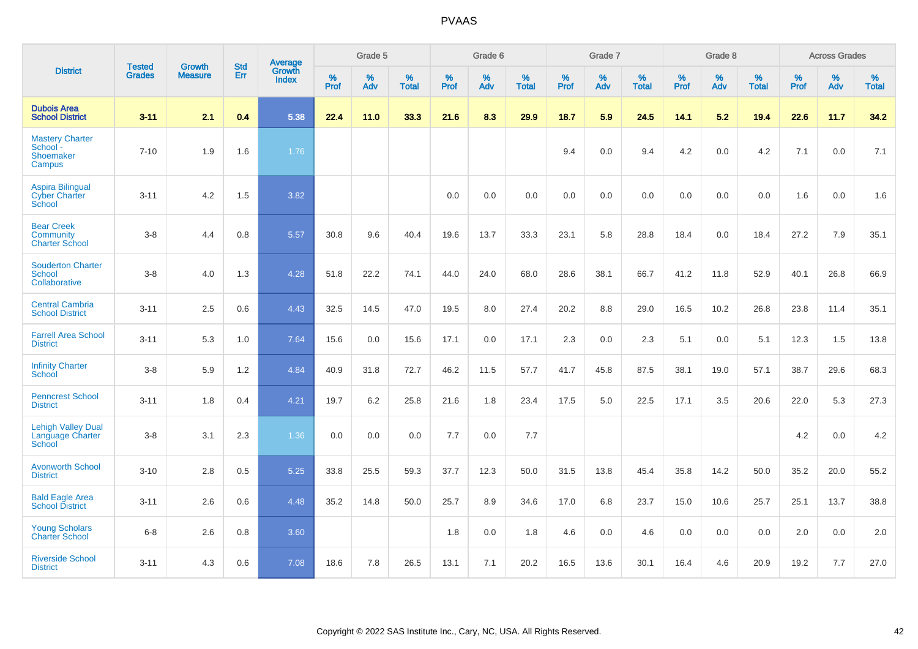|                                                                  | <b>Tested</b> | <b>Growth</b>  | <b>Std</b> | Average                |              | Grade 5  |                   |              | Grade 6  |                   |              | Grade 7  |                   |              | Grade 8  |                   |           | <b>Across Grades</b> |                   |
|------------------------------------------------------------------|---------------|----------------|------------|------------------------|--------------|----------|-------------------|--------------|----------|-------------------|--------------|----------|-------------------|--------------|----------|-------------------|-----------|----------------------|-------------------|
| <b>District</b>                                                  | <b>Grades</b> | <b>Measure</b> | Err        | Growth<br><b>Index</b> | $\%$<br>Prof | %<br>Adv | %<br><b>Total</b> | $\%$<br>Prof | %<br>Adv | %<br><b>Total</b> | $\%$<br>Prof | %<br>Adv | %<br><b>Total</b> | $\%$<br>Prof | %<br>Adv | %<br><b>Total</b> | %<br>Prof | %<br>Adv             | %<br><b>Total</b> |
| <b>Dubois Area</b><br><b>School District</b>                     | $3 - 11$      | 2.1            | 0.4        | 5.38                   | 22.4         | 11.0     | 33.3              | 21.6         | 8.3      | 29.9              | 18.7         | 5.9      | 24.5              | 14.1         | 5.2      | 19.4              | 22.6      | 11.7                 | 34.2              |
| <b>Mastery Charter</b><br>School -<br><b>Shoemaker</b><br>Campus | $7 - 10$      | 1.9            | 1.6        | 1.76                   |              |          |                   |              |          |                   | 9.4          | 0.0      | 9.4               | 4.2          | 0.0      | 4.2               | 7.1       | 0.0                  | 7.1               |
| <b>Aspira Bilingual</b><br><b>Cyber Charter</b><br>School        | $3 - 11$      | 4.2            | 1.5        | 3.82                   |              |          |                   | 0.0          | 0.0      | 0.0               | 0.0          | 0.0      | 0.0               | 0.0          | 0.0      | 0.0               | 1.6       | 0.0                  | 1.6               |
| <b>Bear Creek</b><br><b>Community</b><br><b>Charter School</b>   | $3 - 8$       | 4.4            | 0.8        | 5.57                   | 30.8         | 9.6      | 40.4              | 19.6         | 13.7     | 33.3              | 23.1         | 5.8      | 28.8              | 18.4         | 0.0      | 18.4              | 27.2      | 7.9                  | 35.1              |
| <b>Souderton Charter</b><br>School<br>Collaborative              | $3-8$         | 4.0            | 1.3        | 4.28                   | 51.8         | 22.2     | 74.1              | 44.0         | 24.0     | 68.0              | 28.6         | 38.1     | 66.7              | 41.2         | 11.8     | 52.9              | 40.1      | 26.8                 | 66.9              |
| <b>Central Cambria</b><br><b>School District</b>                 | $3 - 11$      | 2.5            | 0.6        | 4.43                   | 32.5         | 14.5     | 47.0              | 19.5         | 8.0      | 27.4              | 20.2         | 8.8      | 29.0              | 16.5         | 10.2     | 26.8              | 23.8      | 11.4                 | 35.1              |
| <b>Farrell Area School</b><br><b>District</b>                    | $3 - 11$      | 5.3            | 1.0        | 7.64                   | 15.6         | 0.0      | 15.6              | 17.1         | 0.0      | 17.1              | 2.3          | 0.0      | 2.3               | 5.1          | 0.0      | 5.1               | 12.3      | 1.5                  | 13.8              |
| <b>Infinity Charter</b><br><b>School</b>                         | $3-8$         | 5.9            | 1.2        | 4.84                   | 40.9         | 31.8     | 72.7              | 46.2         | 11.5     | 57.7              | 41.7         | 45.8     | 87.5              | 38.1         | 19.0     | 57.1              | 38.7      | 29.6                 | 68.3              |
| <b>Penncrest School</b><br><b>District</b>                       | $3 - 11$      | 1.8            | 0.4        | 4.21                   | 19.7         | $6.2\,$  | 25.8              | 21.6         | 1.8      | 23.4              | 17.5         | 5.0      | 22.5              | 17.1         | 3.5      | 20.6              | 22.0      | 5.3                  | 27.3              |
| <b>Lehigh Valley Dual</b><br>Language Charter<br>School          | $3 - 8$       | 3.1            | 2.3        | 1.36                   | 0.0          | 0.0      | 0.0               | 7.7          | 0.0      | 7.7               |              |          |                   |              |          |                   | 4.2       | 0.0                  | 4.2               |
| <b>Avonworth School</b><br><b>District</b>                       | $3 - 10$      | 2.8            | 0.5        | 5.25                   | 33.8         | 25.5     | 59.3              | 37.7         | 12.3     | 50.0              | 31.5         | 13.8     | 45.4              | 35.8         | 14.2     | 50.0              | 35.2      | 20.0                 | 55.2              |
| <b>Bald Eagle Area</b><br><b>School District</b>                 | $3 - 11$      | 2.6            | 0.6        | 4.48                   | 35.2         | 14.8     | 50.0              | 25.7         | 8.9      | 34.6              | 17.0         | 6.8      | 23.7              | 15.0         | 10.6     | 25.7              | 25.1      | 13.7                 | 38.8              |
| <b>Young Scholars</b><br><b>Charter School</b>                   | $6 - 8$       | 2.6            | 0.8        | 3.60                   |              |          |                   | 1.8          | 0.0      | 1.8               | 4.6          | 0.0      | 4.6               | 0.0          | 0.0      | 0.0               | 2.0       | 0.0                  | 2.0               |
| <b>Riverside School</b><br><b>District</b>                       | $3 - 11$      | 4.3            | 0.6        | 7.08                   | 18.6         | 7.8      | 26.5              | 13.1         | 7.1      | 20.2              | 16.5         | 13.6     | 30.1              | 16.4         | 4.6      | 20.9              | 19.2      | 7.7                  | 27.0              |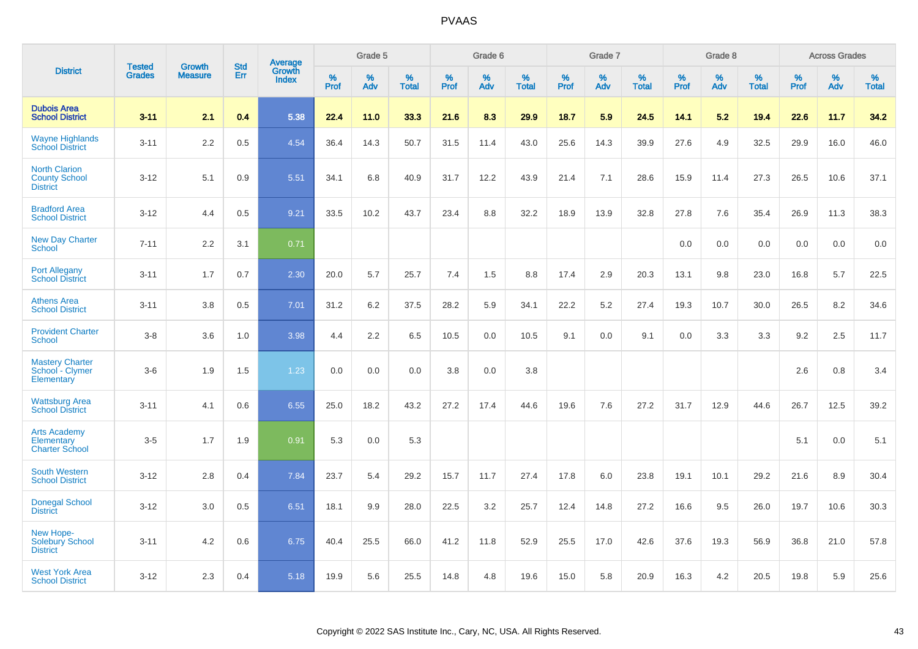|                                                                 |                                |                                 | <b>Std</b> | Average                |              | Grade 5  |                   |           | Grade 6  |                   |           | Grade 7  |                   |           | Grade 8  |                   |           | <b>Across Grades</b> |                   |
|-----------------------------------------------------------------|--------------------------------|---------------------------------|------------|------------------------|--------------|----------|-------------------|-----------|----------|-------------------|-----------|----------|-------------------|-----------|----------|-------------------|-----------|----------------------|-------------------|
| <b>District</b>                                                 | <b>Tested</b><br><b>Grades</b> | <b>Growth</b><br><b>Measure</b> | <b>Err</b> | Growth<br><b>Index</b> | $\%$<br>Prof | %<br>Adv | %<br><b>Total</b> | %<br>Prof | %<br>Adv | %<br><b>Total</b> | %<br>Prof | %<br>Adv | %<br><b>Total</b> | %<br>Prof | %<br>Adv | %<br><b>Total</b> | %<br>Prof | %<br>Adv             | %<br><b>Total</b> |
| <b>Dubois Area</b><br><b>School District</b>                    | $3 - 11$                       | 2.1                             | 0.4        | 5.38                   | 22.4         | 11.0     | 33.3              | 21.6      | 8.3      | 29.9              | 18.7      | 5.9      | 24.5              | 14.1      | 5.2      | 19.4              | 22.6      | 11.7                 | 34.2              |
| <b>Wayne Highlands</b><br><b>School District</b>                | $3 - 11$                       | 2.2                             | 0.5        | 4.54                   | 36.4         | 14.3     | 50.7              | 31.5      | 11.4     | 43.0              | 25.6      | 14.3     | 39.9              | 27.6      | 4.9      | 32.5              | 29.9      | 16.0                 | 46.0              |
| <b>North Clarion</b><br><b>County School</b><br><b>District</b> | $3 - 12$                       | 5.1                             | 0.9        | 5.51                   | 34.1         | 6.8      | 40.9              | 31.7      | 12.2     | 43.9              | 21.4      | 7.1      | 28.6              | 15.9      | 11.4     | 27.3              | 26.5      | 10.6                 | 37.1              |
| <b>Bradford Area</b><br><b>School District</b>                  | $3 - 12$                       | 4.4                             | 0.5        | 9.21                   | 33.5         | 10.2     | 43.7              | 23.4      | 8.8      | 32.2              | 18.9      | 13.9     | 32.8              | 27.8      | 7.6      | 35.4              | 26.9      | 11.3                 | 38.3              |
| <b>New Day Charter</b><br><b>School</b>                         | $7 - 11$                       | 2.2                             | 3.1        | 0.71                   |              |          |                   |           |          |                   |           |          |                   | 0.0       | 0.0      | 0.0               | 0.0       | 0.0                  | 0.0               |
| <b>Port Allegany</b><br><b>School District</b>                  | $3 - 11$                       | 1.7                             | 0.7        | 2.30                   | 20.0         | 5.7      | 25.7              | 7.4       | 1.5      | 8.8               | 17.4      | 2.9      | 20.3              | 13.1      | 9.8      | 23.0              | 16.8      | 5.7                  | 22.5              |
| <b>Athens Area</b><br><b>School District</b>                    | $3 - 11$                       | 3.8                             | 0.5        | 7.01                   | 31.2         | 6.2      | 37.5              | 28.2      | 5.9      | 34.1              | 22.2      | 5.2      | 27.4              | 19.3      | 10.7     | 30.0              | 26.5      | 8.2                  | 34.6              |
| <b>Provident Charter</b><br><b>School</b>                       | $3 - 8$                        | 3.6                             | 1.0        | 3.98                   | 4.4          | 2.2      | 6.5               | 10.5      | 0.0      | 10.5              | 9.1       | 0.0      | 9.1               | 0.0       | 3.3      | 3.3               | 9.2       | 2.5                  | 11.7              |
| <b>Mastery Charter</b><br>School - Clymer<br>Elementary         | $3-6$                          | 1.9                             | 1.5        | 1.23                   | 0.0          | 0.0      | 0.0               | 3.8       | 0.0      | 3.8               |           |          |                   |           |          |                   | 2.6       | 0.8                  | 3.4               |
| <b>Wattsburg Area</b><br><b>School District</b>                 | $3 - 11$                       | 4.1                             | 0.6        | 6.55                   | 25.0         | 18.2     | 43.2              | 27.2      | 17.4     | 44.6              | 19.6      | 7.6      | 27.2              | 31.7      | 12.9     | 44.6              | 26.7      | 12.5                 | 39.2              |
| <b>Arts Academy</b><br>Elementary<br><b>Charter School</b>      | $3-5$                          | 1.7                             | 1.9        | 0.91                   | 5.3          | 0.0      | 5.3               |           |          |                   |           |          |                   |           |          |                   | 5.1       | 0.0                  | 5.1               |
| <b>South Western</b><br><b>School District</b>                  | $3 - 12$                       | 2.8                             | 0.4        | 7.84                   | 23.7         | 5.4      | 29.2              | 15.7      | 11.7     | 27.4              | 17.8      | 6.0      | 23.8              | 19.1      | 10.1     | 29.2              | 21.6      | 8.9                  | 30.4              |
| <b>Donegal School</b><br><b>District</b>                        | $3 - 12$                       | 3.0                             | 0.5        | 6.51                   | 18.1         | 9.9      | 28.0              | 22.5      | 3.2      | 25.7              | 12.4      | 14.8     | 27.2              | 16.6      | 9.5      | 26.0              | 19.7      | 10.6                 | 30.3              |
| New Hope-<br><b>Solebury School</b><br><b>District</b>          | $3 - 11$                       | 4.2                             | 0.6        | 6.75                   | 40.4         | 25.5     | 66.0              | 41.2      | 11.8     | 52.9              | 25.5      | 17.0     | 42.6              | 37.6      | 19.3     | 56.9              | 36.8      | 21.0                 | 57.8              |
| <b>West York Area</b><br><b>School District</b>                 | $3 - 12$                       | 2.3                             | 0.4        | 5.18                   | 19.9         | 5.6      | 25.5              | 14.8      | 4.8      | 19.6              | 15.0      | 5.8      | 20.9              | 16.3      | 4.2      | 20.5              | 19.8      | 5.9                  | 25.6              |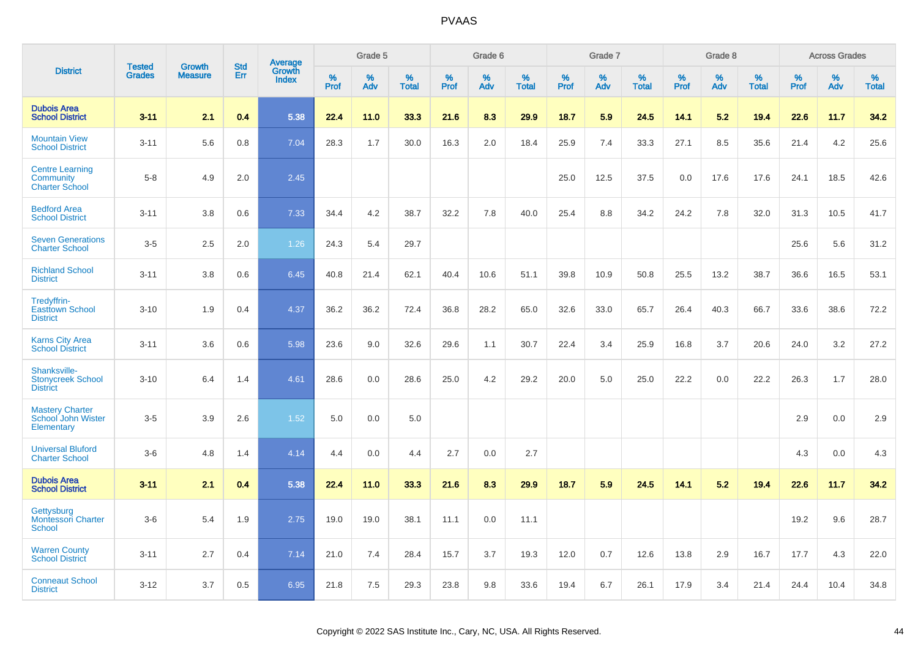|                                                              |                                |                                 | <b>Std</b> |                                   |                     | Grade 5  |                   |                     | Grade 6  |                   |              | Grade 7  |                   |                     | Grade 8  |                   |              | <b>Across Grades</b> |                      |
|--------------------------------------------------------------|--------------------------------|---------------------------------|------------|-----------------------------------|---------------------|----------|-------------------|---------------------|----------|-------------------|--------------|----------|-------------------|---------------------|----------|-------------------|--------------|----------------------|----------------------|
| <b>District</b>                                              | <b>Tested</b><br><b>Grades</b> | <b>Growth</b><br><b>Measure</b> | Err        | Average<br>Growth<br><b>Index</b> | $\%$<br><b>Prof</b> | %<br>Adv | %<br><b>Total</b> | $\%$<br><b>Prof</b> | %<br>Adv | %<br><b>Total</b> | $\%$<br>Prof | %<br>Adv | %<br><b>Total</b> | $\%$<br><b>Prof</b> | %<br>Adv | %<br><b>Total</b> | $\%$<br>Prof | %<br>Adv             | $\%$<br><b>Total</b> |
| <b>Dubois Area</b><br><b>School District</b>                 | $3 - 11$                       | 2.1                             | 0.4        | 5.38                              | 22.4                | 11.0     | 33.3              | 21.6                | 8.3      | 29.9              | 18.7         | 5.9      | 24.5              | 14.1                | 5.2      | 19.4              | 22.6         | 11.7                 | 34.2                 |
| <b>Mountain View</b><br><b>School District</b>               | $3 - 11$                       | 5.6                             | 0.8        | 7.04                              | 28.3                | 1.7      | 30.0              | 16.3                | 2.0      | 18.4              | 25.9         | 7.4      | 33.3              | 27.1                | 8.5      | 35.6              | 21.4         | 4.2                  | 25.6                 |
| <b>Centre Learning</b><br>Community<br><b>Charter School</b> | $5 - 8$                        | 4.9                             | 2.0        | 2.45                              |                     |          |                   |                     |          |                   | 25.0         | 12.5     | 37.5              | 0.0                 | 17.6     | 17.6              | 24.1         | 18.5                 | 42.6                 |
| <b>Bedford Area</b><br><b>School District</b>                | $3 - 11$                       | 3.8                             | 0.6        | 7.33                              | 34.4                | 4.2      | 38.7              | 32.2                | 7.8      | 40.0              | 25.4         | 8.8      | 34.2              | 24.2                | 7.8      | 32.0              | 31.3         | 10.5                 | 41.7                 |
| <b>Seven Generations</b><br><b>Charter School</b>            | $3-5$                          | 2.5                             | 2.0        | 1.26                              | 24.3                | 5.4      | 29.7              |                     |          |                   |              |          |                   |                     |          |                   | 25.6         | 5.6                  | 31.2                 |
| <b>Richland School</b><br><b>District</b>                    | $3 - 11$                       | 3.8                             | 0.6        | 6.45                              | 40.8                | 21.4     | 62.1              | 40.4                | 10.6     | 51.1              | 39.8         | 10.9     | 50.8              | 25.5                | 13.2     | 38.7              | 36.6         | 16.5                 | 53.1                 |
| Tredyffrin-<br><b>Easttown School</b><br><b>District</b>     | $3 - 10$                       | 1.9                             | 0.4        | 4.37                              | 36.2                | 36.2     | 72.4              | 36.8                | 28.2     | 65.0              | 32.6         | 33.0     | 65.7              | 26.4                | 40.3     | 66.7              | 33.6         | 38.6                 | 72.2                 |
| <b>Karns City Area</b><br><b>School District</b>             | $3 - 11$                       | 3.6                             | 0.6        | 5.98                              | 23.6                | 9.0      | 32.6              | 29.6                | 1.1      | 30.7              | 22.4         | 3.4      | 25.9              | 16.8                | 3.7      | 20.6              | 24.0         | 3.2                  | 27.2                 |
| Shanksville-<br><b>Stonycreek School</b><br><b>District</b>  | $3 - 10$                       | 6.4                             | 1.4        | 4.61                              | 28.6                | 0.0      | 28.6              | 25.0                | 4.2      | 29.2              | 20.0         | 5.0      | 25.0              | 22.2                | 0.0      | 22.2              | 26.3         | 1.7                  | 28.0                 |
| <b>Mastery Charter</b><br>School John Wister<br>Elementary   | $3-5$                          | 3.9                             | 2.6        | 1.52                              | 5.0                 | 0.0      | 5.0               |                     |          |                   |              |          |                   |                     |          |                   | 2.9          | 0.0                  | 2.9                  |
| <b>Universal Bluford</b><br><b>Charter School</b>            | $3-6$                          | 4.8                             | 1.4        | 4.14                              | 4.4                 | 0.0      | 4.4               | 2.7                 | 0.0      | 2.7               |              |          |                   |                     |          |                   | 4.3          | 0.0                  | 4.3                  |
| <b>Dubois Area</b><br><b>School District</b>                 | $3 - 11$                       | 2.1                             | 0.4        | 5.38                              | 22.4                | 11.0     | 33.3              | 21.6                | 8.3      | 29.9              | 18.7         | 5.9      | 24.5              | 14.1                | 5.2      | 19.4              | 22.6         | 11.7                 | 34.2                 |
| Gettysburg<br><b>Montessori Charter</b><br>School            | $3-6$                          | 5.4                             | 1.9        | 2.75                              | 19.0                | 19.0     | 38.1              | 11.1                | 0.0      | 11.1              |              |          |                   |                     |          |                   | 19.2         | 9.6                  | 28.7                 |
| <b>Warren County</b><br><b>School District</b>               | $3 - 11$                       | 2.7                             | 0.4        | 7.14                              | 21.0                | 7.4      | 28.4              | 15.7                | 3.7      | 19.3              | 12.0         | 0.7      | 12.6              | 13.8                | 2.9      | 16.7              | 17.7         | 4.3                  | 22.0                 |
| <b>Conneaut School</b><br><b>District</b>                    | $3 - 12$                       | 3.7                             | 0.5        | 6.95                              | 21.8                | 7.5      | 29.3              | 23.8                | 9.8      | 33.6              | 19.4         | 6.7      | 26.1              | 17.9                | 3.4      | 21.4              | 24.4         | 10.4                 | 34.8                 |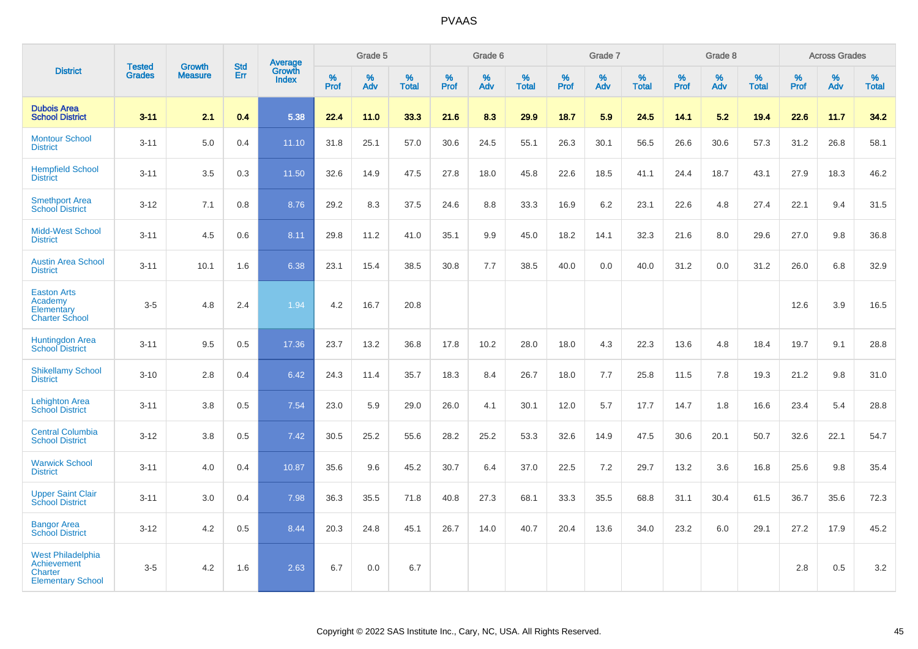|                                                                                              |                                |                                 | <b>Std</b> | Average                |              | Grade 5  |                   |           | Grade 6  |                   |           | Grade 7  |                   |           | Grade 8  |                   |           | <b>Across Grades</b> |                   |
|----------------------------------------------------------------------------------------------|--------------------------------|---------------------------------|------------|------------------------|--------------|----------|-------------------|-----------|----------|-------------------|-----------|----------|-------------------|-----------|----------|-------------------|-----------|----------------------|-------------------|
| <b>District</b>                                                                              | <b>Tested</b><br><b>Grades</b> | <b>Growth</b><br><b>Measure</b> | Err        | Growth<br><b>Index</b> | $\%$<br>Prof | %<br>Adv | %<br><b>Total</b> | %<br>Prof | %<br>Adv | %<br><b>Total</b> | %<br>Prof | %<br>Adv | %<br><b>Total</b> | %<br>Prof | %<br>Adv | %<br><b>Total</b> | %<br>Prof | %<br>Adv             | %<br><b>Total</b> |
| <b>Dubois Area</b><br><b>School District</b>                                                 | $3 - 11$                       | 2.1                             | 0.4        | 5.38                   | 22.4         | 11.0     | 33.3              | 21.6      | 8.3      | 29.9              | 18.7      | 5.9      | 24.5              | 14.1      | 5.2      | 19.4              | 22.6      | 11.7                 | 34.2              |
| <b>Montour School</b><br><b>District</b>                                                     | $3 - 11$                       | 5.0                             | 0.4        | 11.10                  | 31.8         | 25.1     | 57.0              | 30.6      | 24.5     | 55.1              | 26.3      | 30.1     | 56.5              | 26.6      | 30.6     | 57.3              | 31.2      | 26.8                 | 58.1              |
| <b>Hempfield School</b><br><b>District</b>                                                   | $3 - 11$                       | 3.5                             | 0.3        | 11.50                  | 32.6         | 14.9     | 47.5              | 27.8      | 18.0     | 45.8              | 22.6      | 18.5     | 41.1              | 24.4      | 18.7     | 43.1              | 27.9      | 18.3                 | 46.2              |
| <b>Smethport Area</b><br><b>School District</b>                                              | $3 - 12$                       | 7.1                             | 0.8        | 8.76                   | 29.2         | 8.3      | 37.5              | 24.6      | 8.8      | 33.3              | 16.9      | 6.2      | 23.1              | 22.6      | 4.8      | 27.4              | 22.1      | 9.4                  | 31.5              |
| <b>Midd-West School</b><br><b>District</b>                                                   | $3 - 11$                       | 4.5                             | 0.6        | 8.11                   | 29.8         | 11.2     | 41.0              | 35.1      | 9.9      | 45.0              | 18.2      | 14.1     | 32.3              | 21.6      | 8.0      | 29.6              | 27.0      | 9.8                  | 36.8              |
| <b>Austin Area School</b><br><b>District</b>                                                 | $3 - 11$                       | 10.1                            | 1.6        | 6.38                   | 23.1         | 15.4     | 38.5              | 30.8      | 7.7      | 38.5              | 40.0      | 0.0      | 40.0              | 31.2      | 0.0      | 31.2              | 26.0      | 6.8                  | 32.9              |
| <b>Easton Arts</b><br>Academy<br>Elementary<br><b>Charter School</b>                         | $3-5$                          | 4.8                             | 2.4        | 1.94                   | 4.2          | 16.7     | 20.8              |           |          |                   |           |          |                   |           |          |                   | 12.6      | 3.9                  | 16.5              |
| <b>Huntingdon Area</b><br><b>School District</b>                                             | $3 - 11$                       | 9.5                             | 0.5        | 17.36                  | 23.7         | 13.2     | 36.8              | 17.8      | 10.2     | 28.0              | 18.0      | 4.3      | 22.3              | 13.6      | 4.8      | 18.4              | 19.7      | 9.1                  | 28.8              |
| <b>Shikellamy School</b><br><b>District</b>                                                  | $3 - 10$                       | 2.8                             | 0.4        | 6.42                   | 24.3         | 11.4     | 35.7              | 18.3      | 8.4      | 26.7              | 18.0      | 7.7      | 25.8              | 11.5      | 7.8      | 19.3              | 21.2      | 9.8                  | 31.0              |
| <b>Lehighton Area</b><br><b>School District</b>                                              | $3 - 11$                       | 3.8                             | 0.5        | 7.54                   | 23.0         | 5.9      | 29.0              | 26.0      | 4.1      | 30.1              | 12.0      | 5.7      | 17.7              | 14.7      | 1.8      | 16.6              | 23.4      | 5.4                  | 28.8              |
| <b>Central Columbia</b><br><b>School District</b>                                            | $3 - 12$                       | 3.8                             | 0.5        | 7.42                   | 30.5         | 25.2     | 55.6              | 28.2      | 25.2     | 53.3              | 32.6      | 14.9     | 47.5              | 30.6      | 20.1     | 50.7              | 32.6      | 22.1                 | 54.7              |
| <b>Warwick School</b><br><b>District</b>                                                     | $3 - 11$                       | 4.0                             | 0.4        | 10.87                  | 35.6         | 9.6      | 45.2              | 30.7      | 6.4      | 37.0              | 22.5      | 7.2      | 29.7              | 13.2      | 3.6      | 16.8              | 25.6      | 9.8                  | 35.4              |
| <b>Upper Saint Clair</b><br><b>School District</b>                                           | $3 - 11$                       | 3.0                             | 0.4        | 7.98                   | 36.3         | 35.5     | 71.8              | 40.8      | 27.3     | 68.1              | 33.3      | 35.5     | 68.8              | 31.1      | 30.4     | 61.5              | 36.7      | 35.6                 | 72.3              |
| <b>Bangor Area</b><br><b>School District</b>                                                 | $3 - 12$                       | 4.2                             | 0.5        | 8.44                   | 20.3         | 24.8     | 45.1              | 26.7      | 14.0     | 40.7              | 20.4      | 13.6     | 34.0              | 23.2      | 6.0      | 29.1              | 27.2      | 17.9                 | 45.2              |
| <b>West Philadelphia</b><br><b>Achievement</b><br><b>Charter</b><br><b>Elementary School</b> | $3-5$                          | 4.2                             | 1.6        | 2.63                   | 6.7          | 0.0      | 6.7               |           |          |                   |           |          |                   |           |          |                   | 2.8       | 0.5                  | 3.2               |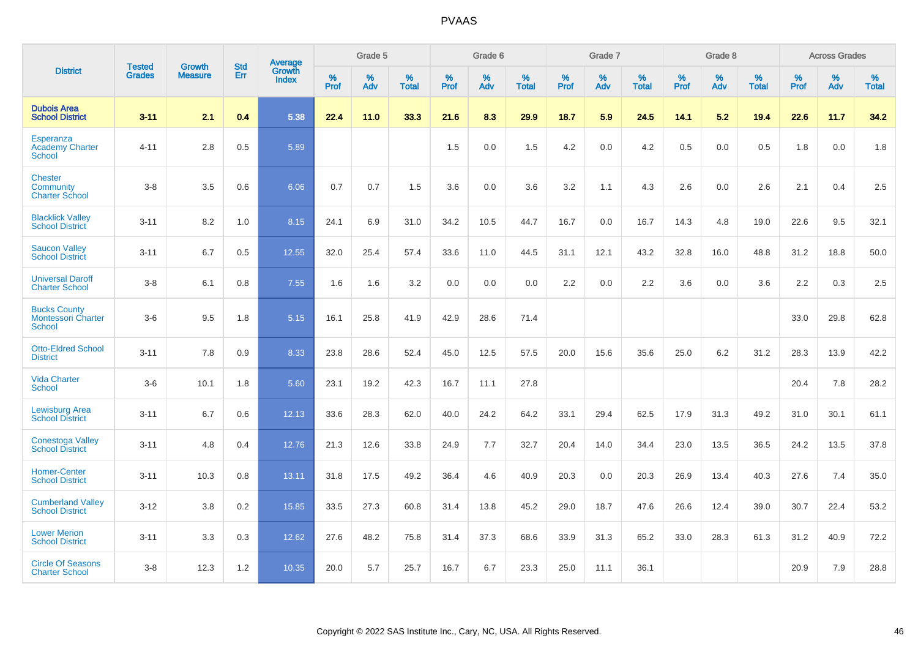|                                                            | <b>Tested</b> | <b>Growth</b>  | <b>Std</b> | Average                       |           | Grade 5  |                   |           | Grade 6  |                   |           | Grade 7  |                   |           | Grade 8  |                   |           | <b>Across Grades</b> |                   |
|------------------------------------------------------------|---------------|----------------|------------|-------------------------------|-----------|----------|-------------------|-----------|----------|-------------------|-----------|----------|-------------------|-----------|----------|-------------------|-----------|----------------------|-------------------|
| <b>District</b>                                            | <b>Grades</b> | <b>Measure</b> | Err        | <b>Growth</b><br><b>Index</b> | %<br>Prof | %<br>Adv | %<br><b>Total</b> | %<br>Prof | %<br>Adv | %<br><b>Total</b> | %<br>Prof | %<br>Adv | %<br><b>Total</b> | %<br>Prof | %<br>Adv | %<br><b>Total</b> | %<br>Prof | %<br>Adv             | %<br><b>Total</b> |
| <b>Dubois Area</b><br><b>School District</b>               | $3 - 11$      | 2.1            | 0.4        | 5.38                          | 22.4      | 11.0     | 33.3              | 21.6      | 8.3      | 29.9              | 18.7      | 5.9      | 24.5              | 14.1      | 5.2      | 19.4              | 22.6      | 11.7                 | 34.2              |
| Esperanza<br><b>Academy Charter</b><br><b>School</b>       | $4 - 11$      | 2.8            | 0.5        | 5.89                          |           |          |                   | 1.5       | 0.0      | 1.5               | 4.2       | 0.0      | 4.2               | 0.5       | 0.0      | 0.5               | 1.8       | 0.0                  | 1.8               |
| <b>Chester</b><br>Community<br><b>Charter School</b>       | $3 - 8$       | 3.5            | 0.6        | 6.06                          | 0.7       | 0.7      | 1.5               | 3.6       | 0.0      | 3.6               | 3.2       | 1.1      | 4.3               | 2.6       | 0.0      | 2.6               | 2.1       | 0.4                  | 2.5               |
| <b>Blacklick Valley</b><br><b>School District</b>          | $3 - 11$      | 8.2            | 1.0        | 8.15                          | 24.1      | 6.9      | 31.0              | 34.2      | 10.5     | 44.7              | 16.7      | 0.0      | 16.7              | 14.3      | 4.8      | 19.0              | 22.6      | 9.5                  | 32.1              |
| <b>Saucon Valley</b><br><b>School District</b>             | $3 - 11$      | 6.7            | 0.5        | 12.55                         | 32.0      | 25.4     | 57.4              | 33.6      | 11.0     | 44.5              | 31.1      | 12.1     | 43.2              | 32.8      | 16.0     | 48.8              | 31.2      | 18.8                 | 50.0              |
| <b>Universal Daroff</b><br><b>Charter School</b>           | $3 - 8$       | 6.1            | 0.8        | 7.55                          | 1.6       | 1.6      | 3.2               | 0.0       | 0.0      | 0.0               | 2.2       | 0.0      | 2.2               | 3.6       | 0.0      | 3.6               | 2.2       | 0.3                  | 2.5               |
| <b>Bucks County</b><br><b>Montessori Charter</b><br>School | $3-6$         | 9.5            | 1.8        | 5.15                          | 16.1      | 25.8     | 41.9              | 42.9      | 28.6     | 71.4              |           |          |                   |           |          |                   | 33.0      | 29.8                 | 62.8              |
| <b>Otto-Eldred School</b><br><b>District</b>               | $3 - 11$      | 7.8            | 0.9        | 8.33                          | 23.8      | 28.6     | 52.4              | 45.0      | 12.5     | 57.5              | 20.0      | 15.6     | 35.6              | 25.0      | 6.2      | 31.2              | 28.3      | 13.9                 | 42.2              |
| <b>Vida Charter</b><br><b>School</b>                       | $3-6$         | 10.1           | 1.8        | 5.60                          | 23.1      | 19.2     | 42.3              | 16.7      | 11.1     | 27.8              |           |          |                   |           |          |                   | 20.4      | 7.8                  | 28.2              |
| <b>Lewisburg Area</b><br><b>School District</b>            | $3 - 11$      | 6.7            | 0.6        | 12.13                         | 33.6      | 28.3     | 62.0              | 40.0      | 24.2     | 64.2              | 33.1      | 29.4     | 62.5              | 17.9      | 31.3     | 49.2              | 31.0      | 30.1                 | 61.1              |
| <b>Conestoga Valley</b><br><b>School District</b>          | $3 - 11$      | 4.8            | 0.4        | 12.76                         | 21.3      | 12.6     | 33.8              | 24.9      | 7.7      | 32.7              | 20.4      | 14.0     | 34.4              | 23.0      | 13.5     | 36.5              | 24.2      | 13.5                 | 37.8              |
| <b>Homer-Center</b><br><b>School District</b>              | $3 - 11$      | 10.3           | 0.8        | 13.11                         | 31.8      | 17.5     | 49.2              | 36.4      | 4.6      | 40.9              | 20.3      | 0.0      | 20.3              | 26.9      | 13.4     | 40.3              | 27.6      | 7.4                  | 35.0              |
| <b>Cumberland Valley</b><br><b>School District</b>         | $3 - 12$      | 3.8            | 0.2        | 15.85                         | 33.5      | 27.3     | 60.8              | 31.4      | 13.8     | 45.2              | 29.0      | 18.7     | 47.6              | 26.6      | 12.4     | 39.0              | 30.7      | 22.4                 | 53.2              |
| <b>Lower Merion</b><br><b>School District</b>              | $3 - 11$      | 3.3            | 0.3        | 12.62                         | 27.6      | 48.2     | 75.8              | 31.4      | 37.3     | 68.6              | 33.9      | 31.3     | 65.2              | 33.0      | 28.3     | 61.3              | 31.2      | 40.9                 | 72.2              |
| <b>Circle Of Seasons</b><br><b>Charter School</b>          | $3 - 8$       | 12.3           | 1.2        | 10.35                         | 20.0      | 5.7      | 25.7              | 16.7      | 6.7      | 23.3              | 25.0      | 11.1     | 36.1              |           |          |                   | 20.9      | 7.9                  | 28.8              |